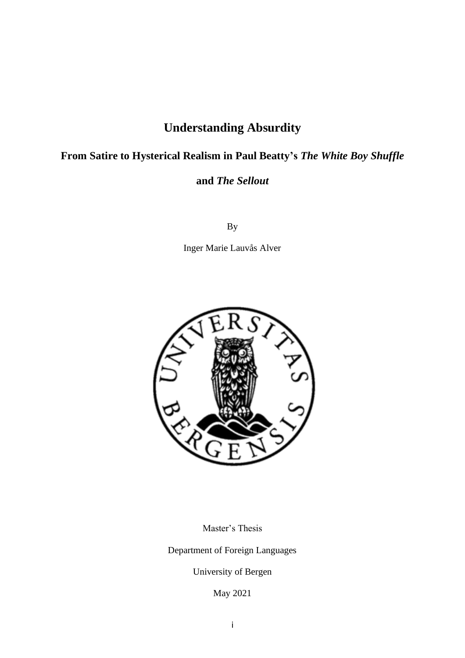# **Understanding Absurdity**

# **From Satire to Hysterical Realism in Paul Beatty's** *The White Boy Shuffle*

# **and** *The Sellout*

By

Inger Marie Lauvås Alver



Master's Thesis

Department of Foreign Languages

University of Bergen

May 2021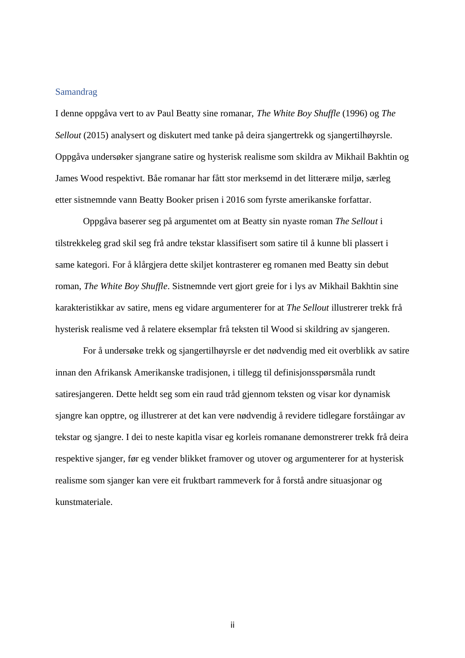#### <span id="page-1-0"></span>Samandrag

I denne oppgåva vert to av Paul Beatty sine romanar, *The White Boy Shuffle* (1996) og *The Sellout* (2015) analysert og diskutert med tanke på deira sjangertrekk og sjangertilhøyrsle. Oppgåva undersøker sjangrane satire og hysterisk realisme som skildra av Mikhail Bakhtin og James Wood respektivt. Båe romanar har fått stor merksemd in det litterære miljø, særleg etter sistnemnde vann Beatty Booker prisen i 2016 som fyrste amerikanske forfattar.

Oppgåva baserer seg på argumentet om at Beatty sin nyaste roman *The Sellout* i tilstrekkeleg grad skil seg frå andre tekstar klassifisert som satire til å kunne bli plassert i same kategori. For å klårgjera dette skiljet kontrasterer eg romanen med Beatty sin debut roman, *The White Boy Shuffle*. Sistnemnde vert gjort greie for i lys av Mikhail Bakhtin sine karakteristikkar av satire, mens eg vidare argumenterer for at *The Sellout* illustrerer trekk frå hysterisk realisme ved å relatere eksemplar frå teksten til Wood si skildring av sjangeren.

For å undersøke trekk og sjangertilhøyrsle er det nødvendig med eit overblikk av satire innan den Afrikansk Amerikanske tradisjonen, i tillegg til definisjonsspørsmåla rundt satiresjangeren. Dette heldt seg som ein raud tråd gjennom teksten og visar kor dynamisk sjangre kan opptre, og illustrerer at det kan vere nødvendig å revidere tidlegare forståingar av tekstar og sjangre. I dei to neste kapitla visar eg korleis romanane demonstrerer trekk frå deira respektive sjanger, før eg vender blikket framover og utover og argumenterer for at hysterisk realisme som sjanger kan vere eit fruktbart rammeverk for å forstå andre situasjonar og kunstmateriale.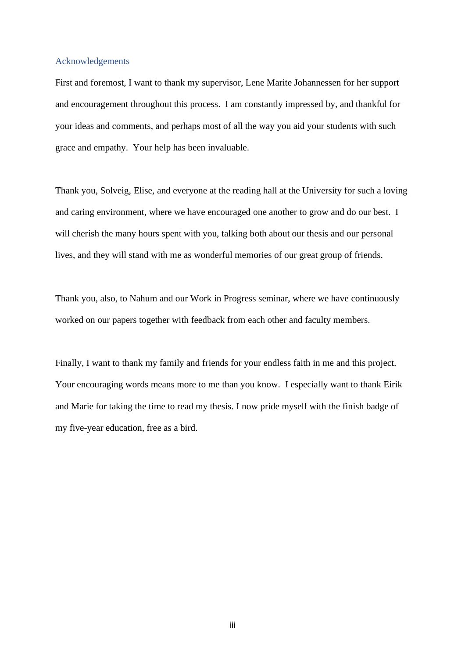#### <span id="page-2-0"></span>Acknowledgements

First and foremost, I want to thank my supervisor, Lene Marite Johannessen for her support and encouragement throughout this process. I am constantly impressed by, and thankful for your ideas and comments, and perhaps most of all the way you aid your students with such grace and empathy. Your help has been invaluable.

Thank you, Solveig, Elise, and everyone at the reading hall at the University for such a loving and caring environment, where we have encouraged one another to grow and do our best. I will cherish the many hours spent with you, talking both about our thesis and our personal lives, and they will stand with me as wonderful memories of our great group of friends.

Thank you, also, to Nahum and our Work in Progress seminar, where we have continuously worked on our papers together with feedback from each other and faculty members.

Finally, I want to thank my family and friends for your endless faith in me and this project. Your encouraging words means more to me than you know. I especially want to thank Eirik and Marie for taking the time to read my thesis. I now pride myself with the finish badge of my five-year education, free as a bird.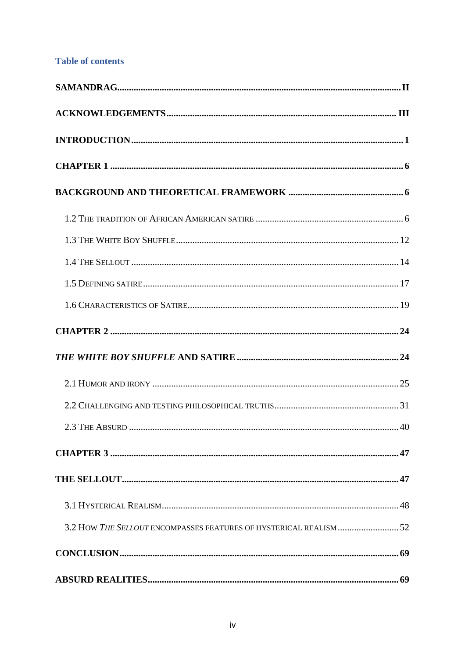# **Table of contents**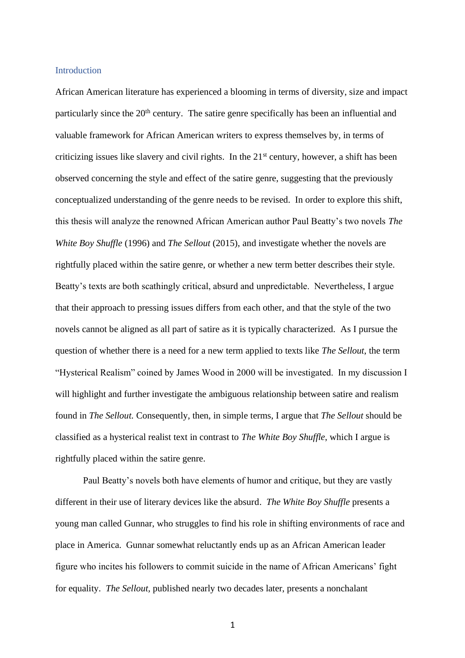#### <span id="page-5-0"></span>**Introduction**

African American literature has experienced a blooming in terms of diversity, size and impact particularly since the  $20<sup>th</sup>$  century. The satire genre specifically has been an influential and valuable framework for African American writers to express themselves by, in terms of criticizing issues like slavery and civil rights. In the  $21<sup>st</sup>$  century, however, a shift has been observed concerning the style and effect of the satire genre, suggesting that the previously conceptualized understanding of the genre needs to be revised. In order to explore this shift, this thesis will analyze the renowned African American author Paul Beatty's two novels *The White Boy Shuffle* (1996) and *The Sellout* (2015), and investigate whether the novels are rightfully placed within the satire genre, or whether a new term better describes their style. Beatty's texts are both scathingly critical, absurd and unpredictable. Nevertheless, I argue that their approach to pressing issues differs from each other, and that the style of the two novels cannot be aligned as all part of satire as it is typically characterized. As I pursue the question of whether there is a need for a new term applied to texts like *The Sellout*, the term "Hysterical Realism" coined by James Wood in 2000 will be investigated. In my discussion I will highlight and further investigate the ambiguous relationship between satire and realism found in *The Sellout.* Consequently, then, in simple terms, I argue that *The Sellout* should be classified as a hysterical realist text in contrast to *The White Boy Shuffle*, which I argue is rightfully placed within the satire genre.

Paul Beatty's novels both have elements of humor and critique, but they are vastly different in their use of literary devices like the absurd. *The White Boy Shuffle* presents a young man called Gunnar, who struggles to find his role in shifting environments of race and place in America. Gunnar somewhat reluctantly ends up as an African American leader figure who incites his followers to commit suicide in the name of African Americans' fight for equality. *The Sellout,* published nearly two decades later, presents a nonchalant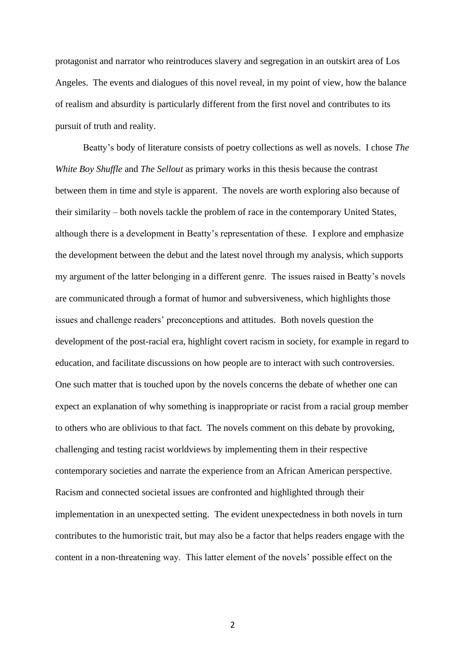protagonist and narrator who reintroduces slavery and segregation in an outskirt area of Los Angeles. The events and dialogues of this novel reveal, in my point of view, how the balance of realism and absurdity is particularly different from the first novel and contributes to its pursuit of truth and reality.

Beatty's body of literature consists of poetry collections as well as novels. I chose *The White Boy Shuffle* and *The Sellout* as primary works in this thesis because the contrast between them in time and style is apparent. The novels are worth exploring also because of their similarity – both novels tackle the problem of race in the contemporary United States, although there is a development in Beatty's representation of these. I explore and emphasize the development between the debut and the latest novel through my analysis, which supports my argument of the latter belonging in a different genre. The issues raised in Beatty's novels are communicated through a format of humor and subversiveness, which highlights those issues and challenge readers' preconceptions and attitudes. Both novels question the development of the post-racial era, highlight covert racism in society, for example in regard to education, and facilitate discussions on how people are to interact with such controversies. One such matter that is touched upon by the novels concerns the debate of whether one can expect an explanation of why something is inappropriate or racist from a racial group member to others who are oblivious to that fact. The novels comment on this debate by provoking, challenging and testing racist worldviews by implementing them in their respective contemporary societies and narrate the experience from an African American perspective. Racism and connected societal issues are confronted and highlighted through their implementation in an unexpected setting. The evident unexpectedness in both novels in turn contributes to the humoristic trait, but may also be a factor that helps readers engage with the content in a non-threatening way. This latter element of the novels' possible effect on the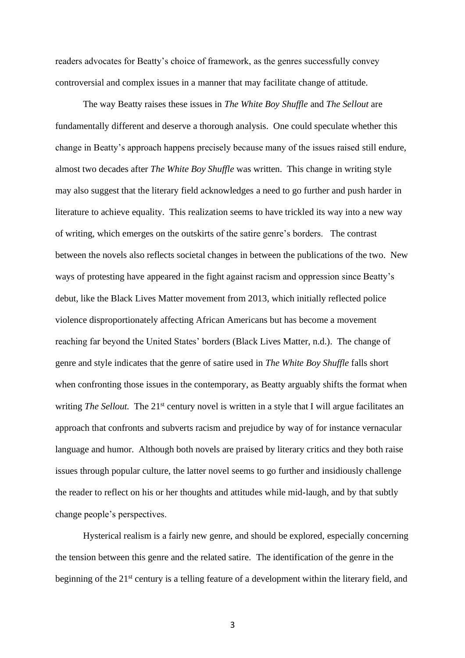readers advocates for Beatty's choice of framework, as the genres successfully convey controversial and complex issues in a manner that may facilitate change of attitude.

The way Beatty raises these issues in *The White Boy Shuffle* and *The Sellout* are fundamentally different and deserve a thorough analysis. One could speculate whether this change in Beatty's approach happens precisely because many of the issues raised still endure, almost two decades after *The White Boy Shuffle* was written. This change in writing style may also suggest that the literary field acknowledges a need to go further and push harder in literature to achieve equality. This realization seems to have trickled its way into a new way of writing, which emerges on the outskirts of the satire genre's borders. The contrast between the novels also reflects societal changes in between the publications of the two. New ways of protesting have appeared in the fight against racism and oppression since Beatty's debut, like the Black Lives Matter movement from 2013, which initially reflected police violence disproportionately affecting African Americans but has become a movement reaching far beyond the United States' borders (Black Lives Matter, n.d.). The change of genre and style indicates that the genre of satire used in *The White Boy Shuffle* falls short when confronting those issues in the contemporary, as Beatty arguably shifts the format when writing *The Sellout.* The 21<sup>st</sup> century novel is written in a style that I will argue facilitates an approach that confronts and subverts racism and prejudice by way of for instance vernacular language and humor. Although both novels are praised by literary critics and they both raise issues through popular culture, the latter novel seems to go further and insidiously challenge the reader to reflect on his or her thoughts and attitudes while mid-laugh, and by that subtly change people's perspectives.

Hysterical realism is a fairly new genre, and should be explored, especially concerning the tension between this genre and the related satire. The identification of the genre in the beginning of the 21<sup>st</sup> century is a telling feature of a development within the literary field, and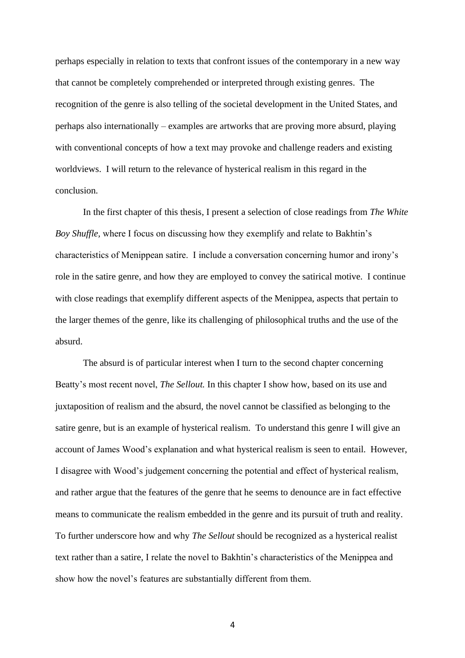perhaps especially in relation to texts that confront issues of the contemporary in a new way that cannot be completely comprehended or interpreted through existing genres. The recognition of the genre is also telling of the societal development in the United States, and perhaps also internationally – examples are artworks that are proving more absurd, playing with conventional concepts of how a text may provoke and challenge readers and existing worldviews. I will return to the relevance of hysterical realism in this regard in the conclusion.

In the first chapter of this thesis, I present a selection of close readings from *The White Boy Shuffle,* where I focus on discussing how they exemplify and relate to Bakhtin's characteristics of Menippean satire. I include a conversation concerning humor and irony's role in the satire genre, and how they are employed to convey the satirical motive. I continue with close readings that exemplify different aspects of the Menippea, aspects that pertain to the larger themes of the genre, like its challenging of philosophical truths and the use of the absurd.

The absurd is of particular interest when I turn to the second chapter concerning Beatty's most recent novel, *The Sellout.* In this chapter I show how, based on its use and juxtaposition of realism and the absurd, the novel cannot be classified as belonging to the satire genre, but is an example of hysterical realism. To understand this genre I will give an account of James Wood's explanation and what hysterical realism is seen to entail. However, I disagree with Wood's judgement concerning the potential and effect of hysterical realism, and rather argue that the features of the genre that he seems to denounce are in fact effective means to communicate the realism embedded in the genre and its pursuit of truth and reality. To further underscore how and why *The Sellout* should be recognized as a hysterical realist text rather than a satire, I relate the novel to Bakhtin's characteristics of the Menippea and show how the novel's features are substantially different from them.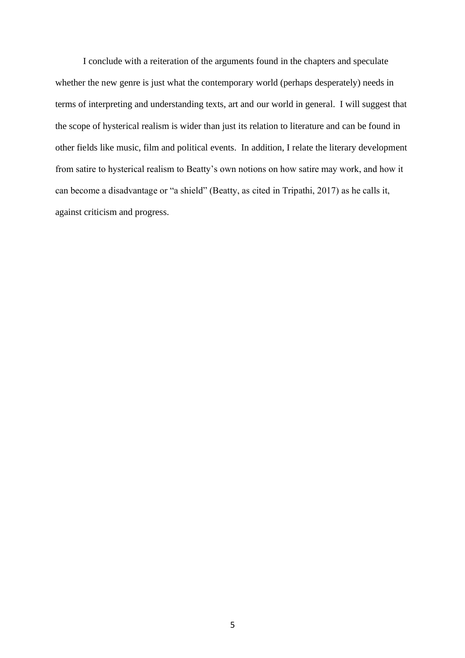I conclude with a reiteration of the arguments found in the chapters and speculate whether the new genre is just what the contemporary world (perhaps desperately) needs in terms of interpreting and understanding texts, art and our world in general. I will suggest that the scope of hysterical realism is wider than just its relation to literature and can be found in other fields like music, film and political events. In addition, I relate the literary development from satire to hysterical realism to Beatty's own notions on how satire may work, and how it can become a disadvantage or "a shield" (Beatty, as cited in Tripathi, 2017) as he calls it, against criticism and progress.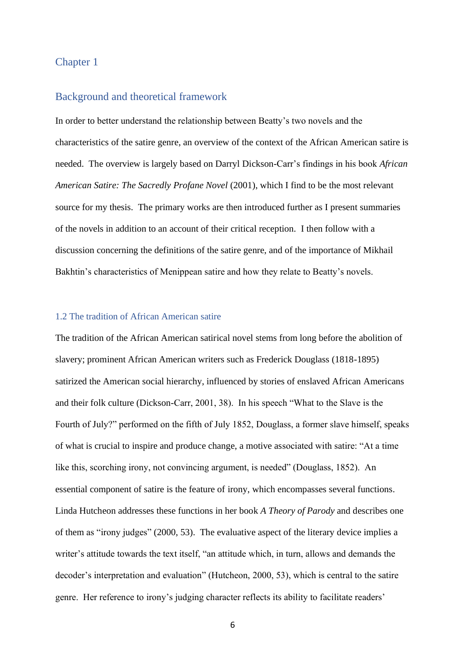## <span id="page-10-0"></span>Chapter 1

#### <span id="page-10-1"></span>Background and theoretical framework

In order to better understand the relationship between Beatty's two novels and the characteristics of the satire genre, an overview of the context of the African American satire is needed. The overview is largely based on Darryl Dickson-Carr's findings in his book *African American Satire: The Sacredly Profane Novel* (2001), which I find to be the most relevant source for my thesis. The primary works are then introduced further as I present summaries of the novels in addition to an account of their critical reception. I then follow with a discussion concerning the definitions of the satire genre, and of the importance of Mikhail Bakhtin's characteristics of Menippean satire and how they relate to Beatty's novels.

#### <span id="page-10-2"></span>1.2 The tradition of African American satire

The tradition of the African American satirical novel stems from long before the abolition of slavery; prominent African American writers such as Frederick Douglass (1818-1895) satirized the American social hierarchy, influenced by stories of enslaved African Americans and their folk culture (Dickson-Carr, 2001, 38). In his speech "What to the Slave is the Fourth of July?" performed on the fifth of July 1852, Douglass, a former slave himself, speaks of what is crucial to inspire and produce change, a motive associated with satire: "At a time like this, scorching irony, not convincing argument, is needed" (Douglass, 1852). An essential component of satire is the feature of irony, which encompasses several functions. Linda Hutcheon addresses these functions in her book *A Theory of Parody* and describes one of them as "irony judges" (2000, 53). The evaluative aspect of the literary device implies a writer's attitude towards the text itself, "an attitude which, in turn, allows and demands the decoder's interpretation and evaluation" (Hutcheon, 2000, 53), which is central to the satire genre. Her reference to irony's judging character reflects its ability to facilitate readers'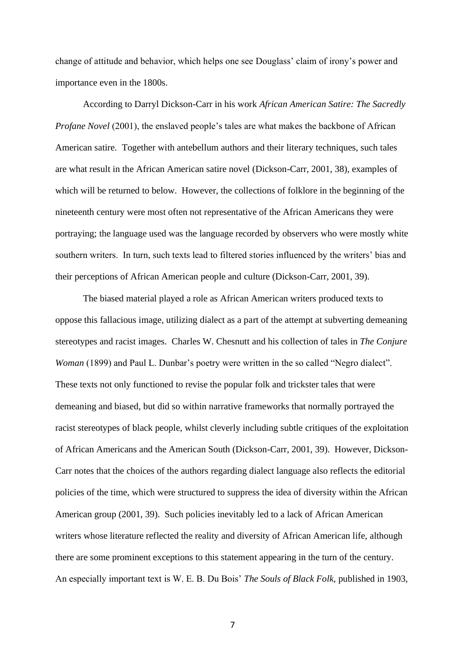change of attitude and behavior, which helps one see Douglass' claim of irony's power and importance even in the 1800s.

According to Darryl Dickson-Carr in his work *African American Satire: The Sacredly Profane Novel* (2001), the enslaved people's tales are what makes the backbone of African American satire. Together with antebellum authors and their literary techniques, such tales are what result in the African American satire novel (Dickson-Carr, 2001, 38), examples of which will be returned to below. However, the collections of folklore in the beginning of the nineteenth century were most often not representative of the African Americans they were portraying; the language used was the language recorded by observers who were mostly white southern writers. In turn, such texts lead to filtered stories influenced by the writers' bias and their perceptions of African American people and culture (Dickson-Carr, 2001, 39).

The biased material played a role as African American writers produced texts to oppose this fallacious image, utilizing dialect as a part of the attempt at subverting demeaning stereotypes and racist images. Charles W. Chesnutt and his collection of tales in *The Conjure Woman* (1899) and Paul L. Dunbar's poetry were written in the so called "Negro dialect". These texts not only functioned to revise the popular folk and trickster tales that were demeaning and biased, but did so within narrative frameworks that normally portrayed the racist stereotypes of black people, whilst cleverly including subtle critiques of the exploitation of African Americans and the American South (Dickson-Carr, 2001, 39). However, Dickson-Carr notes that the choices of the authors regarding dialect language also reflects the editorial policies of the time, which were structured to suppress the idea of diversity within the African American group (2001, 39). Such policies inevitably led to a lack of African American writers whose literature reflected the reality and diversity of African American life, although there are some prominent exceptions to this statement appearing in the turn of the century. An especially important text is W. E. B. Du Bois' *The Souls of Black Folk,* published in 1903,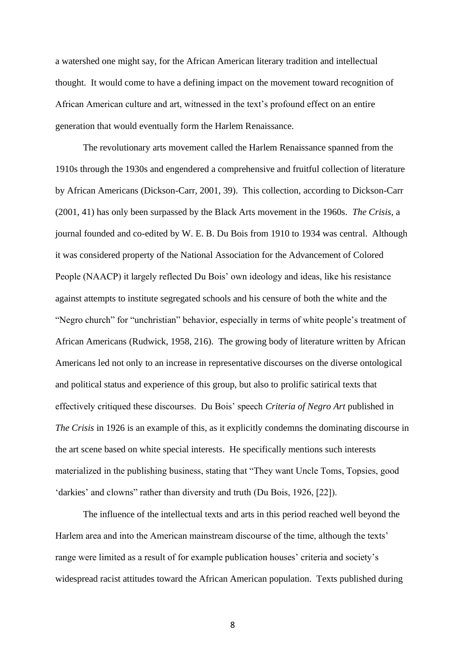a watershed one might say, for the African American literary tradition and intellectual thought. It would come to have a defining impact on the movement toward recognition of African American culture and art, witnessed in the text's profound effect on an entire generation that would eventually form the Harlem Renaissance.

The revolutionary arts movement called the Harlem Renaissance spanned from the 1910s through the 1930s and engendered a comprehensive and fruitful collection of literature by African Americans (Dickson-Carr, 2001, 39). This collection, according to Dickson-Carr (2001, 41) has only been surpassed by the Black Arts movement in the 1960s. *The Crisis*, a journal founded and co-edited by W. E. B. Du Bois from 1910 to 1934 was central. Although it was considered property of the National Association for the Advancement of Colored People (NAACP) it largely reflected Du Bois' own ideology and ideas, like his resistance against attempts to institute segregated schools and his censure of both the white and the "Negro church" for "unchristian" behavior, especially in terms of white people's treatment of African Americans (Rudwick, 1958, 216). The growing body of literature written by African Americans led not only to an increase in representative discourses on the diverse ontological and political status and experience of this group, but also to prolific satirical texts that effectively critiqued these discourses. Du Bois' speech *Criteria of Negro Art* published in *The Crisis* in 1926 is an example of this, as it explicitly condemns the dominating discourse in the art scene based on white special interests. He specifically mentions such interests materialized in the publishing business, stating that "They want Uncle Toms, Topsies, good 'darkies' and clowns" rather than diversity and truth (Du Bois, 1926, [22]).

The influence of the intellectual texts and arts in this period reached well beyond the Harlem area and into the American mainstream discourse of the time, although the texts' range were limited as a result of for example publication houses' criteria and society's widespread racist attitudes toward the African American population. Texts published during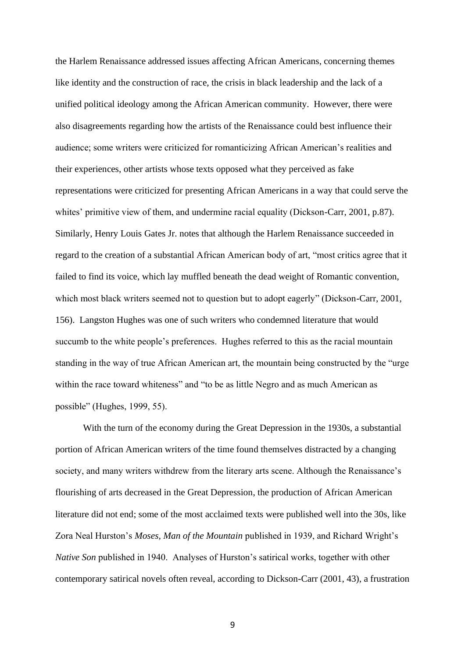the Harlem Renaissance addressed issues affecting African Americans, concerning themes like identity and the construction of race, the crisis in black leadership and the lack of a unified political ideology among the African American community. However, there were also disagreements regarding how the artists of the Renaissance could best influence their audience; some writers were criticized for romanticizing African American's realities and their experiences, other artists whose texts opposed what they perceived as fake representations were criticized for presenting African Americans in a way that could serve the whites' primitive view of them, and undermine racial equality (Dickson-Carr, 2001, p.87). Similarly, Henry Louis Gates Jr. notes that although the Harlem Renaissance succeeded in regard to the creation of a substantial African American body of art, "most critics agree that it failed to find its voice, which lay muffled beneath the dead weight of Romantic convention, which most black writers seemed not to question but to adopt eagerly" (Dickson-Carr, 2001, 156). Langston Hughes was one of such writers who condemned literature that would succumb to the white people's preferences. Hughes referred to this as the racial mountain standing in the way of true African American art, the mountain being constructed by the "urge within the race toward whiteness" and "to be as little Negro and as much American as possible" (Hughes, 1999, 55).

With the turn of the economy during the Great Depression in the 1930s, a substantial portion of African American writers of the time found themselves distracted by a changing society, and many writers withdrew from the literary arts scene. Although the Renaissance's flourishing of arts decreased in the Great Depression, the production of African American literature did not end; some of the most acclaimed texts were published well into the 30s, like Zora Neal Hurston's *Moses, Man of the Mountain* published in 1939, and Richard Wright's *Native Son* published in 1940. Analyses of Hurston's satirical works, together with other contemporary satirical novels often reveal, according to Dickson-Carr (2001, 43), a frustration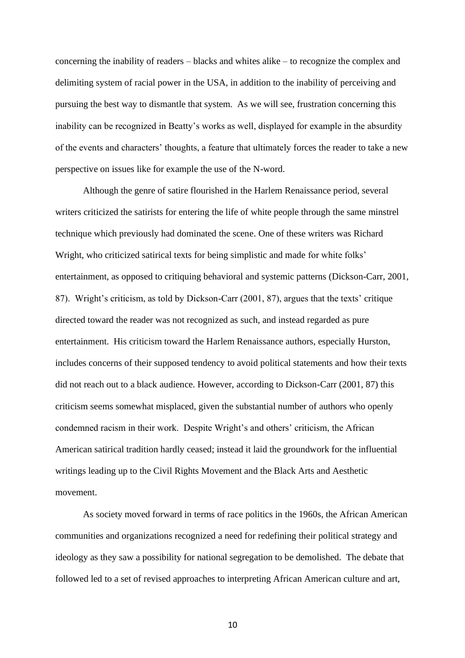concerning the inability of readers – blacks and whites alike – to recognize the complex and delimiting system of racial power in the USA, in addition to the inability of perceiving and pursuing the best way to dismantle that system. As we will see, frustration concerning this inability can be recognized in Beatty's works as well, displayed for example in the absurdity of the events and characters' thoughts, a feature that ultimately forces the reader to take a new perspective on issues like for example the use of the N-word.

Although the genre of satire flourished in the Harlem Renaissance period, several writers criticized the satirists for entering the life of white people through the same minstrel technique which previously had dominated the scene. One of these writers was Richard Wright, who criticized satirical texts for being simplistic and made for white folks' entertainment, as opposed to critiquing behavioral and systemic patterns (Dickson-Carr, 2001, 87). Wright's criticism, as told by Dickson-Carr (2001, 87), argues that the texts' critique directed toward the reader was not recognized as such, and instead regarded as pure entertainment. His criticism toward the Harlem Renaissance authors, especially Hurston, includes concerns of their supposed tendency to avoid political statements and how their texts did not reach out to a black audience. However, according to Dickson-Carr (2001, 87) this criticism seems somewhat misplaced, given the substantial number of authors who openly condemned racism in their work. Despite Wright's and others' criticism, the African American satirical tradition hardly ceased; instead it laid the groundwork for the influential writings leading up to the Civil Rights Movement and the Black Arts and Aesthetic movement.

As society moved forward in terms of race politics in the 1960s, the African American communities and organizations recognized a need for redefining their political strategy and ideology as they saw a possibility for national segregation to be demolished. The debate that followed led to a set of revised approaches to interpreting African American culture and art,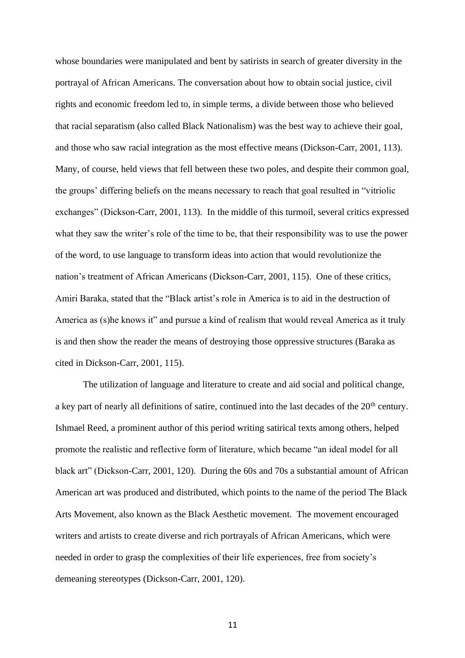whose boundaries were manipulated and bent by satirists in search of greater diversity in the portrayal of African Americans. The conversation about how to obtain social justice, civil rights and economic freedom led to, in simple terms, a divide between those who believed that racial separatism (also called Black Nationalism) was the best way to achieve their goal, and those who saw racial integration as the most effective means (Dickson-Carr, 2001, 113). Many, of course, held views that fell between these two poles, and despite their common goal, the groups' differing beliefs on the means necessary to reach that goal resulted in "vitriolic exchanges" (Dickson-Carr, 2001, 113). In the middle of this turmoil, several critics expressed what they saw the writer's role of the time to be, that their responsibility was to use the power of the word, to use language to transform ideas into action that would revolutionize the nation's treatment of African Americans (Dickson-Carr, 2001, 115). One of these critics, Amiri Baraka, stated that the "Black artist's role in America is to aid in the destruction of America as (s)he knows it" and pursue a kind of realism that would reveal America as it truly is and then show the reader the means of destroying those oppressive structures (Baraka as cited in Dickson-Carr, 2001, 115).

The utilization of language and literature to create and aid social and political change, a key part of nearly all definitions of satire, continued into the last decades of the 20<sup>th</sup> century. Ishmael Reed, a prominent author of this period writing satirical texts among others, helped promote the realistic and reflective form of literature, which became "an ideal model for all black art" (Dickson-Carr, 2001, 120). During the 60s and 70s a substantial amount of African American art was produced and distributed, which points to the name of the period The Black Arts Movement, also known as the Black Aesthetic movement. The movement encouraged writers and artists to create diverse and rich portrayals of African Americans, which were needed in order to grasp the complexities of their life experiences, free from society's demeaning stereotypes (Dickson-Carr, 2001, 120).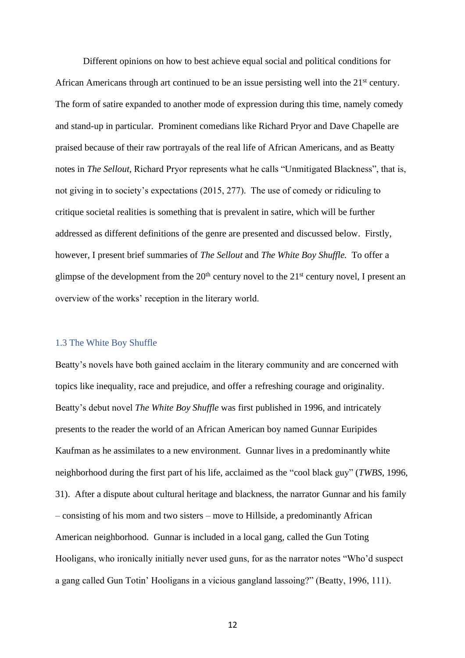Different opinions on how to best achieve equal social and political conditions for African Americans through art continued to be an issue persisting well into the 21<sup>st</sup> century. The form of satire expanded to another mode of expression during this time, namely comedy and stand-up in particular. Prominent comedians like Richard Pryor and Dave Chapelle are praised because of their raw portrayals of the real life of African Americans, and as Beatty notes in *The Sellout,* Richard Pryor represents what he calls "Unmitigated Blackness", that is, not giving in to society's expectations (2015, 277). The use of comedy or ridiculing to critique societal realities is something that is prevalent in satire, which will be further addressed as different definitions of the genre are presented and discussed below. Firstly, however, I present brief summaries of *The Sellout* and *The White Boy Shuffle.* To offer a glimpse of the development from the  $20<sup>th</sup>$  century novel to the  $21<sup>st</sup>$  century novel, I present an overview of the works' reception in the literary world.

#### <span id="page-16-0"></span>1.3 The White Boy Shuffle

Beatty's novels have both gained acclaim in the literary community and are concerned with topics like inequality, race and prejudice, and offer a refreshing courage and originality. Beatty's debut novel *The White Boy Shuffle* was first published in 1996, and intricately presents to the reader the world of an African American boy named Gunnar Euripides Kaufman as he assimilates to a new environment. Gunnar lives in a predominantly white neighborhood during the first part of his life, acclaimed as the "cool black guy" (*TWBS*, 1996, 31). After a dispute about cultural heritage and blackness, the narrator Gunnar and his family – consisting of his mom and two sisters – move to Hillside, a predominantly African American neighborhood. Gunnar is included in a local gang, called the Gun Toting Hooligans, who ironically initially never used guns, for as the narrator notes "Who'd suspect a gang called Gun Totin' Hooligans in a vicious gangland lassoing?" (Beatty, 1996, 111).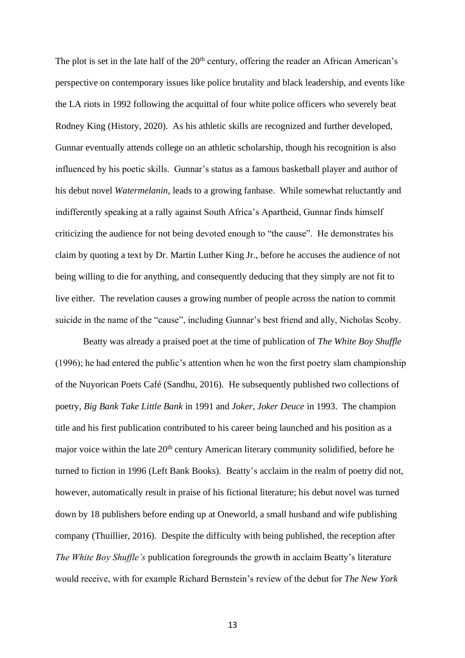The plot is set in the late half of the  $20<sup>th</sup>$  century, offering the reader an African American's perspective on contemporary issues like police brutality and black leadership, and events like the LA riots in 1992 following the acquittal of four white police officers who severely beat Rodney King (History, 2020). As his athletic skills are recognized and further developed, Gunnar eventually attends college on an athletic scholarship, though his recognition is also influenced by his poetic skills. Gunnar's status as a famous basketball player and author of his debut novel *Watermelanin*, leads to a growing fanbase. While somewhat reluctantly and indifferently speaking at a rally against South Africa's Apartheid, Gunnar finds himself criticizing the audience for not being devoted enough to "the cause". He demonstrates his claim by quoting a text by Dr. Martin Luther King Jr., before he accuses the audience of not being willing to die for anything, and consequently deducing that they simply are not fit to live either. The revelation causes a growing number of people across the nation to commit suicide in the name of the "cause", including Gunnar's best friend and ally, Nicholas Scoby.

Beatty was already a praised poet at the time of publication of *The White Boy Shuffle*  (1996); he had entered the public's attention when he won the first poetry slam championship of the Nuyorican Poets Café (Sandhu, 2016). He subsequently published two collections of poetry, *Big Bank Take Little Bank* in 1991 and *Joker, Joker Deuce* in 1993. The champion title and his first publication contributed to his career being launched and his position as a major voice within the late 20<sup>th</sup> century American literary community solidified, before he turned to fiction in 1996 (Left Bank Books). Beatty's acclaim in the realm of poetry did not, however, automatically result in praise of his fictional literature; his debut novel was turned down by 18 publishers before ending up at Oneworld, a small husband and wife publishing company (Thuillier, 2016). Despite the difficulty with being published, the reception after *The White Boy Shuffle's* publication foregrounds the growth in acclaim Beatty's literature would receive, with for example Richard Bernstein's review of the debut for *The New York*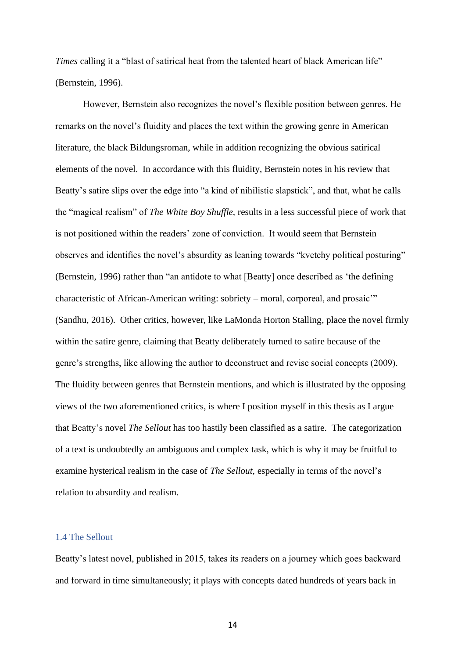*Times* calling it a "blast of satirical heat from the talented heart of black American life" (Bernstein, 1996).

However, Bernstein also recognizes the novel's flexible position between genres. He remarks on the novel's fluidity and places the text within the growing genre in American literature, the black Bildungsroman, while in addition recognizing the obvious satirical elements of the novel. In accordance with this fluidity, Bernstein notes in his review that Beatty's satire slips over the edge into "a kind of nihilistic slapstick", and that, what he calls the "magical realism" of *The White Boy Shuffle,* results in a less successful piece of work that is not positioned within the readers' zone of conviction. It would seem that Bernstein observes and identifies the novel's absurdity as leaning towards "kvetchy political posturing" (Bernstein, 1996) rather than "an antidote to what [Beatty] once described as 'the defining characteristic of African-American writing: sobriety – moral, corporeal, and prosaic'" (Sandhu, 2016). Other critics, however, like LaMonda Horton Stalling, place the novel firmly within the satire genre, claiming that Beatty deliberately turned to satire because of the genre's strengths, like allowing the author to deconstruct and revise social concepts (2009). The fluidity between genres that Bernstein mentions, and which is illustrated by the opposing views of the two aforementioned critics, is where I position myself in this thesis as I argue that Beatty's novel *The Sellout* has too hastily been classified as a satire. The categorization of a text is undoubtedly an ambiguous and complex task, which is why it may be fruitful to examine hysterical realism in the case of *The Sellout,* especially in terms of the novel's relation to absurdity and realism*.*

#### <span id="page-18-0"></span>1.4 The Sellout

Beatty's latest novel, published in 2015, takes its readers on a journey which goes backward and forward in time simultaneously; it plays with concepts dated hundreds of years back in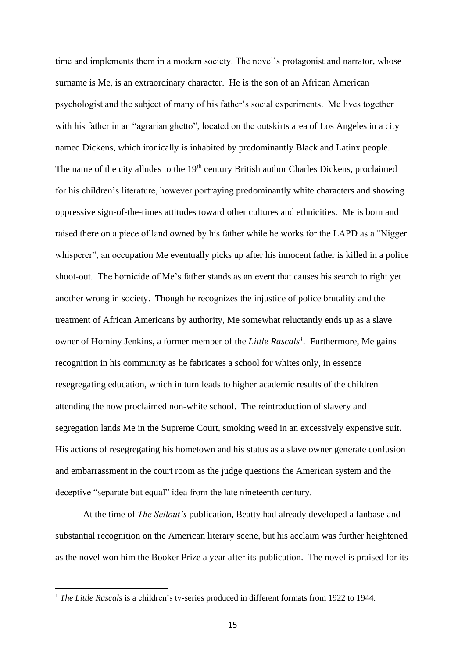time and implements them in a modern society. The novel's protagonist and narrator, whose surname is Me, is an extraordinary character. He is the son of an African American psychologist and the subject of many of his father's social experiments. Me lives together with his father in an "agrarian ghetto", located on the outskirts area of Los Angeles in a city named Dickens, which ironically is inhabited by predominantly Black and Latinx people. The name of the city alludes to the 19<sup>th</sup> century British author Charles Dickens, proclaimed for his children's literature, however portraying predominantly white characters and showing oppressive sign-of-the-times attitudes toward other cultures and ethnicities. Me is born and raised there on a piece of land owned by his father while he works for the LAPD as a "Nigger whisperer", an occupation Me eventually picks up after his innocent father is killed in a police shoot-out. The homicide of Me's father stands as an event that causes his search to right yet another wrong in society. Though he recognizes the injustice of police brutality and the treatment of African Americans by authority, Me somewhat reluctantly ends up as a slave owner of Hominy Jenkins, a former member of the *Little Rascals 1 .* Furthermore, Me gains recognition in his community as he fabricates a school for whites only, in essence resegregating education, which in turn leads to higher academic results of the children attending the now proclaimed non-white school. The reintroduction of slavery and segregation lands Me in the Supreme Court, smoking weed in an excessively expensive suit. His actions of resegregating his hometown and his status as a slave owner generate confusion and embarrassment in the court room as the judge questions the American system and the deceptive "separate but equal" idea from the late nineteenth century.

At the time of *The Sellout's* publication, Beatty had already developed a fanbase and substantial recognition on the American literary scene, but his acclaim was further heightened as the novel won him the Booker Prize a year after its publication. The novel is praised for its

<sup>&</sup>lt;sup>1</sup> *The Little Rascals* is a children's tv-series produced in different formats from 1922 to 1944.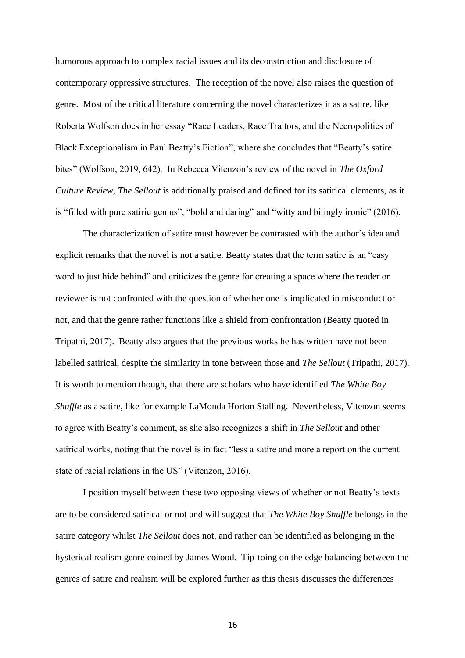humorous approach to complex racial issues and its deconstruction and disclosure of contemporary oppressive structures. The reception of the novel also raises the question of genre. Most of the critical literature concerning the novel characterizes it as a satire, like Roberta Wolfson does in her essay "Race Leaders, Race Traitors, and the Necropolitics of Black Exceptionalism in Paul Beatty's Fiction", where she concludes that "Beatty's satire bites" (Wolfson, 2019, 642). In Rebecca Vitenzon's review of the novel in *The Oxford Culture Review*, *The Sellout* is additionally praised and defined for its satirical elements, as it is "filled with pure satiric genius", "bold and daring" and "witty and bitingly ironic" (2016).

The characterization of satire must however be contrasted with the author's idea and explicit remarks that the novel is not a satire. Beatty states that the term satire is an "easy word to just hide behind" and criticizes the genre for creating a space where the reader or reviewer is not confronted with the question of whether one is implicated in misconduct or not, and that the genre rather functions like a shield from confrontation (Beatty quoted in Tripathi, 2017). Beatty also argues that the previous works he has written have not been labelled satirical, despite the similarity in tone between those and *The Sellout* (Tripathi, 2017). It is worth to mention though, that there are scholars who have identified *The White Boy Shuffle* as a satire, like for example LaMonda Horton Stalling. Nevertheless, Vitenzon seems to agree with Beatty's comment, as she also recognizes a shift in *The Sellout* and other satirical works, noting that the novel is in fact "less a satire and more a report on the current state of racial relations in the US" (Vitenzon, 2016).

I position myself between these two opposing views of whether or not Beatty's texts are to be considered satirical or not and will suggest that *The White Boy Shuffle* belongs in the satire category whilst *The Sellout* does not, and rather can be identified as belonging in the hysterical realism genre coined by James Wood. Tip-toing on the edge balancing between the genres of satire and realism will be explored further as this thesis discusses the differences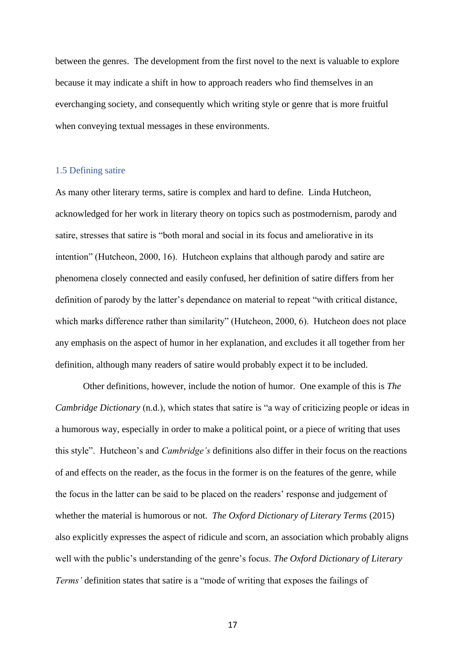between the genres. The development from the first novel to the next is valuable to explore because it may indicate a shift in how to approach readers who find themselves in an everchanging society, and consequently which writing style or genre that is more fruitful when conveying textual messages in these environments.

### <span id="page-21-0"></span>1.5 Defining satire

As many other literary terms, satire is complex and hard to define. Linda Hutcheon, acknowledged for her work in literary theory on topics such as postmodernism, parody and satire, stresses that satire is "both moral and social in its focus and ameliorative in its intention" (Hutcheon, 2000, 16). Hutcheon explains that although parody and satire are phenomena closely connected and easily confused, her definition of satire differs from her definition of parody by the latter's dependance on material to repeat "with critical distance, which marks difference rather than similarity" (Hutcheon, 2000, 6). Hutcheon does not place any emphasis on the aspect of humor in her explanation, and excludes it all together from her definition, although many readers of satire would probably expect it to be included.

Other definitions, however, include the notion of humor. One example of this is *The Cambridge Dictionary* (n.d.), which states that satire is "a way of criticizing people or ideas in a humorous way, especially in order to make a political point, or a piece of writing that uses this style". Hutcheon's and *Cambridge's* definitions also differ in their focus on the reactions of and effects on the reader, as the focus in the former is on the features of the genre, while the focus in the latter can be said to be placed on the readers' response and judgement of whether the material is humorous or not. *The Oxford Dictionary of Literary Terms* (2015) also explicitly expresses the aspect of ridicule and scorn, an association which probably aligns well with the public's understanding of the genre's focus. *The Oxford Dictionary of Literary Terms'* definition states that satire is a "mode of writing that exposes the failings of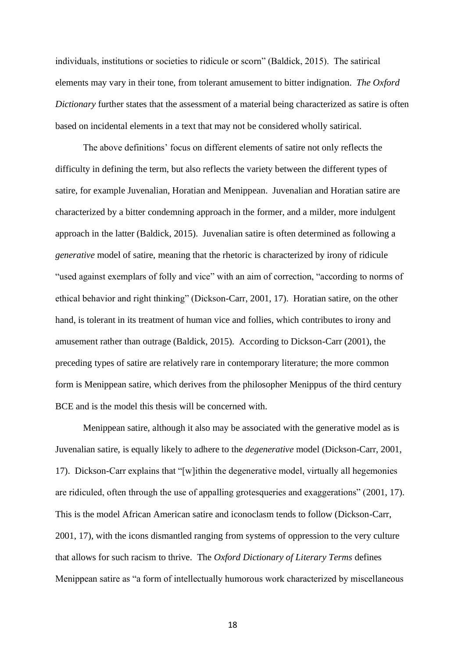individuals, institutions or societies to ridicule or scorn" (Baldick, 2015). The satirical elements may vary in their tone, from tolerant amusement to bitter indignation. *The Oxford Dictionary* further states that the assessment of a material being characterized as satire is often based on incidental elements in a text that may not be considered wholly satirical.

The above definitions' focus on different elements of satire not only reflects the difficulty in defining the term, but also reflects the variety between the different types of satire, for example Juvenalian, Horatian and Menippean. Juvenalian and Horatian satire are characterized by a bitter condemning approach in the former, and a milder, more indulgent approach in the latter (Baldick, 2015). Juvenalian satire is often determined as following a *generative* model of satire, meaning that the rhetoric is characterized by irony of ridicule "used against exemplars of folly and vice" with an aim of correction, "according to norms of ethical behavior and right thinking" (Dickson-Carr, 2001, 17). Horatian satire, on the other hand, is tolerant in its treatment of human vice and follies, which contributes to irony and amusement rather than outrage (Baldick, 2015). According to Dickson-Carr (2001), the preceding types of satire are relatively rare in contemporary literature; the more common form is Menippean satire, which derives from the philosopher Menippus of the third century BCE and is the model this thesis will be concerned with.

Menippean satire, although it also may be associated with the generative model as is Juvenalian satire, is equally likely to adhere to the *degenerative* model (Dickson-Carr, 2001, 17). Dickson-Carr explains that "[w]ithin the degenerative model, virtually all hegemonies are ridiculed, often through the use of appalling grotesqueries and exaggerations" (2001, 17). This is the model African American satire and iconoclasm tends to follow (Dickson-Carr, 2001, 17), with the icons dismantled ranging from systems of oppression to the very culture that allows for such racism to thrive. The *Oxford Dictionary of Literary Terms* defines Menippean satire as "a form of intellectually humorous work characterized by miscellaneous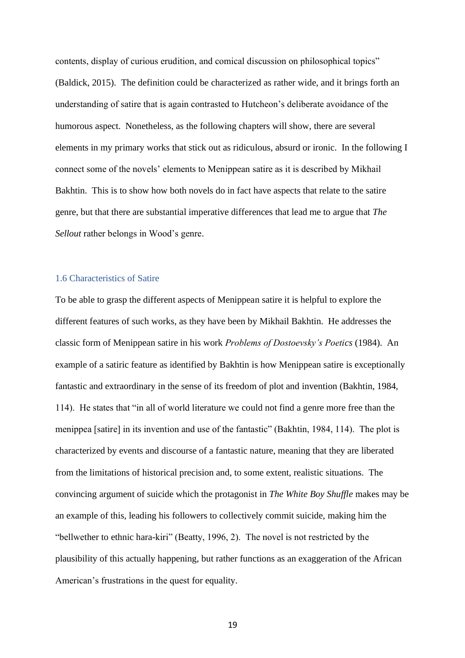contents, display of curious erudition, and comical discussion on philosophical topics" (Baldick, 2015). The definition could be characterized as rather wide, and it brings forth an understanding of satire that is again contrasted to Hutcheon's deliberate avoidance of the humorous aspect. Nonetheless, as the following chapters will show, there are several elements in my primary works that stick out as ridiculous, absurd or ironic. In the following I connect some of the novels' elements to Menippean satire as it is described by Mikhail Bakhtin. This is to show how both novels do in fact have aspects that relate to the satire genre, but that there are substantial imperative differences that lead me to argue that *The Sellout* rather belongs in Wood's genre.

#### <span id="page-23-0"></span>1.6 Characteristics of Satire

To be able to grasp the different aspects of Menippean satire it is helpful to explore the different features of such works, as they have been by Mikhail Bakhtin. He addresses the classic form of Menippean satire in his work *Problems of Dostoevsky's Poetics* (1984). An example of a satiric feature as identified by Bakhtin is how Menippean satire is exceptionally fantastic and extraordinary in the sense of its freedom of plot and invention (Bakhtin, 1984, 114). He states that "in all of world literature we could not find a genre more free than the menippea [satire] in its invention and use of the fantastic" (Bakhtin, 1984, 114). The plot is characterized by events and discourse of a fantastic nature, meaning that they are liberated from the limitations of historical precision and, to some extent, realistic situations. The convincing argument of suicide which the protagonist in *The White Boy Shuffle* makes may be an example of this, leading his followers to collectively commit suicide, making him the "bellwether to ethnic hara-kiri" (Beatty, 1996, 2). The novel is not restricted by the plausibility of this actually happening, but rather functions as an exaggeration of the African American's frustrations in the quest for equality.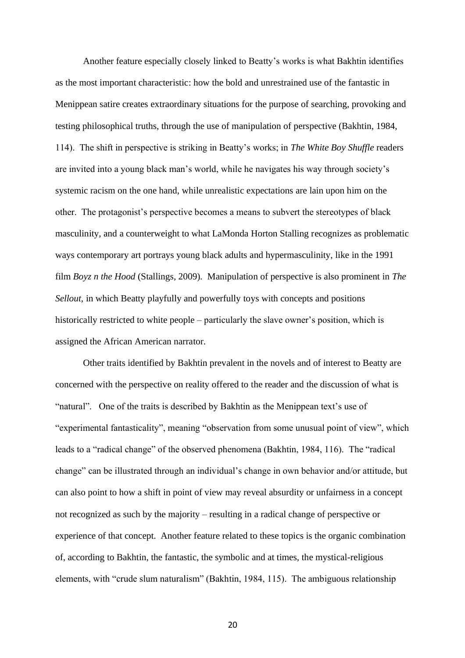Another feature especially closely linked to Beatty's works is what Bakhtin identifies as the most important characteristic: how the bold and unrestrained use of the fantastic in Menippean satire creates extraordinary situations for the purpose of searching, provoking and testing philosophical truths, through the use of manipulation of perspective (Bakhtin, 1984, 114). The shift in perspective is striking in Beatty's works; in *The White Boy Shuffle* readers are invited into a young black man's world, while he navigates his way through society's systemic racism on the one hand, while unrealistic expectations are lain upon him on the other. The protagonist's perspective becomes a means to subvert the stereotypes of black masculinity, and a counterweight to what LaMonda Horton Stalling recognizes as problematic ways contemporary art portrays young black adults and hypermasculinity, like in the 1991 film *Boyz n the Hood* (Stallings, 2009)*.* Manipulation of perspective is also prominent in *The Sellout*, in which Beatty playfully and powerfully toys with concepts and positions historically restricted to white people – particularly the slave owner's position, which is assigned the African American narrator.

Other traits identified by Bakhtin prevalent in the novels and of interest to Beatty are concerned with the perspective on reality offered to the reader and the discussion of what is "natural". One of the traits is described by Bakhtin as the Menippean text's use of "experimental fantasticality", meaning "observation from some unusual point of view", which leads to a "radical change" of the observed phenomena (Bakhtin, 1984, 116). The "radical change" can be illustrated through an individual's change in own behavior and/or attitude, but can also point to how a shift in point of view may reveal absurdity or unfairness in a concept not recognized as such by the majority – resulting in a radical change of perspective or experience of that concept. Another feature related to these topics is the organic combination of, according to Bakhtin, the fantastic, the symbolic and at times, the mystical-religious elements, with "crude slum naturalism" (Bakhtin, 1984, 115). The ambiguous relationship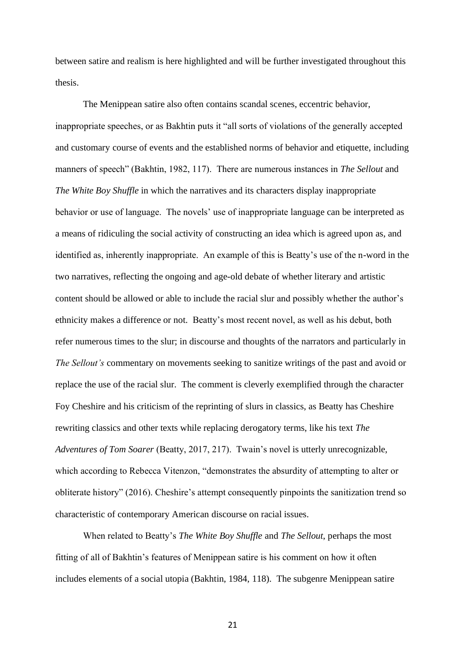between satire and realism is here highlighted and will be further investigated throughout this thesis.

The Menippean satire also often contains scandal scenes, eccentric behavior, inappropriate speeches, or as Bakhtin puts it "all sorts of violations of the generally accepted and customary course of events and the established norms of behavior and etiquette, including manners of speech" (Bakhtin, 1982, 117). There are numerous instances in *The Sellout* and *The White Boy Shuffle* in which the narratives and its characters display inappropriate behavior or use of language. The novels' use of inappropriate language can be interpreted as a means of ridiculing the social activity of constructing an idea which is agreed upon as, and identified as, inherently inappropriate. An example of this is Beatty's use of the n-word in the two narratives, reflecting the ongoing and age-old debate of whether literary and artistic content should be allowed or able to include the racial slur and possibly whether the author's ethnicity makes a difference or not. Beatty's most recent novel, as well as his debut, both refer numerous times to the slur; in discourse and thoughts of the narrators and particularly in *The Sellout's* commentary on movements seeking to sanitize writings of the past and avoid or replace the use of the racial slur. The comment is cleverly exemplified through the character Foy Cheshire and his criticism of the reprinting of slurs in classics, as Beatty has Cheshire rewriting classics and other texts while replacing derogatory terms, like his text *The Adventures of Tom Soarer* (Beatty, 2017, 217). Twain's novel is utterly unrecognizable, which according to Rebecca Vitenzon, "demonstrates the absurdity of attempting to alter or obliterate history" (2016). Cheshire's attempt consequently pinpoints the sanitization trend so characteristic of contemporary American discourse on racial issues.

When related to Beatty's *The White Boy Shuffle* and *The Sellout*, perhaps the most fitting of all of Bakhtin's features of Menippean satire is his comment on how it often includes elements of a social utopia (Bakhtin, 1984, 118). The subgenre Menippean satire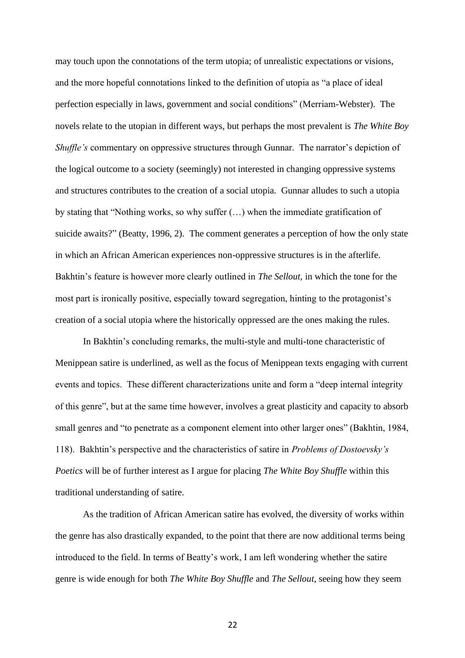may touch upon the connotations of the term utopia; of unrealistic expectations or visions, and the more hopeful connotations linked to the definition of utopia as "a place of ideal perfection especially in laws, government and social conditions" (Merriam-Webster). The novels relate to the utopian in different ways, but perhaps the most prevalent is *The White Boy Shuffle's* commentary on oppressive structures through Gunnar. The narrator's depiction of the logical outcome to a society (seemingly) not interested in changing oppressive systems and structures contributes to the creation of a social utopia. Gunnar alludes to such a utopia by stating that "Nothing works, so why suffer (…) when the immediate gratification of suicide awaits?" (Beatty, 1996, 2). The comment generates a perception of how the only state in which an African American experiences non-oppressive structures is in the afterlife. Bakhtin's feature is however more clearly outlined in *The Sellout,* in which the tone for the most part is ironically positive, especially toward segregation, hinting to the protagonist's creation of a social utopia where the historically oppressed are the ones making the rules.

In Bakhtin's concluding remarks, the multi-style and multi-tone characteristic of Menippean satire is underlined, as well as the focus of Menippean texts engaging with current events and topics. These different characterizations unite and form a "deep internal integrity of this genre", but at the same time however, involves a great plasticity and capacity to absorb small genres and "to penetrate as a component element into other larger ones" (Bakhtin, 1984, 118). Bakhtin's perspective and the characteristics of satire in *Problems of Dostoevsky's Poetics* will be of further interest as I argue for placing *The White Boy Shuffle* within this traditional understanding of satire.

As the tradition of African American satire has evolved, the diversity of works within the genre has also drastically expanded, to the point that there are now additional terms being introduced to the field. In terms of Beatty's work, I am left wondering whether the satire genre is wide enough for both *The White Boy Shuffle* and *The Sellout*, seeing how they seem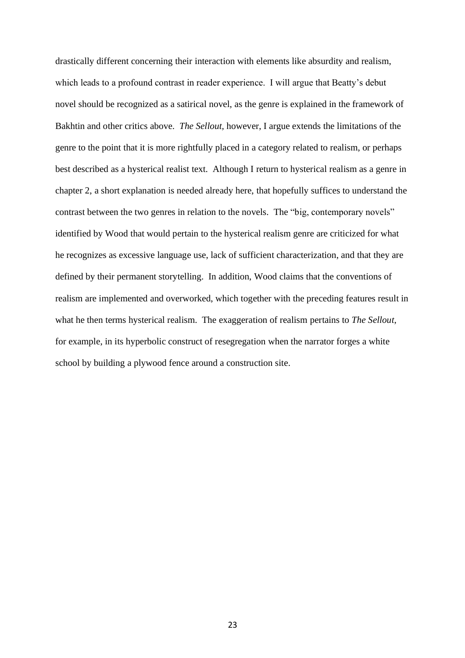drastically different concerning their interaction with elements like absurdity and realism, which leads to a profound contrast in reader experience. I will argue that Beatty's debut novel should be recognized as a satirical novel, as the genre is explained in the framework of Bakhtin and other critics above. *The Sellout,* however, I argue extends the limitations of the genre to the point that it is more rightfully placed in a category related to realism, or perhaps best described as a hysterical realist text. Although I return to hysterical realism as a genre in chapter 2, a short explanation is needed already here, that hopefully suffices to understand the contrast between the two genres in relation to the novels. The "big, contemporary novels" identified by Wood that would pertain to the hysterical realism genre are criticized for what he recognizes as excessive language use, lack of sufficient characterization, and that they are defined by their permanent storytelling. In addition, Wood claims that the conventions of realism are implemented and overworked, which together with the preceding features result in what he then terms hysterical realism. The exaggeration of realism pertains to *The Sellout*, for example, in its hyperbolic construct of resegregation when the narrator forges a white school by building a plywood fence around a construction site.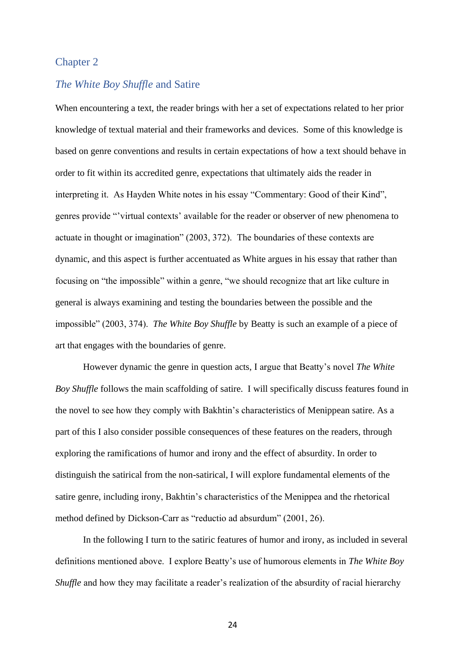# <span id="page-28-1"></span><span id="page-28-0"></span>Chapter 2

### *The White Boy Shuffle* and Satire

When encountering a text, the reader brings with her a set of expectations related to her prior knowledge of textual material and their frameworks and devices. Some of this knowledge is based on genre conventions and results in certain expectations of how a text should behave in order to fit within its accredited genre, expectations that ultimately aids the reader in interpreting it. As Hayden White notes in his essay "Commentary: Good of their Kind", genres provide "'virtual contexts' available for the reader or observer of new phenomena to actuate in thought or imagination" (2003, 372). The boundaries of these contexts are dynamic, and this aspect is further accentuated as White argues in his essay that rather than focusing on "the impossible" within a genre, "we should recognize that art like culture in general is always examining and testing the boundaries between the possible and the impossible" (2003, 374). *The White Boy Shuffle* by Beatty is such an example of a piece of art that engages with the boundaries of genre.

However dynamic the genre in question acts, I argue that Beatty's novel *The White Boy Shuffle* follows the main scaffolding of satire. I will specifically discuss features found in the novel to see how they comply with Bakhtin's characteristics of Menippean satire. As a part of this I also consider possible consequences of these features on the readers, through exploring the ramifications of humor and irony and the effect of absurdity. In order to distinguish the satirical from the non-satirical, I will explore fundamental elements of the satire genre, including irony, Bakhtin's characteristics of the Menippea and the rhetorical method defined by Dickson-Carr as "reductio ad absurdum" (2001, 26).

In the following I turn to the satiric features of humor and irony, as included in several definitions mentioned above. I explore Beatty's use of humorous elements in *The White Boy Shuffle* and how they may facilitate a reader's realization of the absurdity of racial hierarchy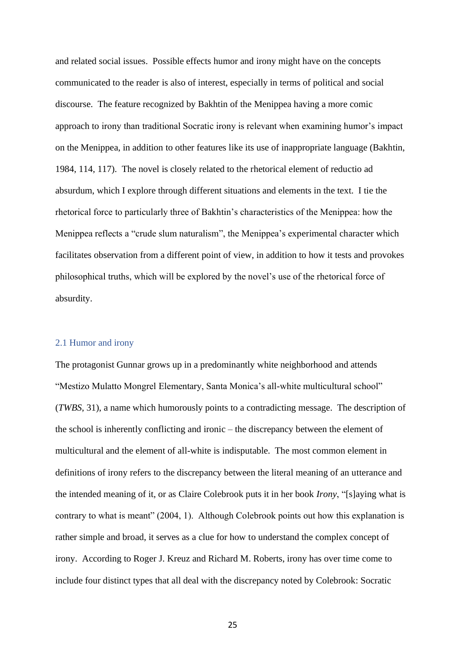and related social issues. Possible effects humor and irony might have on the concepts communicated to the reader is also of interest, especially in terms of political and social discourse. The feature recognized by Bakhtin of the Menippea having a more comic approach to irony than traditional Socratic irony is relevant when examining humor's impact on the Menippea, in addition to other features like its use of inappropriate language (Bakhtin, 1984, 114, 117). The novel is closely related to the rhetorical element of reductio ad absurdum, which I explore through different situations and elements in the text. I tie the rhetorical force to particularly three of Bakhtin's characteristics of the Menippea: how the Menippea reflects a "crude slum naturalism", the Menippea's experimental character which facilitates observation from a different point of view, in addition to how it tests and provokes philosophical truths, which will be explored by the novel's use of the rhetorical force of absurdity.

#### <span id="page-29-0"></span>2.1 Humor and irony

The protagonist Gunnar grows up in a predominantly white neighborhood and attends "Mestizo Mulatto Mongrel Elementary, Santa Monica's all-white multicultural school" (*TWBS*, 31), a name which humorously points to a contradicting message. The description of the school is inherently conflicting and ironic – the discrepancy between the element of multicultural and the element of all-white is indisputable. The most common element in definitions of irony refers to the discrepancy between the literal meaning of an utterance and the intended meaning of it, or as Claire Colebrook puts it in her book *Irony*, "[s]aying what is contrary to what is meant" (2004, 1). Although Colebrook points out how this explanation is rather simple and broad, it serves as a clue for how to understand the complex concept of irony. According to Roger J. Kreuz and Richard M. Roberts, irony has over time come to include four distinct types that all deal with the discrepancy noted by Colebrook: Socratic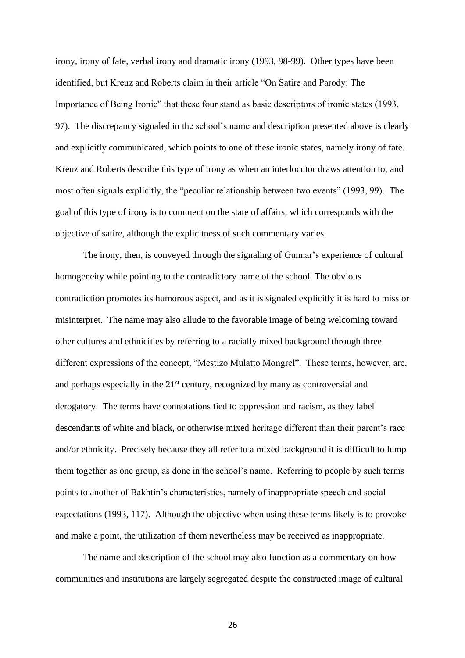irony, irony of fate, verbal irony and dramatic irony (1993, 98-99). Other types have been identified, but Kreuz and Roberts claim in their article "On Satire and Parody: The Importance of Being Ironic" that these four stand as basic descriptors of ironic states (1993, 97). The discrepancy signaled in the school's name and description presented above is clearly and explicitly communicated, which points to one of these ironic states, namely irony of fate. Kreuz and Roberts describe this type of irony as when an interlocutor draws attention to, and most often signals explicitly, the "peculiar relationship between two events" (1993, 99). The goal of this type of irony is to comment on the state of affairs, which corresponds with the objective of satire, although the explicitness of such commentary varies.

The irony, then, is conveyed through the signaling of Gunnar's experience of cultural homogeneity while pointing to the contradictory name of the school. The obvious contradiction promotes its humorous aspect, and as it is signaled explicitly it is hard to miss or misinterpret. The name may also allude to the favorable image of being welcoming toward other cultures and ethnicities by referring to a racially mixed background through three different expressions of the concept, "Mestizo Mulatto Mongrel". These terms, however, are, and perhaps especially in the 21<sup>st</sup> century, recognized by many as controversial and derogatory. The terms have connotations tied to oppression and racism, as they label descendants of white and black, or otherwise mixed heritage different than their parent's race and/or ethnicity. Precisely because they all refer to a mixed background it is difficult to lump them together as one group, as done in the school's name. Referring to people by such terms points to another of Bakhtin's characteristics, namely of inappropriate speech and social expectations (1993, 117). Although the objective when using these terms likely is to provoke and make a point, the utilization of them nevertheless may be received as inappropriate.

The name and description of the school may also function as a commentary on how communities and institutions are largely segregated despite the constructed image of cultural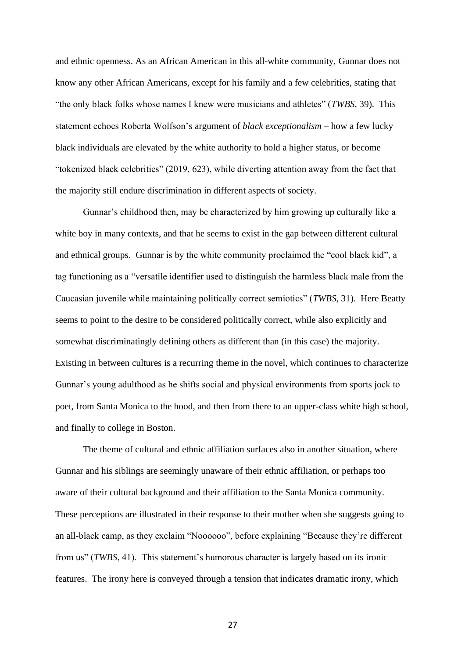and ethnic openness. As an African American in this all-white community, Gunnar does not know any other African Americans, except for his family and a few celebrities, stating that "the only black folks whose names I knew were musicians and athletes" (*TWBS*, 39). This statement echoes Roberta Wolfson's argument of *black exceptionalism* – how a few lucky black individuals are elevated by the white authority to hold a higher status, or become "tokenized black celebrities" (2019, 623), while diverting attention away from the fact that the majority still endure discrimination in different aspects of society.

Gunnar's childhood then, may be characterized by him growing up culturally like a white boy in many contexts, and that he seems to exist in the gap between different cultural and ethnical groups. Gunnar is by the white community proclaimed the "cool black kid", a tag functioning as a "versatile identifier used to distinguish the harmless black male from the Caucasian juvenile while maintaining politically correct semiotics" (*TWBS*, 31). Here Beatty seems to point to the desire to be considered politically correct, while also explicitly and somewhat discriminatingly defining others as different than (in this case) the majority. Existing in between cultures is a recurring theme in the novel, which continues to characterize Gunnar's young adulthood as he shifts social and physical environments from sports jock to poet, from Santa Monica to the hood, and then from there to an upper-class white high school, and finally to college in Boston.

The theme of cultural and ethnic affiliation surfaces also in another situation, where Gunnar and his siblings are seemingly unaware of their ethnic affiliation, or perhaps too aware of their cultural background and their affiliation to the Santa Monica community. These perceptions are illustrated in their response to their mother when she suggests going to an all-black camp, as they exclaim "Noooooo", before explaining "Because they're different from us" (*TWBS*, 41). This statement's humorous character is largely based on its ironic features. The irony here is conveyed through a tension that indicates dramatic irony, which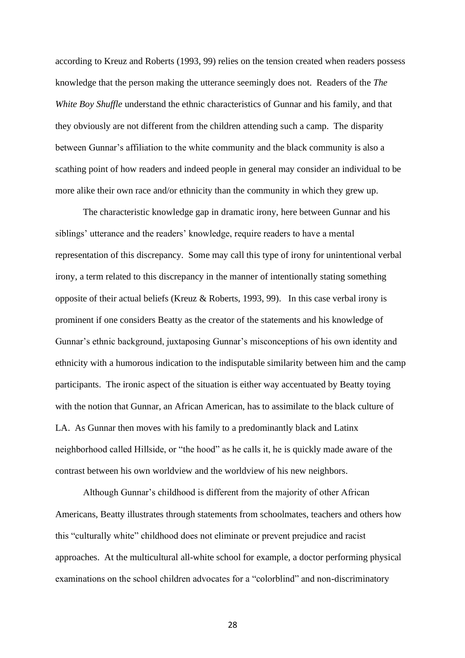according to Kreuz and Roberts (1993, 99) relies on the tension created when readers possess knowledge that the person making the utterance seemingly does not. Readers of the *The White Boy Shuffle* understand the ethnic characteristics of Gunnar and his family, and that they obviously are not different from the children attending such a camp. The disparity between Gunnar's affiliation to the white community and the black community is also a scathing point of how readers and indeed people in general may consider an individual to be more alike their own race and/or ethnicity than the community in which they grew up.

The characteristic knowledge gap in dramatic irony, here between Gunnar and his siblings' utterance and the readers' knowledge, require readers to have a mental representation of this discrepancy. Some may call this type of irony for unintentional verbal irony, a term related to this discrepancy in the manner of intentionally stating something opposite of their actual beliefs (Kreuz & Roberts, 1993, 99). In this case verbal irony is prominent if one considers Beatty as the creator of the statements and his knowledge of Gunnar's ethnic background, juxtaposing Gunnar's misconceptions of his own identity and ethnicity with a humorous indication to the indisputable similarity between him and the camp participants. The ironic aspect of the situation is either way accentuated by Beatty toying with the notion that Gunnar, an African American, has to assimilate to the black culture of LA. As Gunnar then moves with his family to a predominantly black and Latinx neighborhood called Hillside, or "the hood" as he calls it, he is quickly made aware of the contrast between his own worldview and the worldview of his new neighbors.

Although Gunnar's childhood is different from the majority of other African Americans, Beatty illustrates through statements from schoolmates, teachers and others how this "culturally white" childhood does not eliminate or prevent prejudice and racist approaches. At the multicultural all-white school for example, a doctor performing physical examinations on the school children advocates for a "colorblind" and non-discriminatory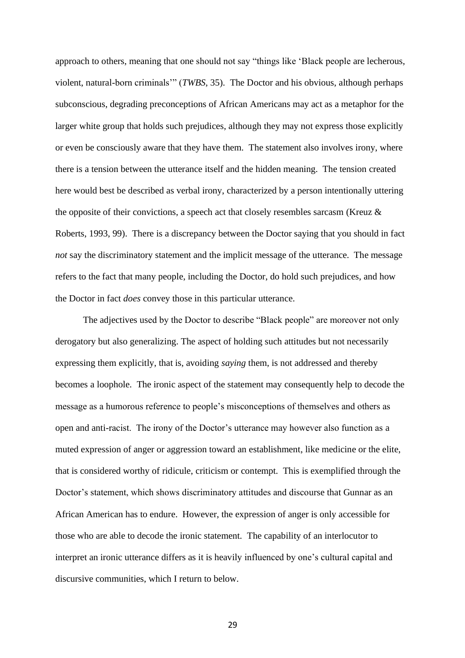approach to others, meaning that one should not say "things like 'Black people are lecherous, violent, natural-born criminals'" (*TWBS*, 35). The Doctor and his obvious, although perhaps subconscious, degrading preconceptions of African Americans may act as a metaphor for the larger white group that holds such prejudices, although they may not express those explicitly or even be consciously aware that they have them. The statement also involves irony, where there is a tension between the utterance itself and the hidden meaning. The tension created here would best be described as verbal irony, characterized by a person intentionally uttering the opposite of their convictions, a speech act that closely resembles sarcasm (Kreuz & Roberts, 1993, 99). There is a discrepancy between the Doctor saying that you should in fact *not* say the discriminatory statement and the implicit message of the utterance. The message refers to the fact that many people, including the Doctor, do hold such prejudices, and how the Doctor in fact *does* convey those in this particular utterance.

The adjectives used by the Doctor to describe "Black people" are moreover not only derogatory but also generalizing. The aspect of holding such attitudes but not necessarily expressing them explicitly, that is, avoiding *saying* them, is not addressed and thereby becomes a loophole. The ironic aspect of the statement may consequently help to decode the message as a humorous reference to people's misconceptions of themselves and others as open and anti-racist. The irony of the Doctor's utterance may however also function as a muted expression of anger or aggression toward an establishment, like medicine or the elite, that is considered worthy of ridicule, criticism or contempt. This is exemplified through the Doctor's statement, which shows discriminatory attitudes and discourse that Gunnar as an African American has to endure. However, the expression of anger is only accessible for those who are able to decode the ironic statement. The capability of an interlocutor to interpret an ironic utterance differs as it is heavily influenced by one's cultural capital and discursive communities, which I return to below.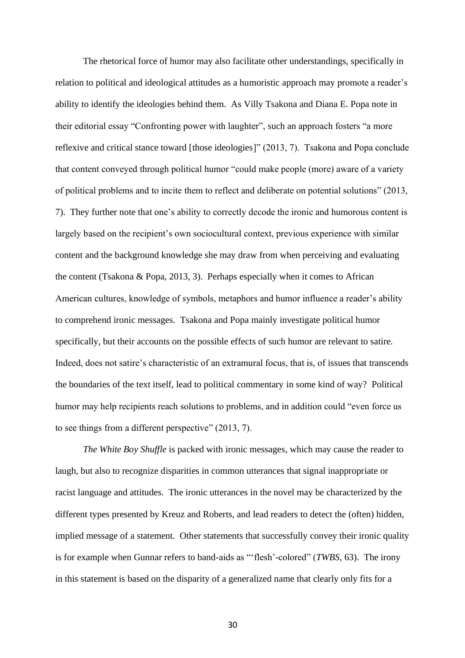The rhetorical force of humor may also facilitate other understandings, specifically in relation to political and ideological attitudes as a humoristic approach may promote a reader's ability to identify the ideologies behind them. As Villy Tsakona and Diana E. Popa note in their editorial essay "Confronting power with laughter", such an approach fosters "a more reflexive and critical stance toward [those ideologies]" (2013, 7). Tsakona and Popa conclude that content conveyed through political humor "could make people (more) aware of a variety of political problems and to incite them to reflect and deliberate on potential solutions" (2013, 7). They further note that one's ability to correctly decode the ironic and humorous content is largely based on the recipient's own sociocultural context, previous experience with similar content and the background knowledge she may draw from when perceiving and evaluating the content (Tsakona & Popa, 2013, 3). Perhaps especially when it comes to African American cultures, knowledge of symbols, metaphors and humor influence a reader's ability to comprehend ironic messages. Tsakona and Popa mainly investigate political humor specifically, but their accounts on the possible effects of such humor are relevant to satire. Indeed, does not satire's characteristic of an extramural focus, that is, of issues that transcends the boundaries of the text itself, lead to political commentary in some kind of way? Political humor may help recipients reach solutions to problems, and in addition could "even force us to see things from a different perspective" (2013, 7).

*The White Boy Shuffle* is packed with ironic messages, which may cause the reader to laugh, but also to recognize disparities in common utterances that signal inappropriate or racist language and attitudes. The ironic utterances in the novel may be characterized by the different types presented by Kreuz and Roberts, and lead readers to detect the (often) hidden, implied message of a statement. Other statements that successfully convey their ironic quality is for example when Gunnar refers to band-aids as "'flesh'-colored" (*TWBS*, 63). The irony in this statement is based on the disparity of a generalized name that clearly only fits for a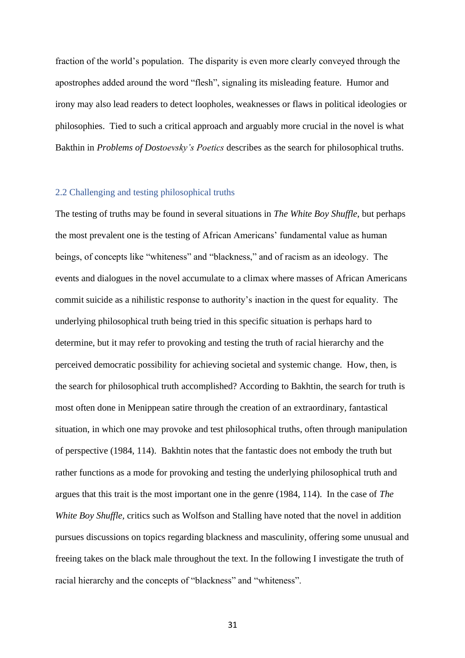fraction of the world's population. The disparity is even more clearly conveyed through the apostrophes added around the word "flesh", signaling its misleading feature. Humor and irony may also lead readers to detect loopholes, weaknesses or flaws in political ideologies or philosophies. Tied to such a critical approach and arguably more crucial in the novel is what Bakthin in *Problems of Dostoevsky's Poetics* describes as the search for philosophical truths.

#### <span id="page-35-0"></span>2.2 Challenging and testing philosophical truths

The testing of truths may be found in several situations in *The White Boy Shuffle*, but perhaps the most prevalent one is the testing of African Americans' fundamental value as human beings, of concepts like "whiteness" and "blackness," and of racism as an ideology. The events and dialogues in the novel accumulate to a climax where masses of African Americans commit suicide as a nihilistic response to authority's inaction in the quest for equality. The underlying philosophical truth being tried in this specific situation is perhaps hard to determine, but it may refer to provoking and testing the truth of racial hierarchy and the perceived democratic possibility for achieving societal and systemic change. How, then, is the search for philosophical truth accomplished? According to Bakhtin, the search for truth is most often done in Menippean satire through the creation of an extraordinary, fantastical situation, in which one may provoke and test philosophical truths, often through manipulation of perspective (1984, 114). Bakhtin notes that the fantastic does not embody the truth but rather functions as a mode for provoking and testing the underlying philosophical truth and argues that this trait is the most important one in the genre (1984, 114). In the case of *The White Boy Shuffle,* critics such as Wolfson and Stalling have noted that the novel in addition pursues discussions on topics regarding blackness and masculinity, offering some unusual and freeing takes on the black male throughout the text. In the following I investigate the truth of racial hierarchy and the concepts of "blackness" and "whiteness".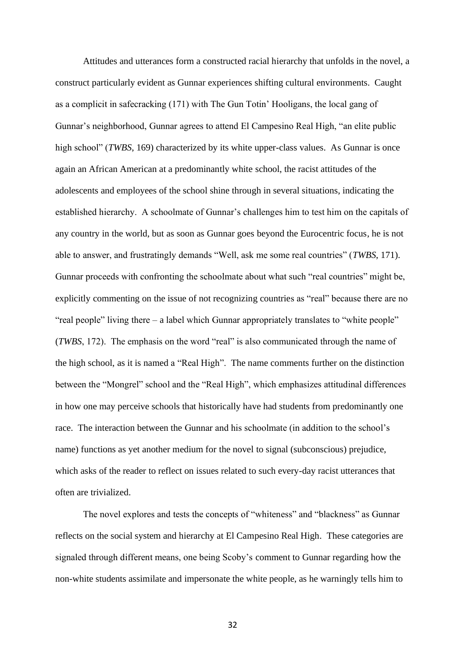Attitudes and utterances form a constructed racial hierarchy that unfolds in the novel, a construct particularly evident as Gunnar experiences shifting cultural environments. Caught as a complicit in safecracking (171) with The Gun Totin' Hooligans, the local gang of Gunnar's neighborhood, Gunnar agrees to attend El Campesino Real High, "an elite public high school" (*TWBS*, 169) characterized by its white upper-class values. As Gunnar is once again an African American at a predominantly white school, the racist attitudes of the adolescents and employees of the school shine through in several situations, indicating the established hierarchy. A schoolmate of Gunnar's challenges him to test him on the capitals of any country in the world, but as soon as Gunnar goes beyond the Eurocentric focus, he is not able to answer, and frustratingly demands "Well, ask me some real countries" (*TWBS*, 171). Gunnar proceeds with confronting the schoolmate about what such "real countries" might be, explicitly commenting on the issue of not recognizing countries as "real" because there are no "real people" living there – a label which Gunnar appropriately translates to "white people" (*TWBS*, 172). The emphasis on the word "real" is also communicated through the name of the high school, as it is named a "Real High". The name comments further on the distinction between the "Mongrel" school and the "Real High", which emphasizes attitudinal differences in how one may perceive schools that historically have had students from predominantly one race. The interaction between the Gunnar and his schoolmate (in addition to the school's name) functions as yet another medium for the novel to signal (subconscious) prejudice, which asks of the reader to reflect on issues related to such every-day racist utterances that often are trivialized.

The novel explores and tests the concepts of "whiteness" and "blackness" as Gunnar reflects on the social system and hierarchy at El Campesino Real High. These categories are signaled through different means, one being Scoby's comment to Gunnar regarding how the non-white students assimilate and impersonate the white people, as he warningly tells him to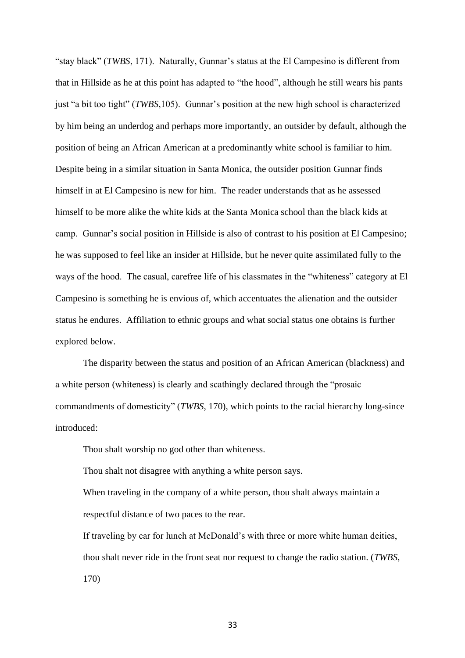"stay black" (*TWBS*, 171). Naturally, Gunnar's status at the El Campesino is different from that in Hillside as he at this point has adapted to "the hood", although he still wears his pants just "a bit too tight" (*TWBS*,105). Gunnar's position at the new high school is characterized by him being an underdog and perhaps more importantly, an outsider by default, although the position of being an African American at a predominantly white school is familiar to him. Despite being in a similar situation in Santa Monica, the outsider position Gunnar finds himself in at El Campesino is new for him. The reader understands that as he assessed himself to be more alike the white kids at the Santa Monica school than the black kids at camp. Gunnar's social position in Hillside is also of contrast to his position at El Campesino; he was supposed to feel like an insider at Hillside, but he never quite assimilated fully to the ways of the hood. The casual, carefree life of his classmates in the "whiteness" category at El Campesino is something he is envious of, which accentuates the alienation and the outsider status he endures. Affiliation to ethnic groups and what social status one obtains is further explored below.

The disparity between the status and position of an African American (blackness) and a white person (whiteness) is clearly and scathingly declared through the "prosaic commandments of domesticity" (*TWBS*, 170), which points to the racial hierarchy long-since introduced:

Thou shalt worship no god other than whiteness.

Thou shalt not disagree with anything a white person says.

When traveling in the company of a white person, thou shalt always maintain a respectful distance of two paces to the rear.

If traveling by car for lunch at McDonald's with three or more white human deities, thou shalt never ride in the front seat nor request to change the radio station. (*TWBS*, 170)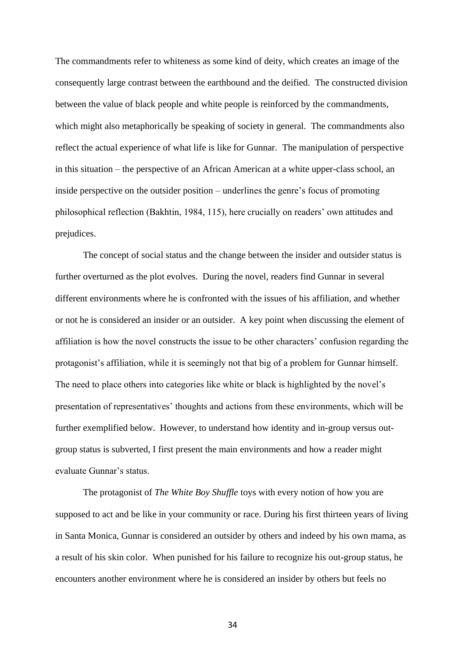The commandments refer to whiteness as some kind of deity, which creates an image of the consequently large contrast between the earthbound and the deified. The constructed division between the value of black people and white people is reinforced by the commandments, which might also metaphorically be speaking of society in general. The commandments also reflect the actual experience of what life is like for Gunnar. The manipulation of perspective in this situation – the perspective of an African American at a white upper-class school, an inside perspective on the outsider position – underlines the genre's focus of promoting philosophical reflection (Bakhtin, 1984, 115), here crucially on readers' own attitudes and prejudices.

The concept of social status and the change between the insider and outsider status is further overturned as the plot evolves. During the novel, readers find Gunnar in several different environments where he is confronted with the issues of his affiliation, and whether or not he is considered an insider or an outsider. A key point when discussing the element of affiliation is how the novel constructs the issue to be other characters' confusion regarding the protagonist's affiliation, while it is seemingly not that big of a problem for Gunnar himself. The need to place others into categories like white or black is highlighted by the novel's presentation of representatives' thoughts and actions from these environments, which will be further exemplified below. However, to understand how identity and in-group versus outgroup status is subverted, I first present the main environments and how a reader might evaluate Gunnar's status.

The protagonist of *The White Boy Shuffle* toys with every notion of how you are supposed to act and be like in your community or race. During his first thirteen years of living in Santa Monica, Gunnar is considered an outsider by others and indeed by his own mama, as a result of his skin color. When punished for his failure to recognize his out-group status, he encounters another environment where he is considered an insider by others but feels no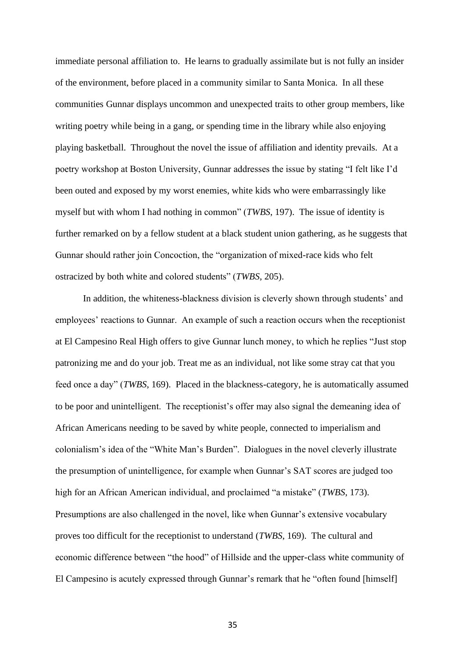immediate personal affiliation to. He learns to gradually assimilate but is not fully an insider of the environment, before placed in a community similar to Santa Monica. In all these communities Gunnar displays uncommon and unexpected traits to other group members, like writing poetry while being in a gang, or spending time in the library while also enjoying playing basketball. Throughout the novel the issue of affiliation and identity prevails. At a poetry workshop at Boston University, Gunnar addresses the issue by stating "I felt like I'd been outed and exposed by my worst enemies, white kids who were embarrassingly like myself but with whom I had nothing in common" (*TWBS*, 197). The issue of identity is further remarked on by a fellow student at a black student union gathering, as he suggests that Gunnar should rather join Concoction, the "organization of mixed-race kids who felt ostracized by both white and colored students" (*TWBS*, 205).

In addition, the whiteness-blackness division is cleverly shown through students' and employees' reactions to Gunnar. An example of such a reaction occurs when the receptionist at El Campesino Real High offers to give Gunnar lunch money, to which he replies "Just stop patronizing me and do your job. Treat me as an individual, not like some stray cat that you feed once a day" (*TWBS*, 169). Placed in the blackness-category, he is automatically assumed to be poor and unintelligent. The receptionist's offer may also signal the demeaning idea of African Americans needing to be saved by white people, connected to imperialism and colonialism's idea of the "White Man's Burden". Dialogues in the novel cleverly illustrate the presumption of unintelligence, for example when Gunnar's SAT scores are judged too high for an African American individual, and proclaimed "a mistake" (*TWBS*, 173). Presumptions are also challenged in the novel, like when Gunnar's extensive vocabulary proves too difficult for the receptionist to understand (*TWBS*, 169). The cultural and economic difference between "the hood" of Hillside and the upper-class white community of El Campesino is acutely expressed through Gunnar's remark that he "often found [himself]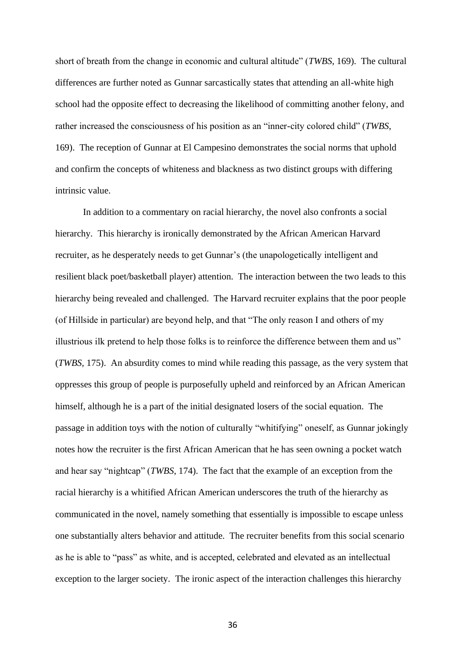short of breath from the change in economic and cultural altitude" (*TWBS*, 169). The cultural differences are further noted as Gunnar sarcastically states that attending an all-white high school had the opposite effect to decreasing the likelihood of committing another felony, and rather increased the consciousness of his position as an "inner-city colored child" (*TWBS*, 169). The reception of Gunnar at El Campesino demonstrates the social norms that uphold and confirm the concepts of whiteness and blackness as two distinct groups with differing intrinsic value.

In addition to a commentary on racial hierarchy, the novel also confronts a social hierarchy. This hierarchy is ironically demonstrated by the African American Harvard recruiter, as he desperately needs to get Gunnar's (the unapologetically intelligent and resilient black poet/basketball player) attention. The interaction between the two leads to this hierarchy being revealed and challenged. The Harvard recruiter explains that the poor people (of Hillside in particular) are beyond help, and that "The only reason I and others of my illustrious ilk pretend to help those folks is to reinforce the difference between them and us" (*TWBS*, 175). An absurdity comes to mind while reading this passage, as the very system that oppresses this group of people is purposefully upheld and reinforced by an African American himself, although he is a part of the initial designated losers of the social equation. The passage in addition toys with the notion of culturally "whitifying" oneself, as Gunnar jokingly notes how the recruiter is the first African American that he has seen owning a pocket watch and hear say "nightcap" (*TWBS*, 174). The fact that the example of an exception from the racial hierarchy is a whitified African American underscores the truth of the hierarchy as communicated in the novel, namely something that essentially is impossible to escape unless one substantially alters behavior and attitude. The recruiter benefits from this social scenario as he is able to "pass" as white, and is accepted, celebrated and elevated as an intellectual exception to the larger society. The ironic aspect of the interaction challenges this hierarchy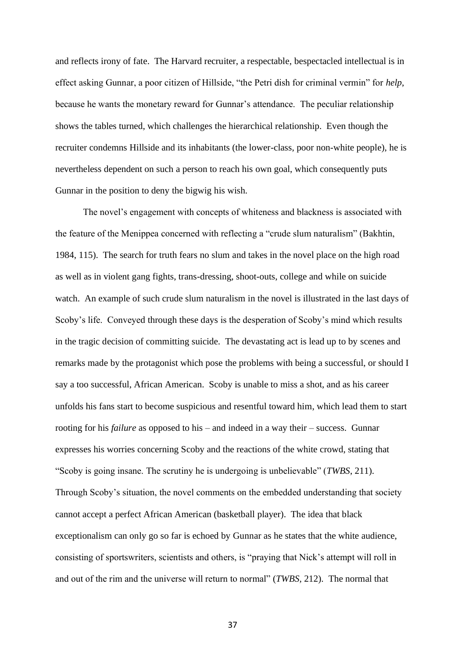and reflects irony of fate. The Harvard recruiter, a respectable, bespectacled intellectual is in effect asking Gunnar, a poor citizen of Hillside, "the Petri dish for criminal vermin" for *help*, because he wants the monetary reward for Gunnar's attendance. The peculiar relationship shows the tables turned, which challenges the hierarchical relationship. Even though the recruiter condemns Hillside and its inhabitants (the lower-class, poor non-white people), he is nevertheless dependent on such a person to reach his own goal, which consequently puts Gunnar in the position to deny the bigwig his wish.

The novel's engagement with concepts of whiteness and blackness is associated with the feature of the Menippea concerned with reflecting a "crude slum naturalism" (Bakhtin, 1984, 115). The search for truth fears no slum and takes in the novel place on the high road as well as in violent gang fights, trans-dressing, shoot-outs, college and while on suicide watch. An example of such crude slum naturalism in the novel is illustrated in the last days of Scoby's life. Conveyed through these days is the desperation of Scoby's mind which results in the tragic decision of committing suicide. The devastating act is lead up to by scenes and remarks made by the protagonist which pose the problems with being a successful, or should I say a too successful, African American. Scoby is unable to miss a shot, and as his career unfolds his fans start to become suspicious and resentful toward him, which lead them to start rooting for his *failure* as opposed to his – and indeed in a way their – success. Gunnar expresses his worries concerning Scoby and the reactions of the white crowd, stating that "Scoby is going insane. The scrutiny he is undergoing is unbelievable" (*TWBS*, 211). Through Scoby's situation, the novel comments on the embedded understanding that society cannot accept a perfect African American (basketball player). The idea that black exceptionalism can only go so far is echoed by Gunnar as he states that the white audience, consisting of sportswriters, scientists and others, is "praying that Nick's attempt will roll in and out of the rim and the universe will return to normal" (*TWBS,* 212). The normal that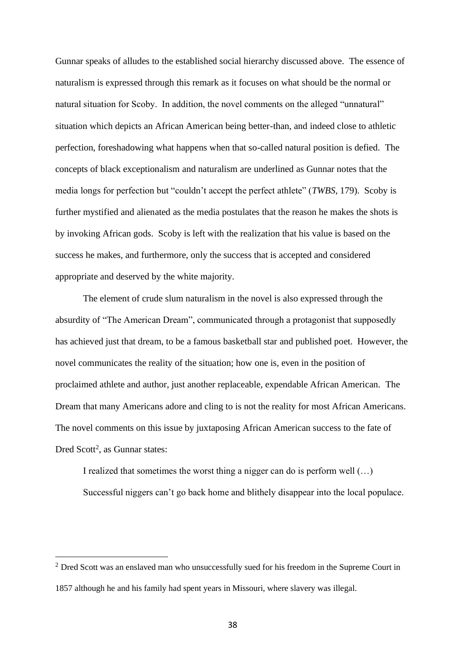Gunnar speaks of alludes to the established social hierarchy discussed above. The essence of naturalism is expressed through this remark as it focuses on what should be the normal or natural situation for Scoby. In addition, the novel comments on the alleged "unnatural" situation which depicts an African American being better-than, and indeed close to athletic perfection, foreshadowing what happens when that so-called natural position is defied. The concepts of black exceptionalism and naturalism are underlined as Gunnar notes that the media longs for perfection but "couldn't accept the perfect athlete" (*TWBS*, 179). Scoby is further mystified and alienated as the media postulates that the reason he makes the shots is by invoking African gods. Scoby is left with the realization that his value is based on the success he makes, and furthermore, only the success that is accepted and considered appropriate and deserved by the white majority.

The element of crude slum naturalism in the novel is also expressed through the absurdity of "The American Dream", communicated through a protagonist that supposedly has achieved just that dream, to be a famous basketball star and published poet. However, the novel communicates the reality of the situation; how one is, even in the position of proclaimed athlete and author, just another replaceable, expendable African American. The Dream that many Americans adore and cling to is not the reality for most African Americans. The novel comments on this issue by juxtaposing African American success to the fate of Dred Scott<sup>2</sup>, as Gunnar states:

I realized that sometimes the worst thing a nigger can do is perform well (…) Successful niggers can't go back home and blithely disappear into the local populace.

<sup>&</sup>lt;sup>2</sup> Dred Scott was an enslaved man who unsuccessfully sued for his freedom in the Supreme Court in 1857 although he and his family had spent years in Missouri, where slavery was illegal.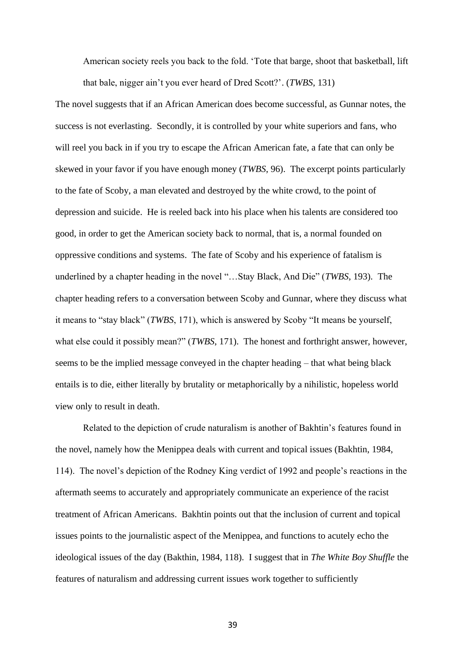American society reels you back to the fold. 'Tote that barge, shoot that basketball, lift that bale, nigger ain't you ever heard of Dred Scott?'. (*TWBS*, 131)

The novel suggests that if an African American does become successful, as Gunnar notes, the success is not everlasting. Secondly, it is controlled by your white superiors and fans, who will reel you back in if you try to escape the African American fate, a fate that can only be skewed in your favor if you have enough money (*TWBS*, 96). The excerpt points particularly to the fate of Scoby, a man elevated and destroyed by the white crowd, to the point of depression and suicide. He is reeled back into his place when his talents are considered too good, in order to get the American society back to normal, that is, a normal founded on oppressive conditions and systems. The fate of Scoby and his experience of fatalism is underlined by a chapter heading in the novel "…Stay Black, And Die" (*TWBS*, 193). The chapter heading refers to a conversation between Scoby and Gunnar, where they discuss what it means to "stay black" (*TWBS*, 171), which is answered by Scoby "It means be yourself, what else could it possibly mean?" (*TWBS*, 171). The honest and forthright answer, however, seems to be the implied message conveyed in the chapter heading – that what being black entails is to die, either literally by brutality or metaphorically by a nihilistic, hopeless world view only to result in death.

Related to the depiction of crude naturalism is another of Bakhtin's features found in the novel, namely how the Menippea deals with current and topical issues (Bakhtin, 1984, 114). The novel's depiction of the Rodney King verdict of 1992 and people's reactions in the aftermath seems to accurately and appropriately communicate an experience of the racist treatment of African Americans. Bakhtin points out that the inclusion of current and topical issues points to the journalistic aspect of the Menippea, and functions to acutely echo the ideological issues of the day (Bakthin, 1984, 118). I suggest that in *The White Boy Shuffle* the features of naturalism and addressing current issues work together to sufficiently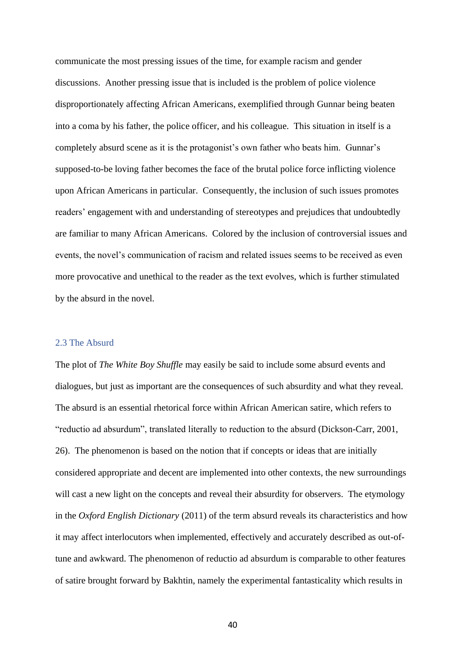communicate the most pressing issues of the time, for example racism and gender discussions. Another pressing issue that is included is the problem of police violence disproportionately affecting African Americans, exemplified through Gunnar being beaten into a coma by his father, the police officer, and his colleague. This situation in itself is a completely absurd scene as it is the protagonist's own father who beats him. Gunnar's supposed-to-be loving father becomes the face of the brutal police force inflicting violence upon African Americans in particular. Consequently, the inclusion of such issues promotes readers' engagement with and understanding of stereotypes and prejudices that undoubtedly are familiar to many African Americans. Colored by the inclusion of controversial issues and events, the novel's communication of racism and related issues seems to be received as even more provocative and unethical to the reader as the text evolves, which is further stimulated by the absurd in the novel.

#### 2.3 The Absurd

The plot of *The White Boy Shuffle* may easily be said to include some absurd events and dialogues, but just as important are the consequences of such absurdity and what they reveal. The absurd is an essential rhetorical force within African American satire, which refers to "reductio ad absurdum", translated literally to reduction to the absurd (Dickson-Carr, 2001, 26). The phenomenon is based on the notion that if concepts or ideas that are initially considered appropriate and decent are implemented into other contexts, the new surroundings will cast a new light on the concepts and reveal their absurdity for observers. The etymology in the *Oxford English Dictionary* (2011) of the term absurd reveals its characteristics and how it may affect interlocutors when implemented, effectively and accurately described as out-oftune and awkward. The phenomenon of reductio ad absurdum is comparable to other features of satire brought forward by Bakhtin, namely the experimental fantasticality which results in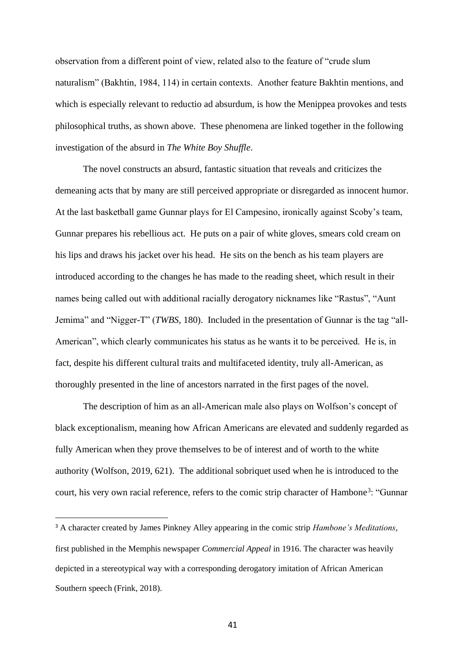observation from a different point of view, related also to the feature of "crude slum naturalism" (Bakhtin, 1984, 114) in certain contexts. Another feature Bakhtin mentions, and which is especially relevant to reductio ad absurdum, is how the Menippea provokes and tests philosophical truths, as shown above. These phenomena are linked together in the following investigation of the absurd in *The White Boy Shuffle*.

The novel constructs an absurd, fantastic situation that reveals and criticizes the demeaning acts that by many are still perceived appropriate or disregarded as innocent humor. At the last basketball game Gunnar plays for El Campesino, ironically against Scoby's team, Gunnar prepares his rebellious act. He puts on a pair of white gloves, smears cold cream on his lips and draws his jacket over his head. He sits on the bench as his team players are introduced according to the changes he has made to the reading sheet, which result in their names being called out with additional racially derogatory nicknames like "Rastus", "Aunt Jemima" and "Nigger-T" (*TWBS*, 180). Included in the presentation of Gunnar is the tag "all-American", which clearly communicates his status as he wants it to be perceived. He is, in fact, despite his different cultural traits and multifaceted identity, truly all-American, as thoroughly presented in the line of ancestors narrated in the first pages of the novel.

The description of him as an all-American male also plays on Wolfson's concept of black exceptionalism, meaning how African Americans are elevated and suddenly regarded as fully American when they prove themselves to be of interest and of worth to the white authority (Wolfson, 2019, 621). The additional sobriquet used when he is introduced to the court, his very own racial reference, refers to the comic strip character of Hambone<sup>3</sup>: "Gunnar

<sup>3</sup> A character created by James Pinkney Alley appearing in the comic strip *Hambone's Meditations*, first published in the Memphis newspaper *Commercial Appeal* in 1916. The character was heavily depicted in a stereotypical way with a corresponding derogatory imitation of African American Southern speech (Frink, 2018).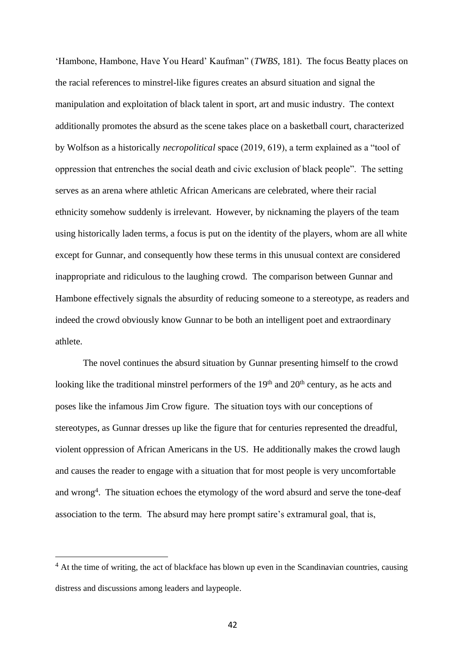'Hambone, Hambone, Have You Heard' Kaufman" (*TWBS*, 181). The focus Beatty places on the racial references to minstrel-like figures creates an absurd situation and signal the manipulation and exploitation of black talent in sport, art and music industry. The context additionally promotes the absurd as the scene takes place on a basketball court, characterized by Wolfson as a historically *necropolitical* space (2019, 619), a term explained as a "tool of oppression that entrenches the social death and civic exclusion of black people". The setting serves as an arena where athletic African Americans are celebrated, where their racial ethnicity somehow suddenly is irrelevant. However, by nicknaming the players of the team using historically laden terms, a focus is put on the identity of the players, whom are all white except for Gunnar, and consequently how these terms in this unusual context are considered inappropriate and ridiculous to the laughing crowd. The comparison between Gunnar and Hambone effectively signals the absurdity of reducing someone to a stereotype, as readers and indeed the crowd obviously know Gunnar to be both an intelligent poet and extraordinary athlete.

The novel continues the absurd situation by Gunnar presenting himself to the crowd looking like the traditional minstrel performers of the 19<sup>th</sup> and 20<sup>th</sup> century, as he acts and poses like the infamous Jim Crow figure. The situation toys with our conceptions of stereotypes, as Gunnar dresses up like the figure that for centuries represented the dreadful, violent oppression of African Americans in the US. He additionally makes the crowd laugh and causes the reader to engage with a situation that for most people is very uncomfortable and wrong<sup>4</sup>. The situation echoes the etymology of the word absurd and serve the tone-deaf association to the term. The absurd may here prompt satire's extramural goal, that is,

<sup>&</sup>lt;sup>4</sup> At the time of writing, the act of blackface has blown up even in the Scandinavian countries, causing distress and discussions among leaders and laypeople.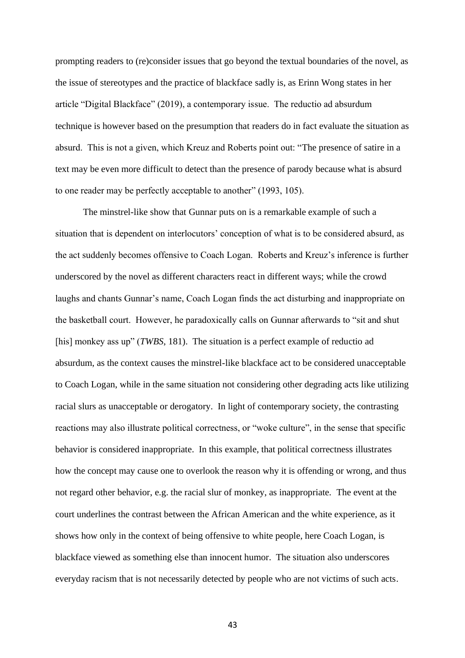prompting readers to (re)consider issues that go beyond the textual boundaries of the novel, as the issue of stereotypes and the practice of blackface sadly is, as Erinn Wong states in her article "Digital Blackface" (2019), a contemporary issue. The reductio ad absurdum technique is however based on the presumption that readers do in fact evaluate the situation as absurd. This is not a given, which Kreuz and Roberts point out: "The presence of satire in a text may be even more difficult to detect than the presence of parody because what is absurd to one reader may be perfectly acceptable to another" (1993, 105).

The minstrel-like show that Gunnar puts on is a remarkable example of such a situation that is dependent on interlocutors' conception of what is to be considered absurd, as the act suddenly becomes offensive to Coach Logan. Roberts and Kreuz's inference is further underscored by the novel as different characters react in different ways; while the crowd laughs and chants Gunnar's name, Coach Logan finds the act disturbing and inappropriate on the basketball court. However, he paradoxically calls on Gunnar afterwards to "sit and shut [his] monkey ass up" (*TWBS*, 181). The situation is a perfect example of reductio ad absurdum, as the context causes the minstrel-like blackface act to be considered unacceptable to Coach Logan, while in the same situation not considering other degrading acts like utilizing racial slurs as unacceptable or derogatory. In light of contemporary society, the contrasting reactions may also illustrate political correctness, or "woke culture", in the sense that specific behavior is considered inappropriate. In this example, that political correctness illustrates how the concept may cause one to overlook the reason why it is offending or wrong, and thus not regard other behavior, e.g. the racial slur of monkey, as inappropriate. The event at the court underlines the contrast between the African American and the white experience, as it shows how only in the context of being offensive to white people, here Coach Logan, is blackface viewed as something else than innocent humor. The situation also underscores everyday racism that is not necessarily detected by people who are not victims of such acts.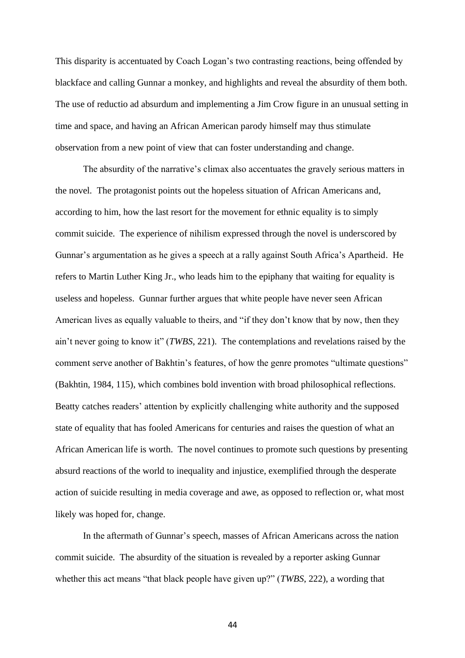This disparity is accentuated by Coach Logan's two contrasting reactions, being offended by blackface and calling Gunnar a monkey, and highlights and reveal the absurdity of them both. The use of reductio ad absurdum and implementing a Jim Crow figure in an unusual setting in time and space, and having an African American parody himself may thus stimulate observation from a new point of view that can foster understanding and change.

The absurdity of the narrative's climax also accentuates the gravely serious matters in the novel. The protagonist points out the hopeless situation of African Americans and, according to him, how the last resort for the movement for ethnic equality is to simply commit suicide. The experience of nihilism expressed through the novel is underscored by Gunnar's argumentation as he gives a speech at a rally against South Africa's Apartheid. He refers to Martin Luther King Jr., who leads him to the epiphany that waiting for equality is useless and hopeless. Gunnar further argues that white people have never seen African American lives as equally valuable to theirs, and "if they don't know that by now, then they ain't never going to know it" (*TWBS*, 221). The contemplations and revelations raised by the comment serve another of Bakhtin's features, of how the genre promotes "ultimate questions" (Bakhtin, 1984, 115), which combines bold invention with broad philosophical reflections. Beatty catches readers' attention by explicitly challenging white authority and the supposed state of equality that has fooled Americans for centuries and raises the question of what an African American life is worth. The novel continues to promote such questions by presenting absurd reactions of the world to inequality and injustice, exemplified through the desperate action of suicide resulting in media coverage and awe, as opposed to reflection or, what most likely was hoped for, change.

In the aftermath of Gunnar's speech, masses of African Americans across the nation commit suicide. The absurdity of the situation is revealed by a reporter asking Gunnar whether this act means "that black people have given up?" (*TWBS*, 222), a wording that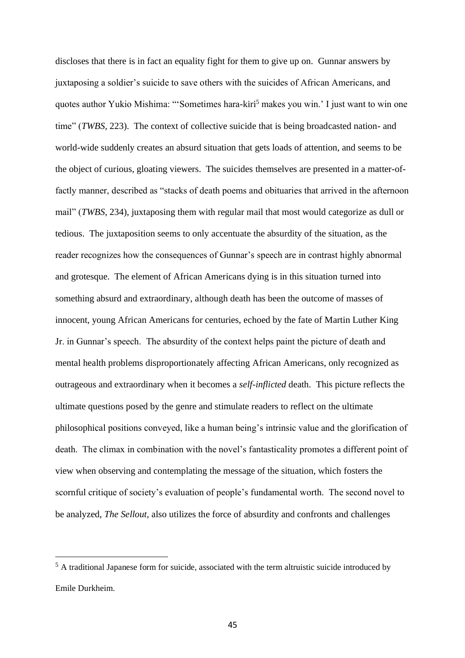discloses that there is in fact an equality fight for them to give up on. Gunnar answers by juxtaposing a soldier's suicide to save others with the suicides of African Americans, and quotes author Yukio Mishima: "'Sometimes hara-kiri<sup>5</sup> makes you win.' I just want to win one time" (*TWBS*, 223). The context of collective suicide that is being broadcasted nation- and world-wide suddenly creates an absurd situation that gets loads of attention, and seems to be the object of curious, gloating viewers. The suicides themselves are presented in a matter-offactly manner, described as "stacks of death poems and obituaries that arrived in the afternoon mail" (*TWBS*, 234), juxtaposing them with regular mail that most would categorize as dull or tedious. The juxtaposition seems to only accentuate the absurdity of the situation, as the reader recognizes how the consequences of Gunnar's speech are in contrast highly abnormal and grotesque. The element of African Americans dying is in this situation turned into something absurd and extraordinary, although death has been the outcome of masses of innocent, young African Americans for centuries, echoed by the fate of Martin Luther King Jr. in Gunnar's speech. The absurdity of the context helps paint the picture of death and mental health problems disproportionately affecting African Americans, only recognized as outrageous and extraordinary when it becomes a *self-inflicted* death. This picture reflects the ultimate questions posed by the genre and stimulate readers to reflect on the ultimate philosophical positions conveyed, like a human being's intrinsic value and the glorification of death. The climax in combination with the novel's fantasticality promotes a different point of view when observing and contemplating the message of the situation, which fosters the scornful critique of society's evaluation of people's fundamental worth. The second novel to be analyzed, *The Sellout*, also utilizes the force of absurdity and confronts and challenges

<sup>5</sup> A traditional Japanese form for suicide, associated with the term altruistic suicide introduced by Emile Durkheim.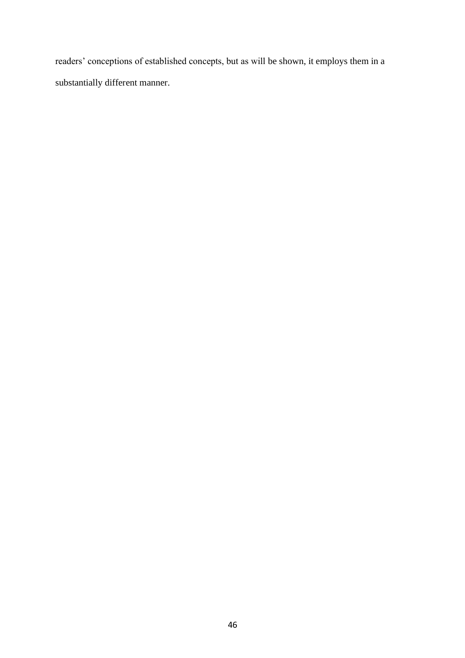readers' conceptions of established concepts, but as will be shown, it employs them in a substantially different manner.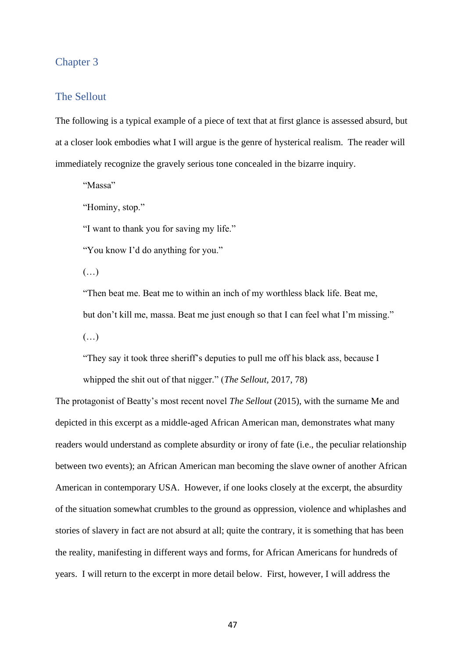# Chapter 3

## The Sellout

The following is a typical example of a piece of text that at first glance is assessed absurd, but at a closer look embodies what I will argue is the genre of hysterical realism. The reader will immediately recognize the gravely serious tone concealed in the bizarre inquiry.

"Massa"

"Hominy, stop."

"I want to thank you for saving my life."

"You know I'd do anything for you."

(…)

"Then beat me. Beat me to within an inch of my worthless black life. Beat me, but don't kill me, massa. Beat me just enough so that I can feel what I'm missing."  $(\ldots)$ 

"They say it took three sheriff's deputies to pull me off his black ass, because I whipped the shit out of that nigger." (*The Sellout,* 2017, 78)

The protagonist of Beatty's most recent novel *The Sellout* (2015), with the surname Me and depicted in this excerpt as a middle-aged African American man, demonstrates what many readers would understand as complete absurdity or irony of fate (i.e., the peculiar relationship between two events); an African American man becoming the slave owner of another African American in contemporary USA. However, if one looks closely at the excerpt, the absurdity of the situation somewhat crumbles to the ground as oppression, violence and whiplashes and stories of slavery in fact are not absurd at all; quite the contrary, it is something that has been the reality, manifesting in different ways and forms, for African Americans for hundreds of years. I will return to the excerpt in more detail below. First, however, I will address the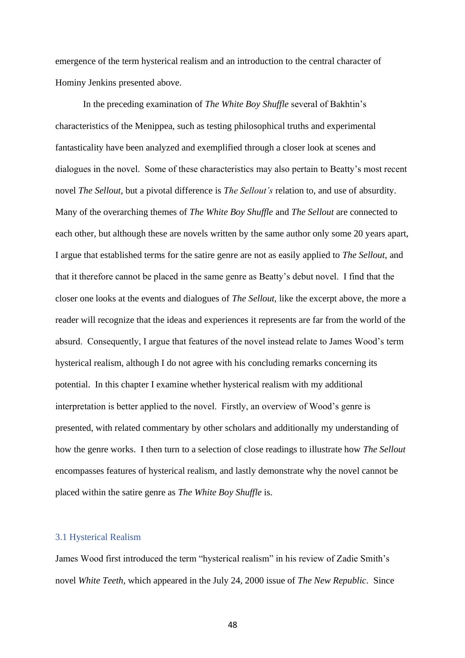emergence of the term hysterical realism and an introduction to the central character of Hominy Jenkins presented above.

In the preceding examination of *The White Boy Shuffle* several of Bakhtin's characteristics of the Menippea, such as testing philosophical truths and experimental fantasticality have been analyzed and exemplified through a closer look at scenes and dialogues in the novel. Some of these characteristics may also pertain to Beatty's most recent novel *The Sellout,* but a pivotal difference is *The Sellout's* relation to, and use of absurdity. Many of the overarching themes of *The White Boy Shuffle* and *The Sellout* are connected to each other, but although these are novels written by the same author only some 20 years apart, I argue that established terms for the satire genre are not as easily applied to *The Sellout*, and that it therefore cannot be placed in the same genre as Beatty's debut novel. I find that the closer one looks at the events and dialogues of *The Sellout,* like the excerpt above, the more a reader will recognize that the ideas and experiences it represents are far from the world of the absurd. Consequently, I argue that features of the novel instead relate to James Wood's term hysterical realism, although I do not agree with his concluding remarks concerning its potential. In this chapter I examine whether hysterical realism with my additional interpretation is better applied to the novel. Firstly, an overview of Wood's genre is presented, with related commentary by other scholars and additionally my understanding of how the genre works. I then turn to a selection of close readings to illustrate how *The Sellout*  encompasses features of hysterical realism, and lastly demonstrate why the novel cannot be placed within the satire genre as *The White Boy Shuffle* is.

### 3.1 Hysterical Realism

James Wood first introduced the term "hysterical realism" in his review of Zadie Smith's novel *White Teeth,* which appeared in the July 24, 2000 issue of *The New Republic*. Since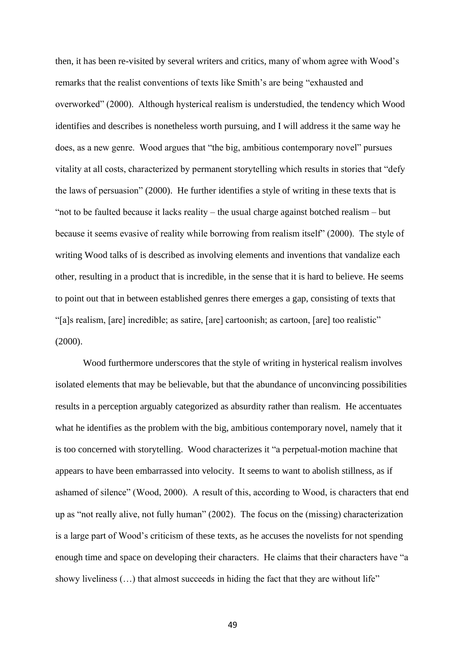then, it has been re-visited by several writers and critics, many of whom agree with Wood's remarks that the realist conventions of texts like Smith's are being "exhausted and overworked" (2000). Although hysterical realism is understudied, the tendency which Wood identifies and describes is nonetheless worth pursuing, and I will address it the same way he does, as a new genre. Wood argues that "the big, ambitious contemporary novel" pursues vitality at all costs, characterized by permanent storytelling which results in stories that "defy the laws of persuasion" (2000). He further identifies a style of writing in these texts that is "not to be faulted because it lacks reality – the usual charge against botched realism – but because it seems evasive of reality while borrowing from realism itself" (2000). The style of writing Wood talks of is described as involving elements and inventions that vandalize each other, resulting in a product that is incredible, in the sense that it is hard to believe. He seems to point out that in between established genres there emerges a gap, consisting of texts that "[a]s realism, [are] incredible; as satire, [are] cartoonish; as cartoon, [are] too realistic" (2000).

Wood furthermore underscores that the style of writing in hysterical realism involves isolated elements that may be believable, but that the abundance of unconvincing possibilities results in a perception arguably categorized as absurdity rather than realism. He accentuates what he identifies as the problem with the big, ambitious contemporary novel, namely that it is too concerned with storytelling. Wood characterizes it "a perpetual-motion machine that appears to have been embarrassed into velocity. It seems to want to abolish stillness, as if ashamed of silence" (Wood, 2000). A result of this, according to Wood, is characters that end up as "not really alive, not fully human" (2002). The focus on the (missing) characterization is a large part of Wood's criticism of these texts, as he accuses the novelists for not spending enough time and space on developing their characters. He claims that their characters have "a showy liveliness  $(...)$  that almost succeeds in hiding the fact that they are without life"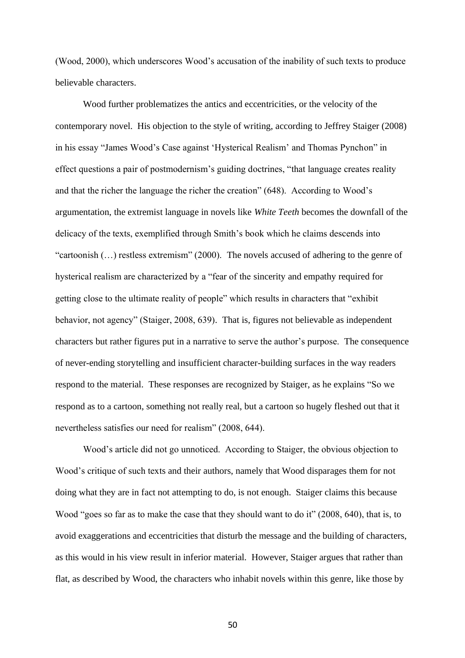(Wood, 2000), which underscores Wood's accusation of the inability of such texts to produce believable characters.

Wood further problematizes the antics and eccentricities, or the velocity of the contemporary novel. His objection to the style of writing, according to Jeffrey Staiger (2008) in his essay "James Wood's Case against 'Hysterical Realism' and Thomas Pynchon" in effect questions a pair of postmodernism's guiding doctrines, "that language creates reality and that the richer the language the richer the creation" (648). According to Wood's argumentation, the extremist language in novels like *White Teeth* becomes the downfall of the delicacy of the texts, exemplified through Smith's book which he claims descends into "cartoonish (…) restless extremism" (2000). The novels accused of adhering to the genre of hysterical realism are characterized by a "fear of the sincerity and empathy required for getting close to the ultimate reality of people" which results in characters that "exhibit behavior, not agency" (Staiger, 2008, 639). That is, figures not believable as independent characters but rather figures put in a narrative to serve the author's purpose. The consequence of never-ending storytelling and insufficient character-building surfaces in the way readers respond to the material. These responses are recognized by Staiger, as he explains "So we respond as to a cartoon, something not really real, but a cartoon so hugely fleshed out that it nevertheless satisfies our need for realism" (2008, 644).

Wood's article did not go unnoticed. According to Staiger, the obvious objection to Wood's critique of such texts and their authors, namely that Wood disparages them for not doing what they are in fact not attempting to do, is not enough. Staiger claims this because Wood "goes so far as to make the case that they should want to do it" (2008, 640), that is, to avoid exaggerations and eccentricities that disturb the message and the building of characters, as this would in his view result in inferior material. However, Staiger argues that rather than flat, as described by Wood, the characters who inhabit novels within this genre, like those by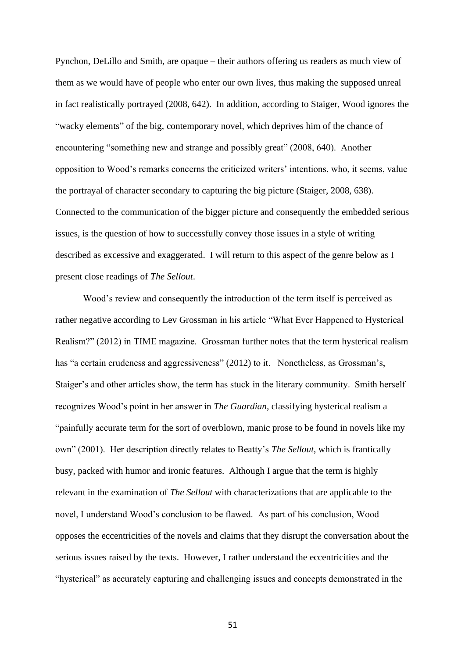Pynchon, DeLillo and Smith, are opaque – their authors offering us readers as much view of them as we would have of people who enter our own lives, thus making the supposed unreal in fact realistically portrayed (2008, 642). In addition, according to Staiger, Wood ignores the "wacky elements" of the big, contemporary novel, which deprives him of the chance of encountering "something new and strange and possibly great" (2008, 640). Another opposition to Wood's remarks concerns the criticized writers' intentions, who, it seems, value the portrayal of character secondary to capturing the big picture (Staiger, 2008, 638). Connected to the communication of the bigger picture and consequently the embedded serious issues, is the question of how to successfully convey those issues in a style of writing described as excessive and exaggerated. I will return to this aspect of the genre below as I present close readings of *The Sellout*.

Wood's review and consequently the introduction of the term itself is perceived as rather negative according to Lev Grossman in his article "What Ever Happened to Hysterical Realism?" (2012) in TIME magazine. Grossman further notes that the term hysterical realism has "a certain crudeness and aggressiveness" (2012) to it. Nonetheless, as Grossman's, Staiger's and other articles show, the term has stuck in the literary community. Smith herself recognizes Wood's point in her answer in *The Guardian,* classifying hysterical realism a "painfully accurate term for the sort of overblown, manic prose to be found in novels like my own" (2001). Her description directly relates to Beatty's *The Sellout*, which is frantically busy, packed with humor and ironic features. Although I argue that the term is highly relevant in the examination of *The Sellout* with characterizations that are applicable to the novel, I understand Wood's conclusion to be flawed. As part of his conclusion, Wood opposes the eccentricities of the novels and claims that they disrupt the conversation about the serious issues raised by the texts. However, I rather understand the eccentricities and the "hysterical" as accurately capturing and challenging issues and concepts demonstrated in the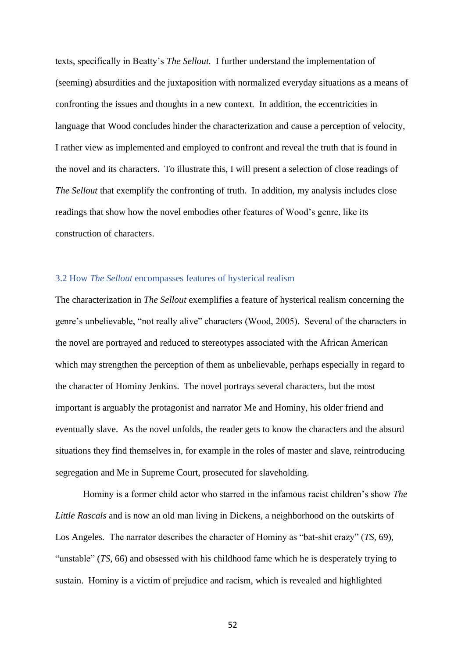texts, specifically in Beatty's *The Sellout.* I further understand the implementation of (seeming) absurdities and the juxtaposition with normalized everyday situations as a means of confronting the issues and thoughts in a new context. In addition, the eccentricities in language that Wood concludes hinder the characterization and cause a perception of velocity, I rather view as implemented and employed to confront and reveal the truth that is found in the novel and its characters. To illustrate this, I will present a selection of close readings of *The Sellout* that exemplify the confronting of truth. In addition, my analysis includes close readings that show how the novel embodies other features of Wood's genre, like its construction of characters.

### 3.2 How *The Sellout* encompasses features of hysterical realism

The characterization in *The Sellout* exemplifies a feature of hysterical realism concerning the genre's unbelievable, "not really alive" characters (Wood, 2005). Several of the characters in the novel are portrayed and reduced to stereotypes associated with the African American which may strengthen the perception of them as unbelievable, perhaps especially in regard to the character of Hominy Jenkins. The novel portrays several characters, but the most important is arguably the protagonist and narrator Me and Hominy, his older friend and eventually slave. As the novel unfolds, the reader gets to know the characters and the absurd situations they find themselves in, for example in the roles of master and slave, reintroducing segregation and Me in Supreme Court, prosecuted for slaveholding.

Hominy is a former child actor who starred in the infamous racist children's show *The Little Rascals* and is now an old man living in Dickens, a neighborhood on the outskirts of Los Angeles*.* The narrator describes the character of Hominy as "bat-shit crazy" (*TS,* 69), "unstable" (*TS*, 66) and obsessed with his childhood fame which he is desperately trying to sustain. Hominy is a victim of prejudice and racism, which is revealed and highlighted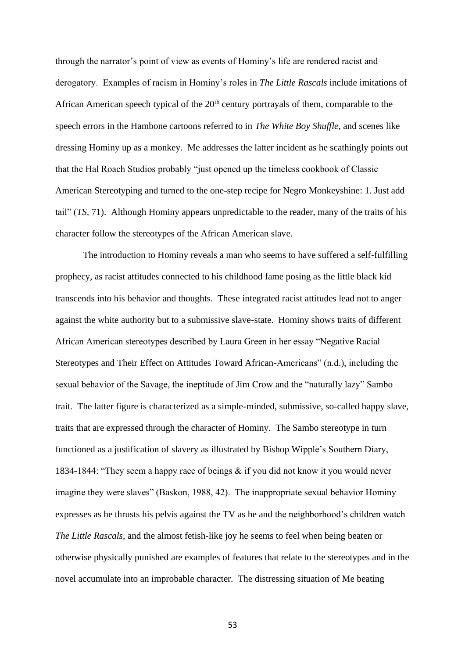through the narrator's point of view as events of Hominy's life are rendered racist and derogatory. Examples of racism in Hominy's roles in *The Little Rascals* include imitations of African American speech typical of the  $20<sup>th</sup>$  century portrayals of them, comparable to the speech errors in the Hambone cartoons referred to in *The White Boy Shuffle*, and scenes like dressing Hominy up as a monkey. Me addresses the latter incident as he scathingly points out that the Hal Roach Studios probably "just opened up the timeless cookbook of Classic American Stereotyping and turned to the one-step recipe for Negro Monkeyshine: 1. Just add tail" (*TS,* 71). Although Hominy appears unpredictable to the reader, many of the traits of his character follow the stereotypes of the African American slave.

The introduction to Hominy reveals a man who seems to have suffered a self-fulfilling prophecy, as racist attitudes connected to his childhood fame posing as the little black kid transcends into his behavior and thoughts. These integrated racist attitudes lead not to anger against the white authority but to a submissive slave-state. Hominy shows traits of different African American stereotypes described by Laura Green in her essay "Negative Racial Stereotypes and Their Effect on Attitudes Toward African-Americans" (n.d.), including the sexual behavior of the Savage, the ineptitude of Jim Crow and the "naturally lazy" Sambo trait. The latter figure is characterized as a simple-minded, submissive, so-called happy slave, traits that are expressed through the character of Hominy. The Sambo stereotype in turn functioned as a justification of slavery as illustrated by Bishop Wipple's Southern Diary, 1834-1844: "They seem a happy race of beings & if you did not know it you would never imagine they were slaves" (Baskon, 1988, 42). The inappropriate sexual behavior Hominy expresses as he thrusts his pelvis against the TV as he and the neighborhood's children watch *The Little Rascals,* and the almost fetish-like joy he seems to feel when being beaten or otherwise physically punished are examples of features that relate to the stereotypes and in the novel accumulate into an improbable character. The distressing situation of Me beating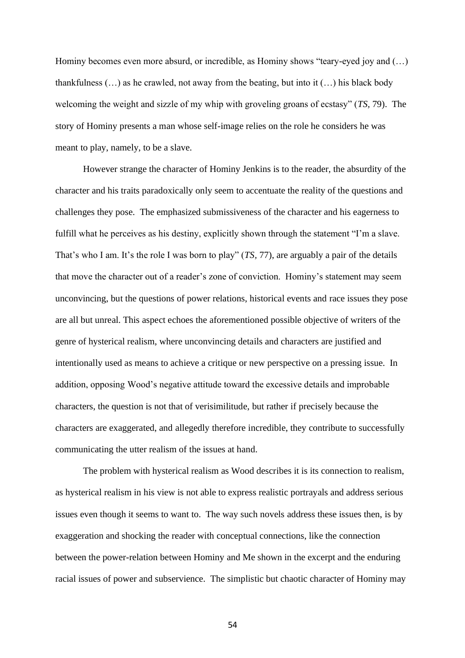Hominy becomes even more absurd, or incredible, as Hominy shows "teary-eyed joy and (…) thankfulness  $(...)$  as he crawled, not away from the beating, but into it  $(...)$  his black body welcoming the weight and sizzle of my whip with groveling groans of ecstasy" (*TS,* 79). The story of Hominy presents a man whose self-image relies on the role he considers he was meant to play, namely, to be a slave.

However strange the character of Hominy Jenkins is to the reader, the absurdity of the character and his traits paradoxically only seem to accentuate the reality of the questions and challenges they pose. The emphasized submissiveness of the character and his eagerness to fulfill what he perceives as his destiny, explicitly shown through the statement "I'm a slave. That's who I am. It's the role I was born to play" (*TS,* 77), are arguably a pair of the details that move the character out of a reader's zone of conviction. Hominy's statement may seem unconvincing, but the questions of power relations, historical events and race issues they pose are all but unreal. This aspect echoes the aforementioned possible objective of writers of the genre of hysterical realism, where unconvincing details and characters are justified and intentionally used as means to achieve a critique or new perspective on a pressing issue. In addition, opposing Wood's negative attitude toward the excessive details and improbable characters, the question is not that of verisimilitude, but rather if precisely because the characters are exaggerated, and allegedly therefore incredible, they contribute to successfully communicating the utter realism of the issues at hand.

The problem with hysterical realism as Wood describes it is its connection to realism, as hysterical realism in his view is not able to express realistic portrayals and address serious issues even though it seems to want to. The way such novels address these issues then, is by exaggeration and shocking the reader with conceptual connections, like the connection between the power-relation between Hominy and Me shown in the excerpt and the enduring racial issues of power and subservience. The simplistic but chaotic character of Hominy may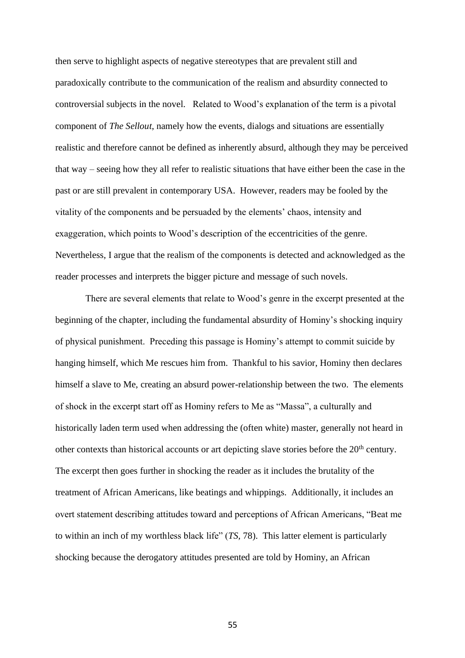then serve to highlight aspects of negative stereotypes that are prevalent still and paradoxically contribute to the communication of the realism and absurdity connected to controversial subjects in the novel. Related to Wood's explanation of the term is a pivotal component of *The Sellout*, namely how the events, dialogs and situations are essentially realistic and therefore cannot be defined as inherently absurd, although they may be perceived that way – seeing how they all refer to realistic situations that have either been the case in the past or are still prevalent in contemporary USA. However, readers may be fooled by the vitality of the components and be persuaded by the elements' chaos, intensity and exaggeration, which points to Wood's description of the eccentricities of the genre. Nevertheless, I argue that the realism of the components is detected and acknowledged as the reader processes and interprets the bigger picture and message of such novels.

There are several elements that relate to Wood's genre in the excerpt presented at the beginning of the chapter, including the fundamental absurdity of Hominy's shocking inquiry of physical punishment. Preceding this passage is Hominy's attempt to commit suicide by hanging himself, which Me rescues him from. Thankful to his savior, Hominy then declares himself a slave to Me, creating an absurd power-relationship between the two. The elements of shock in the excerpt start off as Hominy refers to Me as "Massa", a culturally and historically laden term used when addressing the (often white) master, generally not heard in other contexts than historical accounts or art depicting slave stories before the  $20<sup>th</sup>$  century. The excerpt then goes further in shocking the reader as it includes the brutality of the treatment of African Americans, like beatings and whippings. Additionally, it includes an overt statement describing attitudes toward and perceptions of African Americans, "Beat me to within an inch of my worthless black life" (*TS,* 78). This latter element is particularly shocking because the derogatory attitudes presented are told by Hominy, an African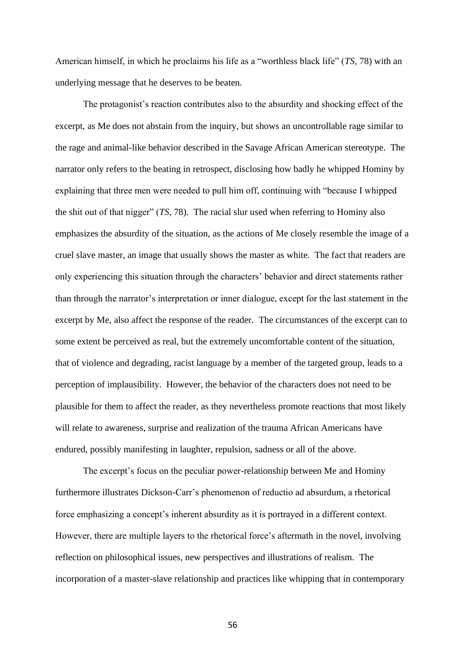American himself, in which he proclaims his life as a "worthless black life" (*TS,* 78) with an underlying message that he deserves to be beaten.

The protagonist's reaction contributes also to the absurdity and shocking effect of the excerpt, as Me does not abstain from the inquiry, but shows an uncontrollable rage similar to the rage and animal-like behavior described in the Savage African American stereotype. The narrator only refers to the beating in retrospect, disclosing how badly he whipped Hominy by explaining that three men were needed to pull him off, continuing with "because I whipped the shit out of that nigger" (*TS,* 78). The racial slur used when referring to Hominy also emphasizes the absurdity of the situation, as the actions of Me closely resemble the image of a cruel slave master, an image that usually shows the master as white. The fact that readers are only experiencing this situation through the characters' behavior and direct statements rather than through the narrator's interpretation or inner dialogue, except for the last statement in the excerpt by Me, also affect the response of the reader. The circumstances of the excerpt can to some extent be perceived as real, but the extremely uncomfortable content of the situation, that of violence and degrading, racist language by a member of the targeted group, leads to a perception of implausibility. However, the behavior of the characters does not need to be plausible for them to affect the reader, as they nevertheless promote reactions that most likely will relate to awareness, surprise and realization of the trauma African Americans have endured, possibly manifesting in laughter, repulsion, sadness or all of the above.

The excerpt's focus on the peculiar power-relationship between Me and Hominy furthermore illustrates Dickson-Carr's phenomenon of reductio ad absurdum, a rhetorical force emphasizing a concept's inherent absurdity as it is portrayed in a different context. However, there are multiple layers to the rhetorical force's aftermath in the novel, involving reflection on philosophical issues, new perspectives and illustrations of realism. The incorporation of a master-slave relationship and practices like whipping that in contemporary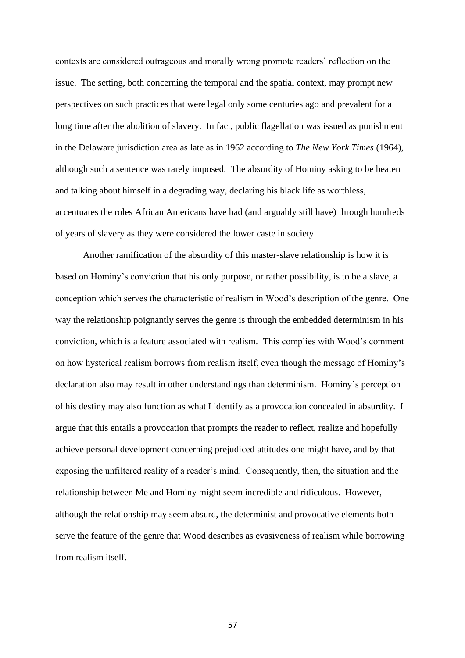contexts are considered outrageous and morally wrong promote readers' reflection on the issue. The setting, both concerning the temporal and the spatial context, may prompt new perspectives on such practices that were legal only some centuries ago and prevalent for a long time after the abolition of slavery. In fact, public flagellation was issued as punishment in the Delaware jurisdiction area as late as in 1962 according to *The New York Times* (1964), although such a sentence was rarely imposed. The absurdity of Hominy asking to be beaten and talking about himself in a degrading way, declaring his black life as worthless, accentuates the roles African Americans have had (and arguably still have) through hundreds of years of slavery as they were considered the lower caste in society.

Another ramification of the absurdity of this master-slave relationship is how it is based on Hominy's conviction that his only purpose, or rather possibility, is to be a slave, a conception which serves the characteristic of realism in Wood's description of the genre. One way the relationship poignantly serves the genre is through the embedded determinism in his conviction, which is a feature associated with realism. This complies with Wood's comment on how hysterical realism borrows from realism itself, even though the message of Hominy's declaration also may result in other understandings than determinism. Hominy's perception of his destiny may also function as what I identify as a provocation concealed in absurdity. I argue that this entails a provocation that prompts the reader to reflect, realize and hopefully achieve personal development concerning prejudiced attitudes one might have, and by that exposing the unfiltered reality of a reader's mind. Consequently, then, the situation and the relationship between Me and Hominy might seem incredible and ridiculous. However, although the relationship may seem absurd, the determinist and provocative elements both serve the feature of the genre that Wood describes as evasiveness of realism while borrowing from realism itself.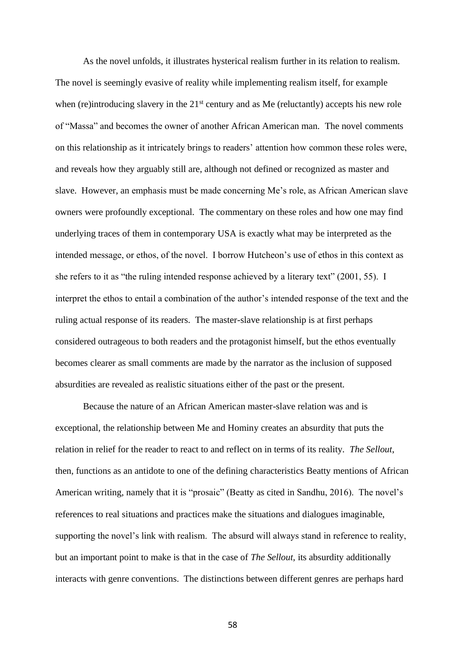As the novel unfolds, it illustrates hysterical realism further in its relation to realism. The novel is seemingly evasive of reality while implementing realism itself, for example when (re)introducing slavery in the  $21<sup>st</sup>$  century and as Me (reluctantly) accepts his new role of "Massa" and becomes the owner of another African American man. The novel comments on this relationship as it intricately brings to readers' attention how common these roles were, and reveals how they arguably still are, although not defined or recognized as master and slave. However, an emphasis must be made concerning Me's role, as African American slave owners were profoundly exceptional. The commentary on these roles and how one may find underlying traces of them in contemporary USA is exactly what may be interpreted as the intended message, or ethos, of the novel. I borrow Hutcheon's use of ethos in this context as she refers to it as "the ruling intended response achieved by a literary text" (2001, 55). I interpret the ethos to entail a combination of the author's intended response of the text and the ruling actual response of its readers. The master-slave relationship is at first perhaps considered outrageous to both readers and the protagonist himself, but the ethos eventually becomes clearer as small comments are made by the narrator as the inclusion of supposed absurdities are revealed as realistic situations either of the past or the present.

Because the nature of an African American master-slave relation was and is exceptional, the relationship between Me and Hominy creates an absurdity that puts the relation in relief for the reader to react to and reflect on in terms of its reality. *The Sellout*, then, functions as an antidote to one of the defining characteristics Beatty mentions of African American writing, namely that it is "prosaic" (Beatty as cited in Sandhu, 2016). The novel's references to real situations and practices make the situations and dialogues imaginable, supporting the novel's link with realism. The absurd will always stand in reference to reality, but an important point to make is that in the case of *The Sellout,* its absurdity additionally interacts with genre conventions. The distinctions between different genres are perhaps hard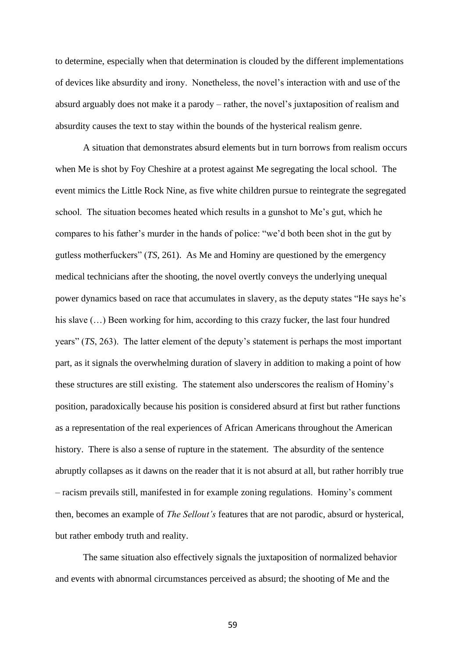to determine, especially when that determination is clouded by the different implementations of devices like absurdity and irony. Nonetheless, the novel's interaction with and use of the absurd arguably does not make it a parody – rather, the novel's juxtaposition of realism and absurdity causes the text to stay within the bounds of the hysterical realism genre.

A situation that demonstrates absurd elements but in turn borrows from realism occurs when Me is shot by Foy Cheshire at a protest against Me segregating the local school. The event mimics the Little Rock Nine, as five white children pursue to reintegrate the segregated school. The situation becomes heated which results in a gunshot to Me's gut, which he compares to his father's murder in the hands of police: "we'd both been shot in the gut by gutless motherfuckers" (*TS,* 261). As Me and Hominy are questioned by the emergency medical technicians after the shooting, the novel overtly conveys the underlying unequal power dynamics based on race that accumulates in slavery, as the deputy states "He says he's his slave  $(...)$  Been working for him, according to this crazy fucker, the last four hundred years" (*TS*, 263). The latter element of the deputy's statement is perhaps the most important part, as it signals the overwhelming duration of slavery in addition to making a point of how these structures are still existing. The statement also underscores the realism of Hominy's position, paradoxically because his position is considered absurd at first but rather functions as a representation of the real experiences of African Americans throughout the American history. There is also a sense of rupture in the statement. The absurdity of the sentence abruptly collapses as it dawns on the reader that it is not absurd at all, but rather horribly true – racism prevails still, manifested in for example zoning regulations. Hominy's comment then, becomes an example of *The Sellout's* features that are not parodic, absurd or hysterical, but rather embody truth and reality.

The same situation also effectively signals the juxtaposition of normalized behavior and events with abnormal circumstances perceived as absurd; the shooting of Me and the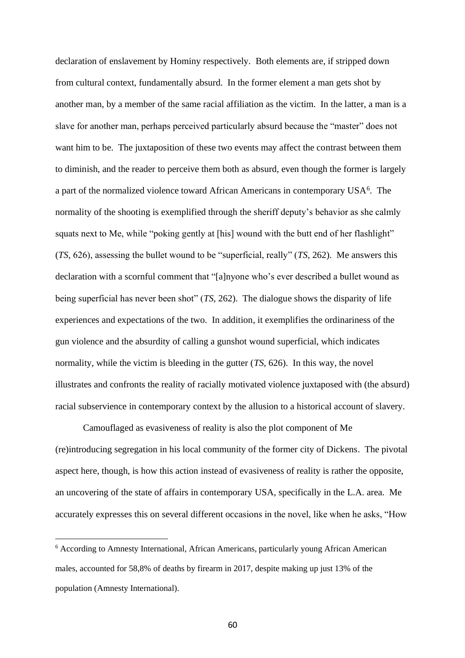declaration of enslavement by Hominy respectively. Both elements are, if stripped down from cultural context, fundamentally absurd. In the former element a man gets shot by another man, by a member of the same racial affiliation as the victim. In the latter, a man is a slave for another man, perhaps perceived particularly absurd because the "master" does not want him to be. The juxtaposition of these two events may affect the contrast between them to diminish, and the reader to perceive them both as absurd, even though the former is largely a part of the normalized violence toward African Americans in contemporary USA<sup>6</sup>. The normality of the shooting is exemplified through the sheriff deputy's behavior as she calmly squats next to Me, while "poking gently at [his] wound with the butt end of her flashlight" (*TS,* 626), assessing the bullet wound to be "superficial, really" (*TS,* 262). Me answers this declaration with a scornful comment that "[a]nyone who's ever described a bullet wound as being superficial has never been shot" (*TS,* 262). The dialogue shows the disparity of life experiences and expectations of the two. In addition, it exemplifies the ordinariness of the gun violence and the absurdity of calling a gunshot wound superficial, which indicates normality, while the victim is bleeding in the gutter (*TS,* 626). In this way, the novel illustrates and confronts the reality of racially motivated violence juxtaposed with (the absurd) racial subservience in contemporary context by the allusion to a historical account of slavery.

Camouflaged as evasiveness of reality is also the plot component of Me (re)introducing segregation in his local community of the former city of Dickens. The pivotal aspect here, though, is how this action instead of evasiveness of reality is rather the opposite, an uncovering of the state of affairs in contemporary USA, specifically in the L.A. area. Me accurately expresses this on several different occasions in the novel, like when he asks, "How

<sup>6</sup> According to Amnesty International, African Americans, particularly young African American males, accounted for 58,8% of deaths by firearm in 2017, despite making up just 13% of the population (Amnesty International).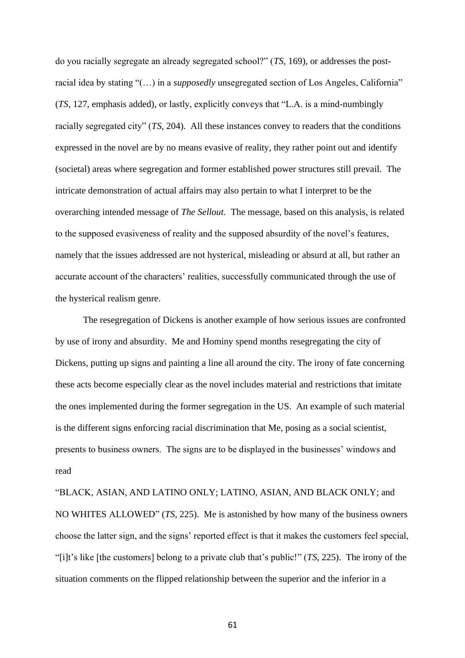do you racially segregate an already segregated school?" (*TS,* 169), or addresses the postracial idea by stating "(…) in a *supposedly* unsegregated section of Los Angeles, California" (*TS,* 127, emphasis added), or lastly, explicitly conveys that "L.A. is a mind-numbingly racially segregated city" (*TS,* 204). All these instances convey to readers that the conditions expressed in the novel are by no means evasive of reality, they rather point out and identify (societal) areas where segregation and former established power structures still prevail. The intricate demonstration of actual affairs may also pertain to what I interpret to be the overarching intended message of *The Sellout*. The message, based on this analysis, is related to the supposed evasiveness of reality and the supposed absurdity of the novel's features, namely that the issues addressed are not hysterical, misleading or absurd at all, but rather an accurate account of the characters' realities, successfully communicated through the use of the hysterical realism genre.

The resegregation of Dickens is another example of how serious issues are confronted by use of irony and absurdity. Me and Hominy spend months resegregating the city of Dickens, putting up signs and painting a line all around the city. The irony of fate concerning these acts become especially clear as the novel includes material and restrictions that imitate the ones implemented during the former segregation in the US. An example of such material is the different signs enforcing racial discrimination that Me, posing as a social scientist, presents to business owners. The signs are to be displayed in the businesses' windows and read

"BLACK, ASIAN, AND LATINO ONLY; LATINO, ASIAN, AND BLACK ONLY; and NO WHITES ALLOWED" (*TS,* 225). Me is astonished by how many of the business owners choose the latter sign, and the signs' reported effect is that it makes the customers feel special, "[i]t's like [the customers] belong to a private club that's public!" (*TS*, 225). The irony of the situation comments on the flipped relationship between the superior and the inferior in a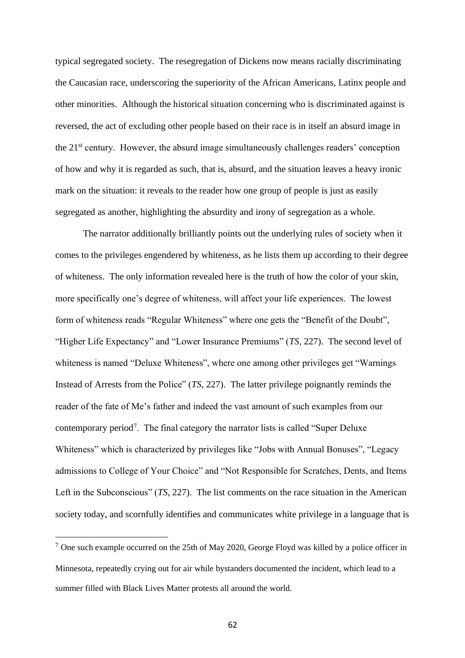typical segregated society. The resegregation of Dickens now means racially discriminating the Caucasian race, underscoring the superiority of the African Americans, Latinx people and other minorities. Although the historical situation concerning who is discriminated against is reversed, the act of excluding other people based on their race is in itself an absurd image in the 21st century. However, the absurd image simultaneously challenges readers' conception of how and why it is regarded as such, that is, absurd, and the situation leaves a heavy ironic mark on the situation: it reveals to the reader how one group of people is just as easily segregated as another, highlighting the absurdity and irony of segregation as a whole.

The narrator additionally brilliantly points out the underlying rules of society when it comes to the privileges engendered by whiteness, as he lists them up according to their degree of whiteness. The only information revealed here is the truth of how the color of your skin, more specifically one's degree of whiteness, will affect your life experiences. The lowest form of whiteness reads "Regular Whiteness" where one gets the "Benefit of the Doubt", "Higher Life Expectancy" and "Lower Insurance Premiums" (*TS,* 227). The second level of whiteness is named "Deluxe Whiteness", where one among other privileges get "Warnings Instead of Arrests from the Police" (*TS*, 227). The latter privilege poignantly reminds the reader of the fate of Me's father and indeed the vast amount of such examples from our contemporary period<sup>7</sup>. The final category the narrator lists is called "Super Deluxe Whiteness" which is characterized by privileges like "Jobs with Annual Bonuses", "Legacy admissions to College of Your Choice" and "Not Responsible for Scratches, Dents, and Items Left in the Subconscious" (*TS*, 227). The list comments on the race situation in the American society today, and scornfully identifies and communicates white privilege in a language that is

 $<sup>7</sup>$  One such example occurred on the 25th of May 2020, George Floyd was killed by a police officer in</sup> Minnesota, repeatedly crying out for air while bystanders documented the incident, which lead to a summer filled with Black Lives Matter protests all around the world.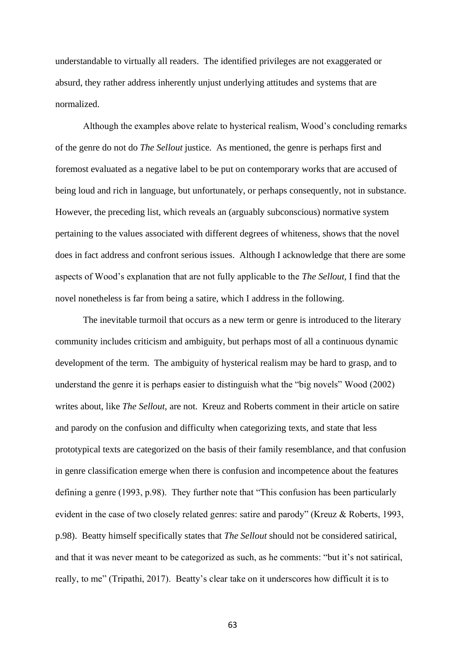understandable to virtually all readers. The identified privileges are not exaggerated or absurd, they rather address inherently unjust underlying attitudes and systems that are normalized.

Although the examples above relate to hysterical realism, Wood's concluding remarks of the genre do not do *The Sellout* justice. As mentioned, the genre is perhaps first and foremost evaluated as a negative label to be put on contemporary works that are accused of being loud and rich in language, but unfortunately, or perhaps consequently, not in substance. However, the preceding list, which reveals an (arguably subconscious) normative system pertaining to the values associated with different degrees of whiteness, shows that the novel does in fact address and confront serious issues. Although I acknowledge that there are some aspects of Wood's explanation that are not fully applicable to the *The Sellout,* I find that the novel nonetheless is far from being a satire, which I address in the following.

The inevitable turmoil that occurs as a new term or genre is introduced to the literary community includes criticism and ambiguity, but perhaps most of all a continuous dynamic development of the term. The ambiguity of hysterical realism may be hard to grasp, and to understand the genre it is perhaps easier to distinguish what the "big novels" Wood (2002) writes about, like *The Sellout*, are not. Kreuz and Roberts comment in their article on satire and parody on the confusion and difficulty when categorizing texts, and state that less prototypical texts are categorized on the basis of their family resemblance, and that confusion in genre classification emerge when there is confusion and incompetence about the features defining a genre (1993, p.98). They further note that "This confusion has been particularly evident in the case of two closely related genres: satire and parody" (Kreuz & Roberts, 1993, p.98). Beatty himself specifically states that *The Sellout* should not be considered satirical, and that it was never meant to be categorized as such, as he comments: "but it's not satirical, really, to me" (Tripathi, 2017). Beatty's clear take on it underscores how difficult it is to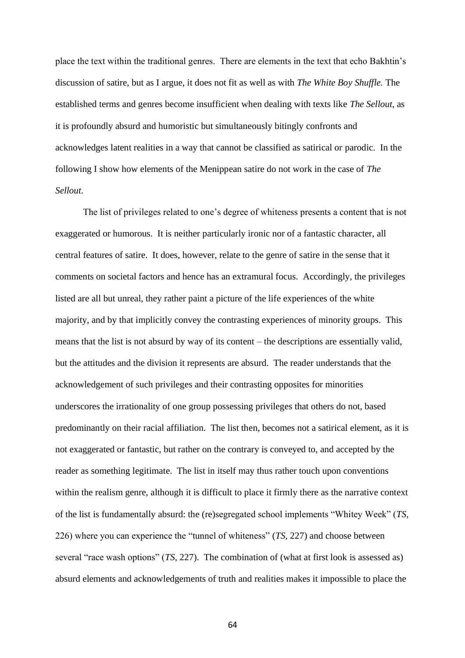place the text within the traditional genres. There are elements in the text that echo Bakhtin's discussion of satire, but as I argue, it does not fit as well as with *The White Boy Shuffle.* The established terms and genres become insufficient when dealing with texts like *The Sellout*, as it is profoundly absurd and humoristic but simultaneously bitingly confronts and acknowledges latent realities in a way that cannot be classified as satirical or parodic. In the following I show how elements of the Menippean satire do not work in the case of *The Sellout*.

The list of privileges related to one's degree of whiteness presents a content that is not exaggerated or humorous. It is neither particularly ironic nor of a fantastic character, all central features of satire. It does, however, relate to the genre of satire in the sense that it comments on societal factors and hence has an extramural focus. Accordingly, the privileges listed are all but unreal, they rather paint a picture of the life experiences of the white majority, and by that implicitly convey the contrasting experiences of minority groups. This means that the list is not absurd by way of its content – the descriptions are essentially valid, but the attitudes and the division it represents are absurd. The reader understands that the acknowledgement of such privileges and their contrasting opposites for minorities underscores the irrationality of one group possessing privileges that others do not, based predominantly on their racial affiliation. The list then, becomes not a satirical element, as it is not exaggerated or fantastic, but rather on the contrary is conveyed to, and accepted by the reader as something legitimate. The list in itself may thus rather touch upon conventions within the realism genre, although it is difficult to place it firmly there as the narrative context of the list is fundamentally absurd: the (re)segregated school implements "Whitey Week" (*TS,*  226) where you can experience the "tunnel of whiteness" (*TS,* 227) and choose between several "race wash options" (*TS*, 227). The combination of (what at first look is assessed as) absurd elements and acknowledgements of truth and realities makes it impossible to place the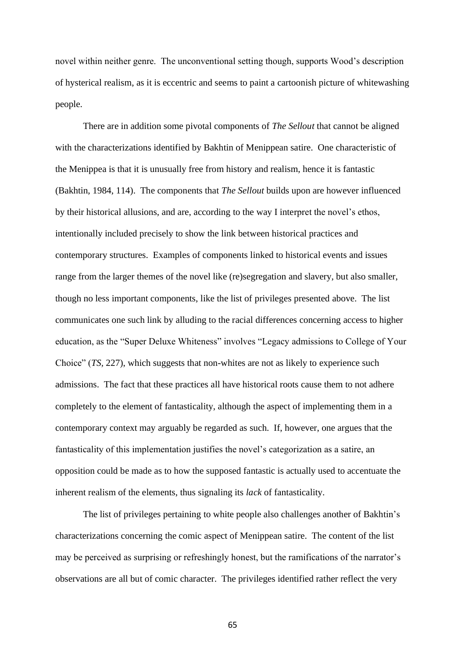novel within neither genre. The unconventional setting though, supports Wood's description of hysterical realism, as it is eccentric and seems to paint a cartoonish picture of whitewashing people.

There are in addition some pivotal components of *The Sellout* that cannot be aligned with the characterizations identified by Bakhtin of Menippean satire. One characteristic of the Menippea is that it is unusually free from history and realism, hence it is fantastic (Bakhtin, 1984, 114). The components that *The Sellout* builds upon are however influenced by their historical allusions, and are, according to the way I interpret the novel's ethos, intentionally included precisely to show the link between historical practices and contemporary structures. Examples of components linked to historical events and issues range from the larger themes of the novel like (re)segregation and slavery, but also smaller, though no less important components, like the list of privileges presented above. The list communicates one such link by alluding to the racial differences concerning access to higher education, as the "Super Deluxe Whiteness" involves "Legacy admissions to College of Your Choice" (*TS,* 227), which suggests that non-whites are not as likely to experience such admissions. The fact that these practices all have historical roots cause them to not adhere completely to the element of fantasticality, although the aspect of implementing them in a contemporary context may arguably be regarded as such. If, however, one argues that the fantasticality of this implementation justifies the novel's categorization as a satire, an opposition could be made as to how the supposed fantastic is actually used to accentuate the inherent realism of the elements, thus signaling its *lack* of fantasticality.

The list of privileges pertaining to white people also challenges another of Bakhtin's characterizations concerning the comic aspect of Menippean satire. The content of the list may be perceived as surprising or refreshingly honest, but the ramifications of the narrator's observations are all but of comic character. The privileges identified rather reflect the very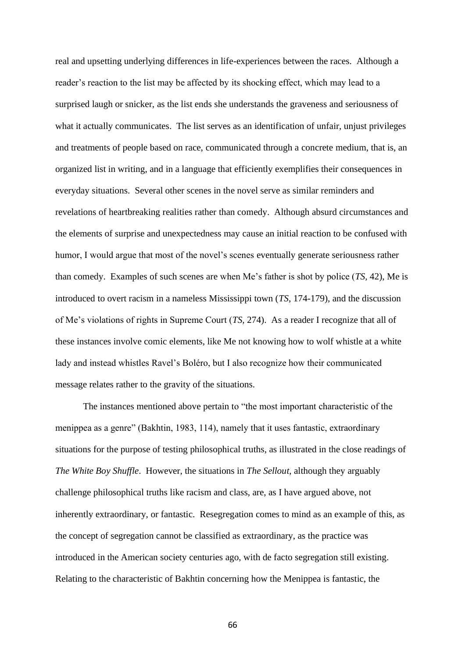real and upsetting underlying differences in life-experiences between the races. Although a reader's reaction to the list may be affected by its shocking effect, which may lead to a surprised laugh or snicker, as the list ends she understands the graveness and seriousness of what it actually communicates. The list serves as an identification of unfair, unjust privileges and treatments of people based on race, communicated through a concrete medium, that is, an organized list in writing, and in a language that efficiently exemplifies their consequences in everyday situations. Several other scenes in the novel serve as similar reminders and revelations of heartbreaking realities rather than comedy. Although absurd circumstances and the elements of surprise and unexpectedness may cause an initial reaction to be confused with humor, I would argue that most of the novel's scenes eventually generate seriousness rather than comedy. Examples of such scenes are when Me's father is shot by police (*TS,* 42), Me is introduced to overt racism in a nameless Mississippi town (*TS*, 174-179), and the discussion of Me's violations of rights in Supreme Court (*TS,* 274). As a reader I recognize that all of these instances involve comic elements, like Me not knowing how to wolf whistle at a white lady and instead whistles Ravel's Boléro, but I also recognize how their communicated message relates rather to the gravity of the situations.

The instances mentioned above pertain to "the most important characteristic of the menippea as a genre" (Bakhtin, 1983, 114), namely that it uses fantastic, extraordinary situations for the purpose of testing philosophical truths, as illustrated in the close readings of *The White Boy Shuffle*. However, the situations in *The Sellout*, although they arguably challenge philosophical truths like racism and class, are, as I have argued above, not inherently extraordinary, or fantastic. Resegregation comes to mind as an example of this, as the concept of segregation cannot be classified as extraordinary, as the practice was introduced in the American society centuries ago, with de facto segregation still existing. Relating to the characteristic of Bakhtin concerning how the Menippea is fantastic, the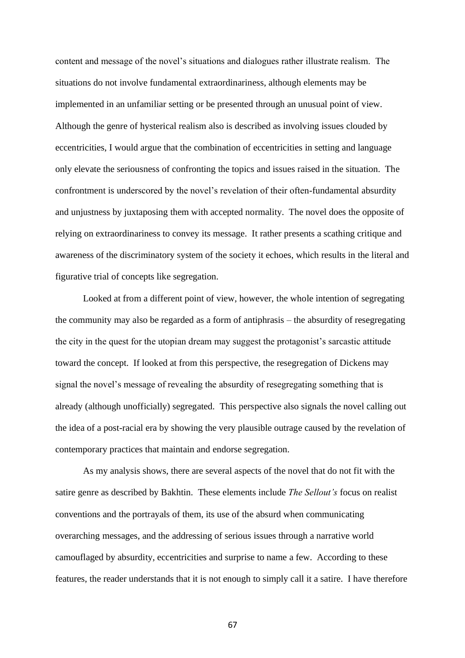content and message of the novel's situations and dialogues rather illustrate realism. The situations do not involve fundamental extraordinariness, although elements may be implemented in an unfamiliar setting or be presented through an unusual point of view. Although the genre of hysterical realism also is described as involving issues clouded by eccentricities, I would argue that the combination of eccentricities in setting and language only elevate the seriousness of confronting the topics and issues raised in the situation. The confrontment is underscored by the novel's revelation of their often-fundamental absurdity and unjustness by juxtaposing them with accepted normality. The novel does the opposite of relying on extraordinariness to convey its message. It rather presents a scathing critique and awareness of the discriminatory system of the society it echoes, which results in the literal and figurative trial of concepts like segregation.

Looked at from a different point of view, however, the whole intention of segregating the community may also be regarded as a form of antiphrasis – the absurdity of resegregating the city in the quest for the utopian dream may suggest the protagonist's sarcastic attitude toward the concept. If looked at from this perspective, the resegregation of Dickens may signal the novel's message of revealing the absurdity of resegregating something that is already (although unofficially) segregated. This perspective also signals the novel calling out the idea of a post-racial era by showing the very plausible outrage caused by the revelation of contemporary practices that maintain and endorse segregation.

As my analysis shows, there are several aspects of the novel that do not fit with the satire genre as described by Bakhtin. These elements include *The Sellout's* focus on realist conventions and the portrayals of them, its use of the absurd when communicating overarching messages, and the addressing of serious issues through a narrative world camouflaged by absurdity, eccentricities and surprise to name a few. According to these features, the reader understands that it is not enough to simply call it a satire. I have therefore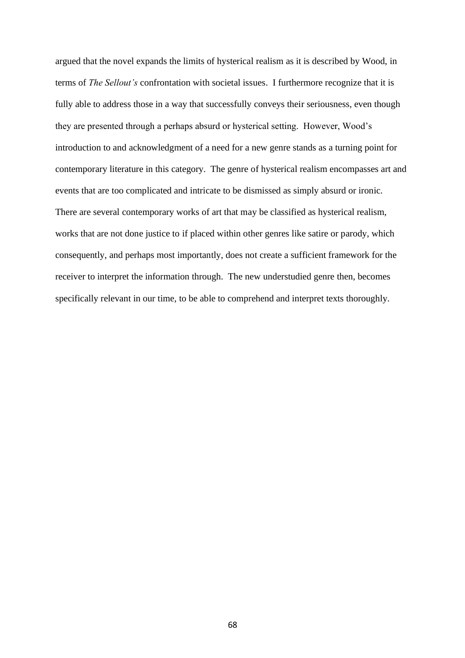argued that the novel expands the limits of hysterical realism as it is described by Wood, in terms of *The Sellout's* confrontation with societal issues. I furthermore recognize that it is fully able to address those in a way that successfully conveys their seriousness, even though they are presented through a perhaps absurd or hysterical setting. However, Wood's introduction to and acknowledgment of a need for a new genre stands as a turning point for contemporary literature in this category. The genre of hysterical realism encompasses art and events that are too complicated and intricate to be dismissed as simply absurd or ironic. There are several contemporary works of art that may be classified as hysterical realism, works that are not done justice to if placed within other genres like satire or parody, which consequently, and perhaps most importantly, does not create a sufficient framework for the receiver to interpret the information through. The new understudied genre then, becomes specifically relevant in our time, to be able to comprehend and interpret texts thoroughly.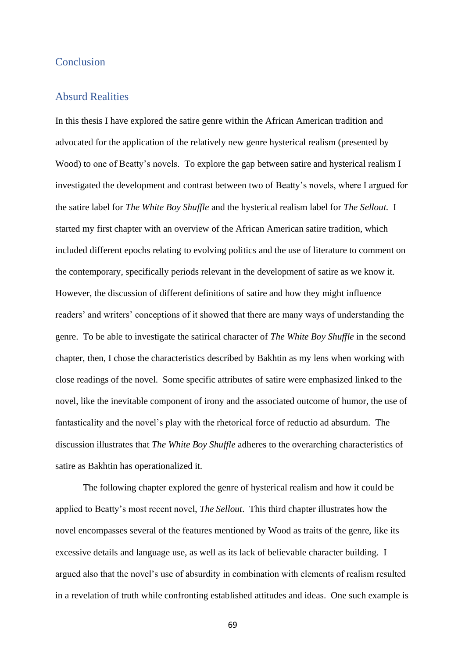## Conclusion

## Absurd Realities

In this thesis I have explored the satire genre within the African American tradition and advocated for the application of the relatively new genre hysterical realism (presented by Wood) to one of Beatty's novels. To explore the gap between satire and hysterical realism I investigated the development and contrast between two of Beatty's novels, where I argued for the satire label for *The White Boy Shuffle* and the hysterical realism label for *The Sellout.* I started my first chapter with an overview of the African American satire tradition, which included different epochs relating to evolving politics and the use of literature to comment on the contemporary, specifically periods relevant in the development of satire as we know it. However, the discussion of different definitions of satire and how they might influence readers' and writers' conceptions of it showed that there are many ways of understanding the genre. To be able to investigate the satirical character of *The White Boy Shuffle* in the second chapter*,* then, I chose the characteristics described by Bakhtin as my lens when working with close readings of the novel. Some specific attributes of satire were emphasized linked to the novel, like the inevitable component of irony and the associated outcome of humor, the use of fantasticality and the novel's play with the rhetorical force of reductio ad absurdum. The discussion illustrates that *The White Boy Shuffle* adheres to the overarching characteristics of satire as Bakhtin has operationalized it.

The following chapter explored the genre of hysterical realism and how it could be applied to Beatty's most recent novel, *The Sellout*. This third chapter illustrates how the novel encompasses several of the features mentioned by Wood as traits of the genre, like its excessive details and language use, as well as its lack of believable character building. I argued also that the novel's use of absurdity in combination with elements of realism resulted in a revelation of truth while confronting established attitudes and ideas. One such example is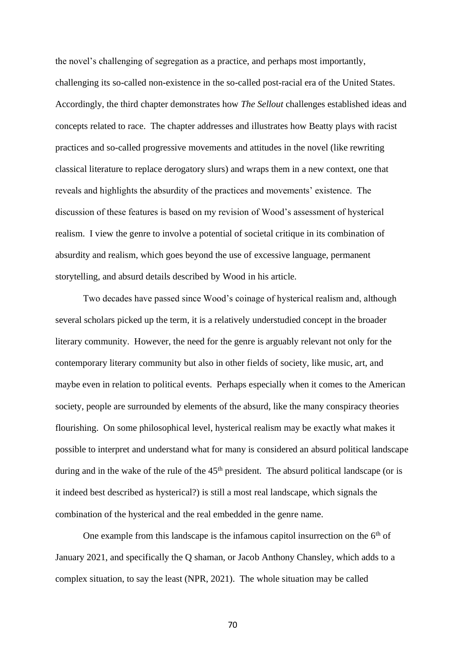the novel's challenging of segregation as a practice, and perhaps most importantly, challenging its so-called non-existence in the so-called post-racial era of the United States. Accordingly, the third chapter demonstrates how *The Sellout* challenges established ideas and concepts related to race. The chapter addresses and illustrates how Beatty plays with racist practices and so-called progressive movements and attitudes in the novel (like rewriting classical literature to replace derogatory slurs) and wraps them in a new context, one that reveals and highlights the absurdity of the practices and movements' existence. The discussion of these features is based on my revision of Wood's assessment of hysterical realism. I view the genre to involve a potential of societal critique in its combination of absurdity and realism, which goes beyond the use of excessive language, permanent storytelling, and absurd details described by Wood in his article.

Two decades have passed since Wood's coinage of hysterical realism and, although several scholars picked up the term, it is a relatively understudied concept in the broader literary community. However, the need for the genre is arguably relevant not only for the contemporary literary community but also in other fields of society, like music, art, and maybe even in relation to political events. Perhaps especially when it comes to the American society, people are surrounded by elements of the absurd, like the many conspiracy theories flourishing. On some philosophical level, hysterical realism may be exactly what makes it possible to interpret and understand what for many is considered an absurd political landscape during and in the wake of the rule of the  $45<sup>th</sup>$  president. The absurd political landscape (or is it indeed best described as hysterical?) is still a most real landscape, which signals the combination of the hysterical and the real embedded in the genre name.

One example from this landscape is the infamous capitol insurrection on the  $6<sup>th</sup>$  of January 2021, and specifically the Q shaman, or Jacob Anthony Chansley, which adds to a complex situation, to say the least (NPR, 2021). The whole situation may be called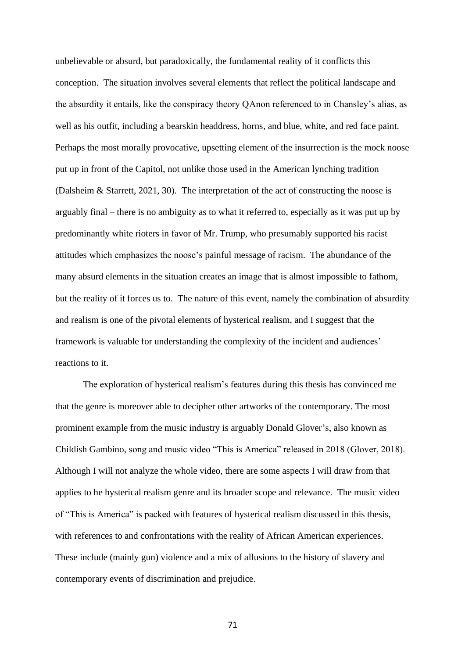unbelievable or absurd, but paradoxically, the fundamental reality of it conflicts this conception. The situation involves several elements that reflect the political landscape and the absurdity it entails, like the conspiracy theory QAnon referenced to in Chansley's alias, as well as his outfit, including a bearskin headdress, horns, and blue, white, and red face paint. Perhaps the most morally provocative, upsetting element of the insurrection is the mock noose put up in front of the Capitol, not unlike those used in the American lynching tradition (Dalsheim & Starrett, 2021, 30). The interpretation of the act of constructing the noose is arguably final – there is no ambiguity as to what it referred to, especially as it was put up by predominantly white rioters in favor of Mr. Trump, who presumably supported his racist attitudes which emphasizes the noose's painful message of racism. The abundance of the many absurd elements in the situation creates an image that is almost impossible to fathom, but the reality of it forces us to. The nature of this event, namely the combination of absurdity and realism is one of the pivotal elements of hysterical realism, and I suggest that the framework is valuable for understanding the complexity of the incident and audiences' reactions to it.

The exploration of hysterical realism's features during this thesis has convinced me that the genre is moreover able to decipher other artworks of the contemporary. The most prominent example from the music industry is arguably Donald Glover's, also known as Childish Gambino, song and music video "This is America" released in 2018 (Glover, 2018). Although I will not analyze the whole video, there are some aspects I will draw from that applies to he hysterical realism genre and its broader scope and relevance. The music video of "This is America" is packed with features of hysterical realism discussed in this thesis, with references to and confrontations with the reality of African American experiences. These include (mainly gun) violence and a mix of allusions to the history of slavery and contemporary events of discrimination and prejudice.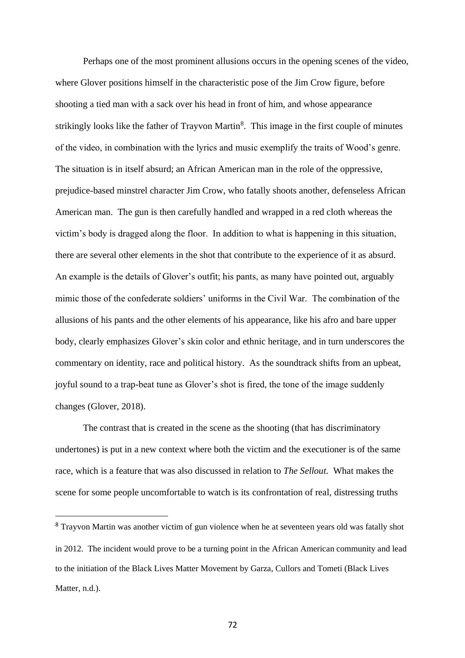Perhaps one of the most prominent allusions occurs in the opening scenes of the video, where Glover positions himself in the characteristic pose of the Jim Crow figure, before shooting a tied man with a sack over his head in front of him, and whose appearance strikingly looks like the father of Trayvon Martin<sup>8</sup>. This image in the first couple of minutes of the video, in combination with the lyrics and music exemplify the traits of Wood's genre. The situation is in itself absurd; an African American man in the role of the oppressive, prejudice-based minstrel character Jim Crow, who fatally shoots another, defenseless African American man. The gun is then carefully handled and wrapped in a red cloth whereas the victim's body is dragged along the floor. In addition to what is happening in this situation, there are several other elements in the shot that contribute to the experience of it as absurd. An example is the details of Glover's outfit; his pants, as many have pointed out, arguably mimic those of the confederate soldiers' uniforms in the Civil War. The combination of the allusions of his pants and the other elements of his appearance, like his afro and bare upper body, clearly emphasizes Glover's skin color and ethnic heritage, and in turn underscores the commentary on identity, race and political history. As the soundtrack shifts from an upbeat, joyful sound to a trap-beat tune as Glover's shot is fired, the tone of the image suddenly changes (Glover, 2018).

The contrast that is created in the scene as the shooting (that has discriminatory undertones) is put in a new context where both the victim and the executioner is of the same race, which is a feature that was also discussed in relation to *The Sellout.* What makes the scene for some people uncomfortable to watch is its confrontation of real, distressing truths

<sup>&</sup>lt;sup>8</sup> Trayvon Martin was another victim of gun violence when he at seventeen years old was fatally shot in 2012. The incident would prove to be a turning point in the African American community and lead to the initiation of the Black Lives Matter Movement by Garza, Cullors and Tometi (Black Lives Matter, n.d.).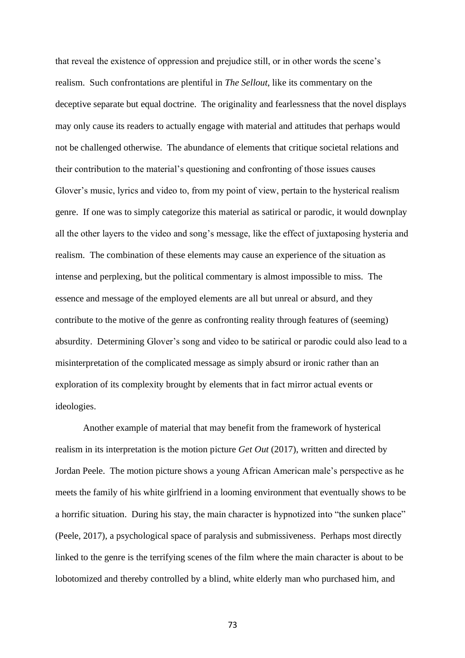that reveal the existence of oppression and prejudice still, or in other words the scene's realism. Such confrontations are plentiful in *The Sellout*, like its commentary on the deceptive separate but equal doctrine. The originality and fearlessness that the novel displays may only cause its readers to actually engage with material and attitudes that perhaps would not be challenged otherwise. The abundance of elements that critique societal relations and their contribution to the material's questioning and confronting of those issues causes Glover's music, lyrics and video to, from my point of view, pertain to the hysterical realism genre. If one was to simply categorize this material as satirical or parodic, it would downplay all the other layers to the video and song's message, like the effect of juxtaposing hysteria and realism. The combination of these elements may cause an experience of the situation as intense and perplexing, but the political commentary is almost impossible to miss. The essence and message of the employed elements are all but unreal or absurd, and they contribute to the motive of the genre as confronting reality through features of (seeming) absurdity. Determining Glover's song and video to be satirical or parodic could also lead to a misinterpretation of the complicated message as simply absurd or ironic rather than an exploration of its complexity brought by elements that in fact mirror actual events or ideologies.

Another example of material that may benefit from the framework of hysterical realism in its interpretation is the motion picture *Get Out* (2017), written and directed by Jordan Peele. The motion picture shows a young African American male's perspective as he meets the family of his white girlfriend in a looming environment that eventually shows to be a horrific situation. During his stay, the main character is hypnotized into "the sunken place" (Peele, 2017), a psychological space of paralysis and submissiveness. Perhaps most directly linked to the genre is the terrifying scenes of the film where the main character is about to be lobotomized and thereby controlled by a blind, white elderly man who purchased him, and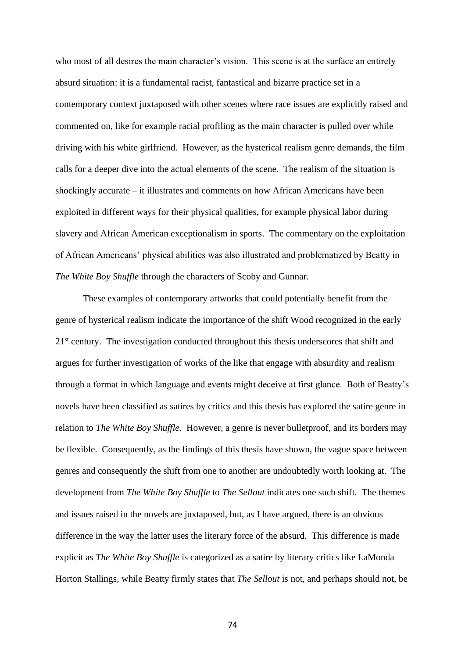who most of all desires the main character's vision. This scene is at the surface an entirely absurd situation: it is a fundamental racist, fantastical and bizarre practice set in a contemporary context juxtaposed with other scenes where race issues are explicitly raised and commented on, like for example racial profiling as the main character is pulled over while driving with his white girlfriend. However, as the hysterical realism genre demands, the film calls for a deeper dive into the actual elements of the scene. The realism of the situation is shockingly accurate – it illustrates and comments on how African Americans have been exploited in different ways for their physical qualities, for example physical labor during slavery and African American exceptionalism in sports. The commentary on the exploitation of African Americans' physical abilities was also illustrated and problematized by Beatty in *The White Boy Shuffle* through the characters of Scoby and Gunnar.

These examples of contemporary artworks that could potentially benefit from the genre of hysterical realism indicate the importance of the shift Wood recognized in the early 21<sup>st</sup> century. The investigation conducted throughout this thesis underscores that shift and argues for further investigation of works of the like that engage with absurdity and realism through a format in which language and events might deceive at first glance. Both of Beatty's novels have been classified as satires by critics and this thesis has explored the satire genre in relation to *The White Boy Shuffle.* However, a genre is never bulletproof, and its borders may be flexible. Consequently, as the findings of this thesis have shown, the vague space between genres and consequently the shift from one to another are undoubtedly worth looking at. The development from *The White Boy Shuffle* to *The Sellout* indicates one such shift. The themes and issues raised in the novels are juxtaposed, but, as I have argued, there is an obvious difference in the way the latter uses the literary force of the absurd. This difference is made explicit as *The White Boy Shuffle* is categorized as a satire by literary critics like LaMonda Horton Stallings, while Beatty firmly states that *The Sellout* is not, and perhaps should not, be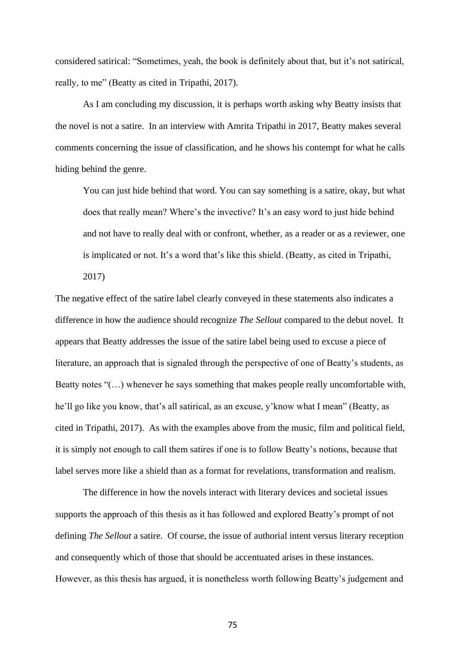considered satirical: "Sometimes, yeah, the book is definitely about that, but it's not satirical, really, to me" (Beatty as cited in Tripathi, 2017).

As I am concluding my discussion, it is perhaps worth asking why Beatty insists that the novel is not a satire. In an interview with Amrita Tripathi in 2017, Beatty makes several comments concerning the issue of classification, and he shows his contempt for what he calls hiding behind the genre.

You can just hide behind that word. You can say something is a satire, okay, but what does that really mean? Where's the invective? It's an easy word to just hide behind and not have to really deal with or confront, whether, as a reader or as a reviewer, one is implicated or not. It's a word that's like this shield. (Beatty, as cited in Tripathi, 2017)

The negative effect of the satire label clearly conveyed in these statements also indicates a difference in how the audience should recognize *The Sellout* compared to the debut novel. It appears that Beatty addresses the issue of the satire label being used to excuse a piece of literature, an approach that is signaled through the perspective of one of Beatty's students, as Beatty notes "(…) whenever he says something that makes people really uncomfortable with, he'll go like you know, that's all satirical, as an excuse, y'know what I mean" (Beatty, as cited in Tripathi, 2017). As with the examples above from the music, film and political field, it is simply not enough to call them satires if one is to follow Beatty's notions, because that label serves more like a shield than as a format for revelations, transformation and realism.

The difference in how the novels interact with literary devices and societal issues supports the approach of this thesis as it has followed and explored Beatty's prompt of not defining *The Sellout* a satire. Of course, the issue of authorial intent versus literary reception and consequently which of those that should be accentuated arises in these instances. However, as this thesis has argued, it is nonetheless worth following Beatty's judgement and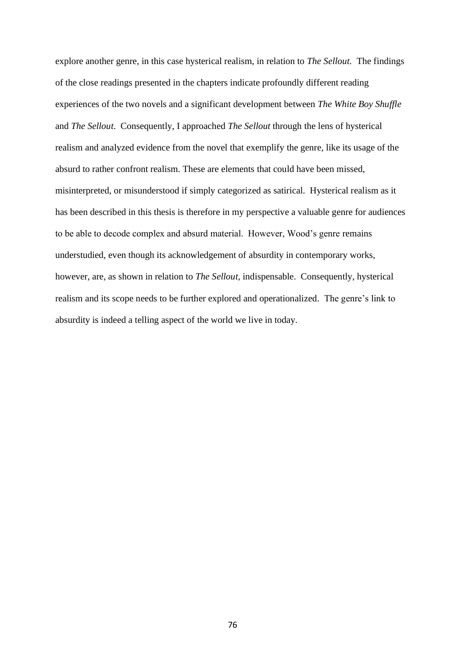explore another genre, in this case hysterical realism, in relation to *The Sellout.* The findings of the close readings presented in the chapters indicate profoundly different reading experiences of the two novels and a significant development between *The White Boy Shuffle*  and *The Sellout*. Consequently, I approached *The Sellout* through the lens of hysterical realism and analyzed evidence from the novel that exemplify the genre, like its usage of the absurd to rather confront realism. These are elements that could have been missed, misinterpreted, or misunderstood if simply categorized as satirical. Hysterical realism as it has been described in this thesis is therefore in my perspective a valuable genre for audiences to be able to decode complex and absurd material. However, Wood's genre remains understudied, even though its acknowledgement of absurdity in contemporary works, however, are, as shown in relation to *The Sellout,* indispensable. Consequently, hysterical realism and its scope needs to be further explored and operationalized. The genre's link to absurdity is indeed a telling aspect of the world we live in today.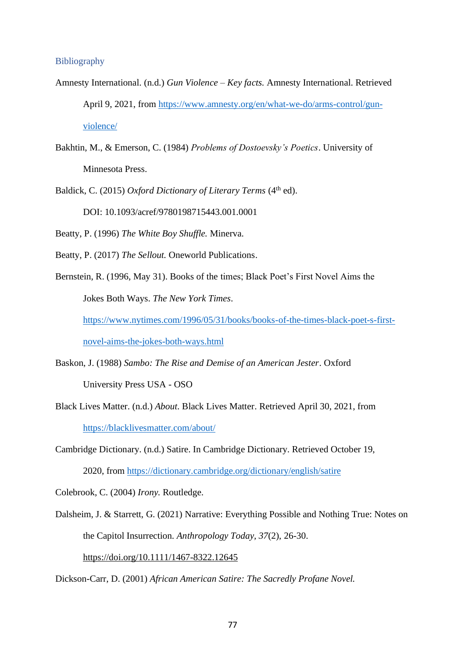## Bibliography

- Amnesty International. (n.d.) *Gun Violence – Key facts.* Amnesty International. Retrieved April 9, 2021, from [https://www.amnesty.org/en/what-we-do/arms-control/gun](https://www.amnesty.org/en/what-we-do/arms-control/gun-violence/)[violence/](https://www.amnesty.org/en/what-we-do/arms-control/gun-violence/)
- Bakhtin, M., & Emerson, C. (1984) *Problems of Dostoevsky's Poetics*. University of Minnesota Press.
- Baldick, C. (2015) *Oxford Dictionary of Literary Terms* (4<sup>th</sup> ed).

DOI: 10.1093/acref/9780198715443.001.0001

Beatty, P. (1996) *The White Boy Shuffle.* Minerva.

- Beatty, P. (2017) *The Sellout.* Oneworld Publications.
- Bernstein, R. (1996, May 31). Books of the times; Black Poet's First Novel Aims the Jokes Both Ways. *The New York Times*.

[https://www.nytimes.com/1996/05/31/books/books-of-the-times-black-poet-s-first-](https://www.nytimes.com/1996/05/31/books/books-of-the-times-black-poet-s-first-novel-aims-the-jokes-both-ways.html)

[novel-aims-the-jokes-both-ways.html](https://www.nytimes.com/1996/05/31/books/books-of-the-times-black-poet-s-first-novel-aims-the-jokes-both-ways.html)

- Baskon, J. (1988) *Sambo: The Rise and Demise of an American Jester*. Oxford University Press USA - OSO
- Black Lives Matter. (n.d.) *About*. Black Lives Matter. Retrieved April 30, 2021, from <https://blacklivesmatter.com/about/>
- Cambridge Dictionary. (n.d.) Satire. In Cambridge Dictionary. Retrieved October 19, 2020, from<https://dictionary.cambridge.org/dictionary/english/satire>
- Colebrook, C. (2004) *Irony.* Routledge.
- Dalsheim, J. & Starrett, G. (2021) Narrative: Everything Possible and Nothing True: Notes on the Capitol Insurrection. *Anthropology Today, 37*(2), 26-30. <https://doi.org/10.1111/1467-8322.12645>

Dickson-Carr, D. (2001) *African American Satire: The Sacredly Profane Novel.*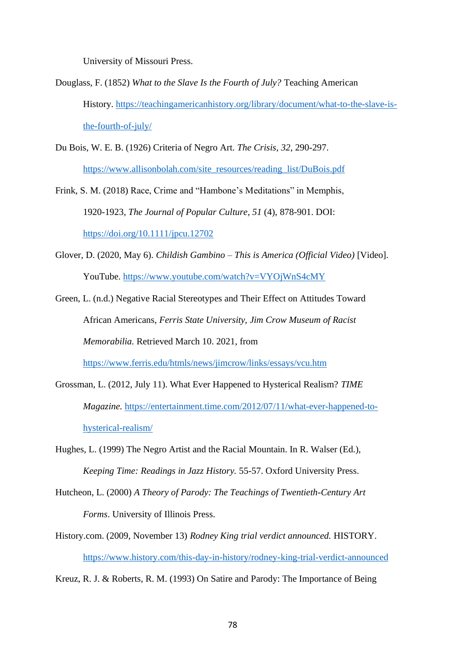University of Missouri Press.

- Douglass, F. (1852) *What to the Slave Is the Fourth of July?* Teaching American History. [https://teachingamericanhistory.org/library/document/what-to-the-slave-is](https://teachingamericanhistory.org/library/document/what-to-the-slave-is-the-fourth-of-july/)[the-fourth-of-july/](https://teachingamericanhistory.org/library/document/what-to-the-slave-is-the-fourth-of-july/)
- Du Bois, W. E. B. (1926) Criteria of Negro Art. *The Crisis, 32*, 290-297. [https://www.allisonbolah.com/site\\_resources/reading\\_list/DuBois.pdf](https://www.allisonbolah.com/site_resources/reading_list/DuBois.pdf)
- Frink, S. M. (2018) Race, Crime and "Hambone's Meditations" in Memphis, 1920-1923, *The Journal of Popular Culture*, *51* (4), 878-901. DOI: <https://doi.org/10.1111/jpcu.12702>
- Glover, D. (2020, May 6). *Childish Gambino – This is America (Official Video)* [Video]. YouTube.<https://www.youtube.com/watch?v=VYOjWnS4cMY>
- Green, L. (n.d.) Negative Racial Stereotypes and Their Effect on Attitudes Toward African Americans, *Ferris State University, Jim Crow Museum of Racist Memorabilia.* Retrieved March 10. 2021, from <https://www.ferris.edu/htmls/news/jimcrow/links/essays/vcu.htm>
- Grossman, L. (2012, July 11). What Ever Happened to Hysterical Realism? *TIME Magazine.* [https://entertainment.time.com/2012/07/11/what-ever-happened-to](https://entertainment.time.com/2012/07/11/what-ever-happened-to-hysterical-realism/)[hysterical-realism/](https://entertainment.time.com/2012/07/11/what-ever-happened-to-hysterical-realism/)
- Hughes, L. (1999) The Negro Artist and the Racial Mountain. In R. Walser (Ed.), *Keeping Time: Readings in Jazz History.* 55-57. Oxford University Press.
- Hutcheon, L. (2000) *A Theory of Parody: The Teachings of Twentieth-Century Art Forms*. University of Illinois Press.
- History.com. (2009, November 13) *Rodney King trial verdict announced.* HISTORY. <https://www.history.com/this-day-in-history/rodney-king-trial-verdict-announced>

Kreuz, R. J. & Roberts, R. M. (1993) On Satire and Parody: The Importance of Being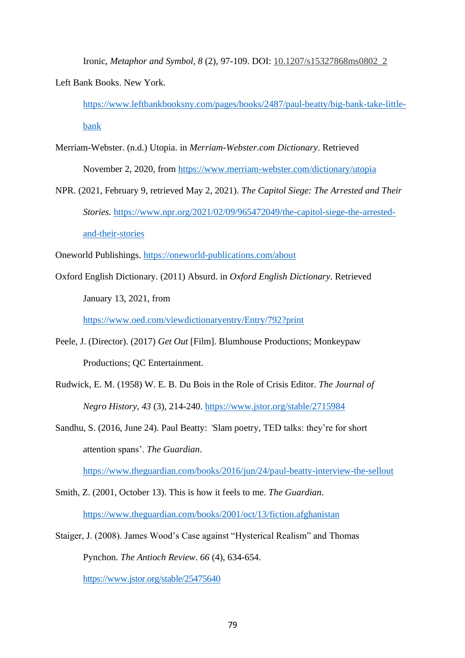Ironic, *Metaphor and Symbol, 8* (2), 97-109. DOI: [10.1207/s15327868ms0802\\_2](https://doi.org/10.1207/s15327868ms0802_2)

Left Bank Books. New York.

[https://www.leftbankbooksny.com/pages/books/2487/paul-beatty/big-bank-take-little](https://www.leftbankbooksny.com/pages/books/2487/paul-beatty/big-bank-take-little-bank)[bank](https://www.leftbankbooksny.com/pages/books/2487/paul-beatty/big-bank-take-little-bank)

- Merriam-Webster. (n.d.) Utopia. in *Merriam-Webster.com Dictionary*. Retrieved November 2, 2020, from<https://www.merriam-webster.com/dictionary/utopia>
- NPR. (2021, February 9, retrieved May 2, 2021). *The Capitol Siege: The Arrested and Their Stories.* [https://www.npr.org/2021/02/09/965472049/the-capitol-siege-the-arrested](https://www.npr.org/2021/02/09/965472049/the-capitol-siege-the-arrested-and-their-stories)[and-their-stories](https://www.npr.org/2021/02/09/965472049/the-capitol-siege-the-arrested-and-their-stories)
- Oneworld Publishings.<https://oneworld-publications.com/about>
- Oxford English Dictionary. (2011) Absurd. in *Oxford English Dictionary*. Retrieved January 13, 2021, from

<https://www.oed.com/viewdictionaryentry/Entry/792?print>

- Peele, J. (Director). (2017) *Get Out* [Film]. Blumhouse Productions; Monkeypaw Productions; QC Entertainment.
- Rudwick, E. M. (1958) W. E. B. Du Bois in the Role of Crisis Editor. *The Journal of Negro History*, *43* (3)*,* 214-240.<https://www.jstor.org/stable/2715984>
- Sandhu, S. (2016, June 24). Paul Beatty: *'*Slam poetry, TED talks: they're for short attention spans'. *The Guardian*.

<https://www.theguardian.com/books/2016/jun/24/paul-beatty-interview-the-sellout>

- Smith, Z. (2001, October 13). This is how it feels to me. *The Guardian*. <https://www.theguardian.com/books/2001/oct/13/fiction.afghanistan>
- Staiger, J. (2008). James Wood's Case against "Hysterical Realism" and Thomas Pynchon. *The Antioch Review*. *66* (4), 634-654.

<https://www.jstor.org/stable/25475640>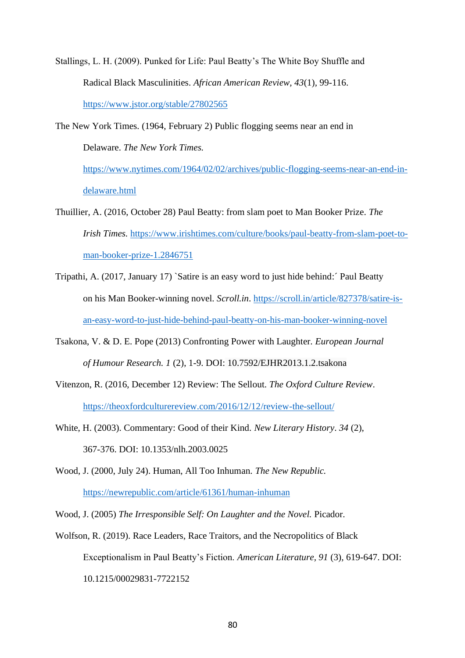Stallings, L. H. (2009). Punked for Life: Paul Beatty's The White Boy Shuffle and Radical Black Masculinities. *African American Review, 43*(1)*,* 99-116. <https://www.jstor.org/stable/27802565>

The New York Times*.* (1964, February 2) Public flogging seems near an end in Delaware. *The New York Times.* 

[https://www.nytimes.com/1964/02/02/archives/public-flogging-seems-near-an-end-in](https://www.nytimes.com/1964/02/02/archives/public-flogging-seems-near-an-end-in-delaware.html)[delaware.html](https://www.nytimes.com/1964/02/02/archives/public-flogging-seems-near-an-end-in-delaware.html)

- Thuillier, A. (2016, October 28) Paul Beatty: from slam poet to Man Booker Prize. *The Irish Times.* [https://www.irishtimes.com/culture/books/paul-beatty-from-slam-poet-to](https://www.irishtimes.com/culture/books/paul-beatty-from-slam-poet-to-man-booker-prize-1.2846751)[man-booker-prize-1.2846751](https://www.irishtimes.com/culture/books/paul-beatty-from-slam-poet-to-man-booker-prize-1.2846751)
- Tripathi, A. (2017, January 17) `Satire is an easy word to just hide behind:´ Paul Beatty on his Man Booker-winning novel. *Scroll.in*. [https://scroll.in/article/827378/satire-is](https://scroll.in/article/827378/satire-is-an-easy-word-to-just-hide-behind-paul-beatty-on-his-man-booker-winning-novel)[an-easy-word-to-just-hide-behind-paul-beatty-on-his-man-booker-winning-novel](https://scroll.in/article/827378/satire-is-an-easy-word-to-just-hide-behind-paul-beatty-on-his-man-booker-winning-novel)
- Tsakona, V. & D. E. Pope (2013) Confronting Power with Laughter. *European Journal of Humour Research. 1* (2), 1-9. DOI: 10.7592/EJHR2013.1.2.tsakona
- Vitenzon, R. (2016, December 12) Review: The Sellout. *The Oxford Culture Review*. <https://theoxfordculturereview.com/2016/12/12/review-the-sellout/>
- White, H. (2003). Commentary: Good of their Kind. *New Literary History*. *34* (2), 367-376. DOI: 10.1353/nlh.2003.0025

Wood, J. (2000, July 24). Human, All Too Inhuman. *The New Republic.* <https://newrepublic.com/article/61361/human-inhuman>

Wood, J. (2005) *The Irresponsible Self: On Laughter and the Novel.* Picador.

Wolfson, R. (2019). Race Leaders, Race Traitors, and the Necropolitics of Black Exceptionalism in Paul Beatty's Fiction. *American Literature, 91* (3)*,* 619-647. DOI: 10.1215/00029831-7722152